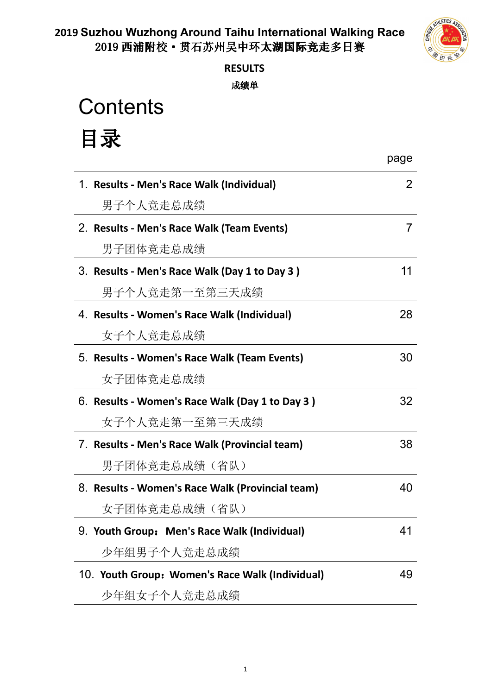

## **RESULTS**

成绩单

**Contents** 

## 目录

|                                                  | page |
|--------------------------------------------------|------|
| 1. Results - Men's Race Walk (Individual)        | 2    |
| 男子个人竞走总成绩                                        |      |
| 2. Results - Men's Race Walk (Team Events)       | 7    |
| 男子团体竞走总成绩                                        |      |
| 3. Results - Men's Race Walk (Day 1 to Day 3)    | 11   |
| 男子个人竞走第一至第三天成绩                                   |      |
| 4. Results - Women's Race Walk (Individual)      | 28   |
| 女子个人竞走总成绩                                        |      |
| 5. Results - Women's Race Walk (Team Events)     | 30   |
| 女子团体竞走总成绩                                        |      |
| 6. Results - Women's Race Walk (Day 1 to Day 3)  | 32   |
| 女子个人竞走第一至第三天成绩                                   |      |
| 7. Results - Men's Race Walk (Provincial team)   | 38   |
| 男子团体竞走总成绩(省队)                                    |      |
| 8. Results - Women's Race Walk (Provincial team) | 40   |
| 女子团体竞走总成绩(省队)                                    |      |
| 9. Youth Group: Men's Race Walk (Individual)     | 41   |
| 少年组男子个人竞走总成绩                                     |      |
| 10. Youth Group: Women's Race Walk (Individual)  | 49   |
| 少年组女子个人竞走总成绩                                     |      |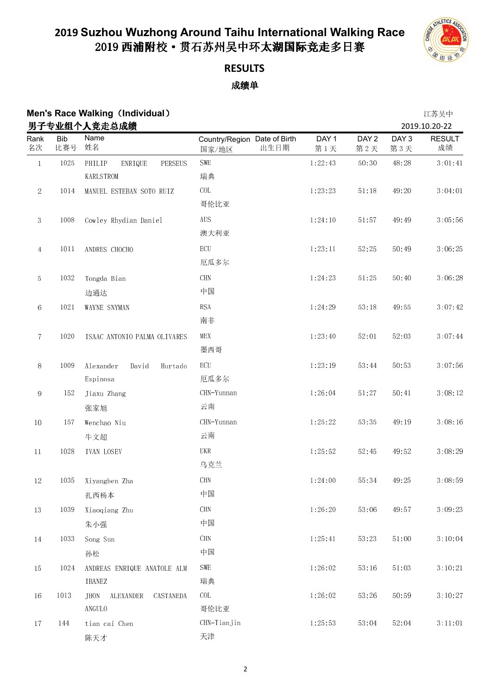

### **RESULTS** 成绩单

## **Men's Race Walking (Individual) 2008年10月20日 10:00 10:00 10:00 10:00 10:00 10:00 10:00 10:00 10:00 10:00 10:00 10:00 10:00 10:00 10:00 10:00 10:00 10:00 10:00 10:00 10:00 10:00 10:00 10:00 10:00 10:00 10:00 10:00 10:00 10**

|                 |                   | 男子专业组个人竞走总成绩                                   |                                               |              |                         |                         | 2019.10.20-22       |
|-----------------|-------------------|------------------------------------------------|-----------------------------------------------|--------------|-------------------------|-------------------------|---------------------|
| Rank<br>名次      | <b>Bib</b><br>比赛号 | Name<br>姓名                                     | Country/Region Date of Birth<br>出生日期<br>国家/地区 | DAY 1<br>第1天 | DAY <sub>2</sub><br>第2天 | DAY <sub>3</sub><br>第3天 | <b>RESULT</b><br>成绩 |
| $\,1\,$         | 1025              | PHILIP<br>ENRIQUE<br>PERSEUS                   | SWE                                           | 1:22:43      | 50:30                   | 48:28                   | 3:01:41             |
|                 |                   | <b>KARLSTROM</b>                               | 瑞典                                            |              |                         |                         |                     |
| $\,2$           | 1014              | MANUEL ESTEBAN SOTO RUIZ                       | COL                                           | 1:23:23      | 51:18                   | 49:20                   | 3:04:01             |
|                 |                   |                                                | 哥伦比亚                                          |              |                         |                         |                     |
| $\sqrt{3}$      | 1008              | Cowley Rhydian Daniel                          | <b>AUS</b>                                    | 1:24:10      | 51:57                   | 49:49                   | 3:05:56             |
|                 |                   |                                                | 澳大利亚                                          |              |                         |                         |                     |
| 4               | 1011              | ANDRES CHOCHO                                  | ECU                                           | 1:23:11      | 52:25                   | 50 49                   | 3:06:25             |
|                 |                   |                                                | 厄瓜多尔                                          |              |                         |                         |                     |
| 5               | 1032              | Tongda Bian                                    | $\rm CHN$                                     | 1:24:23      | 51:25                   | 50:40                   | 3:06:28             |
|                 |                   | 边通达                                            | 中国                                            |              |                         |                         |                     |
| $\,6\,$         | 1021              | WAYNE SNYMAN                                   | <b>RSA</b>                                    | 1:24:29      | 53:18                   | 49:55                   | 3:07:42             |
|                 |                   |                                                | 南非                                            |              |                         |                         |                     |
| $\tau$          | 1020              | ISAAC ANTONIO PALMA OLIVARES                   | MEX                                           | 1:23:40      | 52.01                   | 52:03                   | 3:07:44             |
|                 |                   |                                                | 墨西哥                                           |              |                         |                         |                     |
| 8               | 1009              | Alexander<br>David<br>Hurtado                  | $\operatorname{ECU}$                          | 1:23:19      | 53:44                   | 50:53                   | 3:07:56             |
|                 |                   | Espinosa                                       | 厄瓜多尔                                          |              |                         |                         |                     |
| $\,9$           | 152               | Jiaxu Zhang                                    | CHN-Yunnan                                    | 1:26:04      | 51:27                   | 50:41                   | 3:08:12             |
|                 |                   | 张家旭                                            | 云南                                            |              |                         |                         |                     |
| 10              | 157               | Wenchao Niu                                    | CHN-Yunnan                                    | 1:25:22      | 53.35                   | 49:19                   | 3:08:16             |
|                 |                   | 牛文超                                            | 云南                                            |              |                         |                         |                     |
| $11\,$          | 1028              | <b>IVAN LOSEV</b>                              | $_{\rm{UKR}}$                                 | 1:25:52      | 52.45                   | 49:52                   | 3:08:29             |
|                 |                   |                                                | 乌克兰                                           |              |                         |                         |                     |
| $12\,$          | 1035              | Xiyangben Zha                                  | $\rm CHN$                                     | 1:24:00      | 55:34                   | 49:25                   | 3:08:59             |
|                 |                   | 扎西杨本                                           | 中国                                            |              |                         |                         |                     |
| 13              | 1039              | Xiaoqiang Zhu                                  | $\mathop{\rm CHN}\nolimits$                   | 1:26:20      | 53:06                   | 49:57                   | 3:09:23             |
|                 |                   | 朱小强                                            | 中国                                            |              |                         |                         |                     |
| $14\phantom{.}$ | 1033              | Song Sun                                       | <b>CHN</b>                                    | 1:25:41      | 53:23                   | 51:00                   | 3:10:04             |
|                 |                   | 孙松                                             | 中国                                            |              |                         |                         |                     |
| $15\,$          | 1024              | ANDREAS ENRIQUE ANATOLE ALM                    | SWE                                           | 1:26:02      | 53.16                   | 51.03                   | 3:10:21             |
|                 |                   | IBANEZ                                         | 瑞典                                            |              |                         |                         |                     |
| $16\,$          | 1013              | $\mbox{CASTANEDA}$<br><b>JHON</b><br>ALEXANDER | COL                                           | 1:26:02      | 53:26                   | 50:59                   | 3:10:27             |
|                 |                   | ANGULO                                         | 哥伦比亚                                          |              |                         |                         |                     |
| $17\,$          | 144               | tian cai Chen                                  | CHN-Tianjin                                   | 1:25:53      | 53:04                   | 52:04                   | 3:11:01             |
|                 |                   | 陈天才                                            | 天津                                            |              |                         |                         |                     |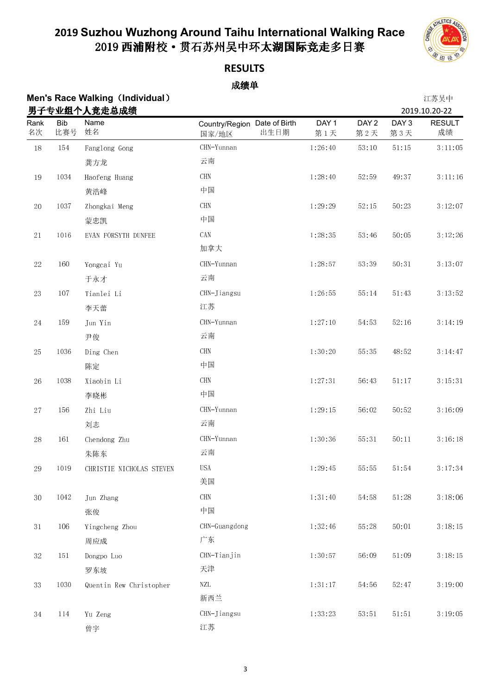

**RESULTS**

|             |                   | <b>Men's Race Walking (Individual)</b><br>男子专业组个人竞走总成绩 |                                               |              |                         |                         | 江苏吴中<br>2019.10.20-22 |
|-------------|-------------------|--------------------------------------------------------|-----------------------------------------------|--------------|-------------------------|-------------------------|-----------------------|
| Rank<br>名次  | <b>Bib</b><br>比赛号 | Name<br>姓名                                             | Country/Region Date of Birth<br>出生日期<br>国家/地区 | DAY 1<br>第1天 | DAY <sub>2</sub><br>第2天 | DAY <sub>3</sub><br>第3天 | <b>RESULT</b><br>成绩   |
| $18\,$      | $154\,$           | Fanglong Gong                                          | CHN-Yunnan                                    | 1:26:40      | 53:10                   | $5\,1\colon 15$         | 3:11:05               |
|             |                   | 龚方龙                                                    | 云南                                            |              |                         |                         |                       |
| 19          | 1034              | Haofeng Huang                                          | $\rm CHN$                                     | 1:28:40      | 52:59                   | 49:37                   | 3:11:16               |
|             |                   | 黄浩峰                                                    | 中国                                            |              |                         |                         |                       |
| $20\,$      | $103\,7$          | Zhongkai Meng                                          | $\rm CHN$                                     | 1:29:29      | 52.15                   | 50:23                   | 3:12:07               |
|             |                   | 蒙忠凯                                                    | 中国                                            |              |                         |                         |                       |
| $2\sqrt{1}$ | 1016              | EVAN FORSYTH DUNFEE                                    | CAN<br>加拿大                                    | 1:28:35      | 53:46                   | 50:05                   | 3:12:26               |
| $22\,$      | 160               | Yongcai Yu                                             | CHN-Yunnan                                    | 1:28:57      | 53:39                   | 50:31                   | 3:13:07               |
|             |                   | 于永才                                                    | 云南                                            |              |                         |                         |                       |
| $23\,$      | $107\,$           | Tianlei Li                                             | CHN-Jiangsu                                   | 1:26:55      | 55:14                   | 51:43                   | 3:13:52               |
|             |                   | 李天蕾                                                    | 江苏                                            |              |                         |                         |                       |
| $24\,$      | 159               | Jun Yin                                                | CHN-Yunnan                                    | 1:27:10      | 54:53                   | 52:16                   | 3:14:19               |
|             |                   | 尹俊                                                     | 云南                                            |              |                         |                         |                       |
| $25\,$      | 1036              | Ding Chen                                              | $\rm CHN$                                     | 1:30:20      | 55:35                   | 48:52                   | 3:14:47               |
|             |                   | 陈定                                                     | 中国                                            |              |                         |                         |                       |
| $26\,$      | 1038              | Xiaobin Li                                             | CHN                                           | 1:27:31      | 56:43                   | 51:17                   | 3:15:31               |
|             |                   | 李晓彬                                                    | 中国                                            |              |                         |                         |                       |
| $27\,$      | 156               | Zhi Liu                                                | CHN-Yunnan                                    | 1:29:15      | 56:02                   | 50:52                   | 3:16:09               |
|             |                   | 刘志                                                     | 云南                                            |              |                         |                         |                       |
| $28\,$      | 161               | Chendong Zhu                                           | CHN-Yunnan                                    | 1:30:36      | 55:31                   | 50:11                   | 3:16:18               |
|             |                   | 朱陈东                                                    | 云南                                            |              |                         |                         |                       |
| $\rm 29$    | $10\,19$          | CHRISTIE NICHOLAS STEVEN                               | <b>USA</b>                                    | 1:29:45      | 55:55                   | $51\colon\!54$          | 3:17:34               |
|             |                   |                                                        | 美国                                            |              |                         |                         |                       |
| $3\,0$      | 1042              | Jun Zhang                                              | $\rm CHN$                                     | 1:31:40      | 54:58                   | 51:28                   | 3:18:06               |
|             |                   | 张俊                                                     | 中国                                            |              |                         |                         |                       |
| $3\,1$      | 106               | Yingcheng Zhou                                         | CHN-Guangdong                                 | 1:32:46      | 55:28                   | 50:01                   | 3:18:15               |
|             |                   | 周应成                                                    | 广东                                            |              |                         |                         |                       |
| $3\sqrt{2}$ | 151               | Dongpo Luo                                             | CHN-Tianjin                                   | 1:30:57      | 56:09                   | 51:09                   | 3:18:15               |
|             |                   | 罗东坡                                                    | 天津                                            |              |                         |                         |                       |
| 33          | 1030              | Quentin Rew Christopher                                | NZL<br>新西兰                                    | 1:31:17      | 54.56                   | 52:47                   | 3:19:00               |
| $3\sqrt{4}$ | 114               | Yu Zeng<br>曾宇                                          | CHN-Jiangsu<br>江苏                             | 1 33 23      | 53:51                   | $51:51$                 | 3:19:05               |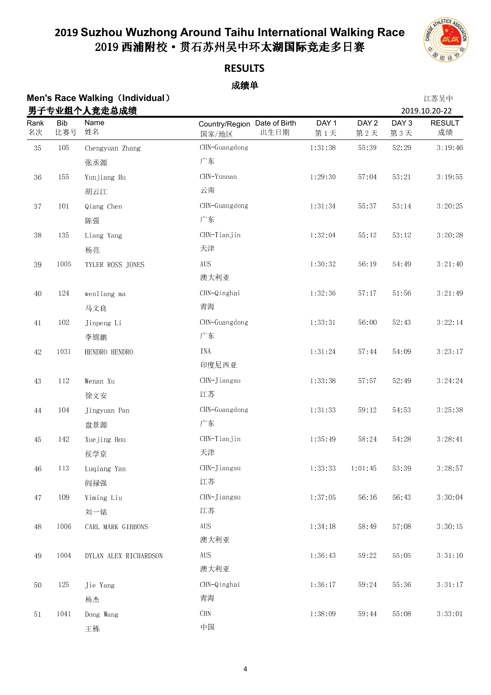

### **RESULTS**

|             |                   | <b>Men's Race Walking (Individual)</b><br>男子专业组个人竞走总成绩 |                                               |                         |                         |                         | 江苏吴中<br>2019.10.20-22 |
|-------------|-------------------|--------------------------------------------------------|-----------------------------------------------|-------------------------|-------------------------|-------------------------|-----------------------|
| Rank<br>名次  | <b>Bib</b><br>比赛号 | Name<br>姓名                                             | Country/Region Date of Birth<br>出生日期<br>国家/地区 | DAY <sub>1</sub><br>第1天 | DAY <sub>2</sub><br>第2天 | DAY <sub>3</sub><br>第3天 | <b>RESULT</b><br>成绩   |
| $3\sqrt{5}$ | $105\,$           | Chengyuan Zhang                                        | CHN-Guangdong                                 | $1 \t31 \t38$           | 55:39                   | 52:29                   | 3:19:46               |
|             |                   | 张丞源                                                    | 广东                                            |                         |                         |                         |                       |
| $36\,$      | 155               | Yunjiang Hu                                            | CHN-Yunnan                                    | 1:29:30                 | 57:04                   | 53:21                   | 3:19:55               |
|             |                   | 胡云江                                                    | 云南                                            |                         |                         |                         |                       |
| 37          | $10\sqrt{1}$      | Qiang Chen                                             | CHN-Guangdong                                 | 1:31:34                 | 55:37                   | 53:14                   | 3:20:25               |
|             |                   | 陈强                                                     | 广东                                            |                         |                         |                         |                       |
| $3\,8$      | 135               | Liang Yang                                             | CHN-Tianjin                                   | 1:32:04                 | 55:12                   | 53:12                   | 3:20:28               |
|             |                   | 杨亮                                                     | 天津                                            |                         |                         |                         |                       |
| 39          | 1005              | TYLER ROSS JONES                                       | $\rm{AUS}$                                    | 1:30:32                 | 56:19                   | 54:49                   | 3:21:40               |
|             |                   |                                                        | 澳大利亚                                          |                         |                         |                         |                       |
| $40\,$      | $124\,$           | wenliang ma                                            | CHN-Qinghai                                   | 1:32:36                 | 57:17                   | 51:56                   | 3:21:49               |
|             |                   | 马文良                                                    | 青海                                            |                         |                         |                         |                       |
| 41          | $102\,$           | Jinpeng Li                                             | CHN-Guangdong                                 | 1:33:31                 | 56:00                   | 52:43                   | 3:22:14               |
|             |                   | 李锦鹏                                                    | 广东                                            |                         |                         |                         |                       |
| $42\,$      | 1031              | HENDRO HENDRO                                          | <b>INA</b>                                    | 1:31:24                 | 57:44                   | 54:09                   | 3:23:17               |
|             |                   |                                                        | 印度尼西亚                                         |                         |                         |                         |                       |
| $43\,$      | $112\,$           | Wenan Xu                                               | CHN-Jiangsu                                   | 1:33:38                 | 57:57                   | 52:49                   | 3:24:24               |
|             |                   | 徐文安                                                    | 江苏                                            |                         |                         |                         |                       |
| $\bf 44$    | 104               | Jingyuan Pan                                           | CHN-Guangdong                                 | 1:31:33                 | 59:12                   | 54:53                   | 3:25:38               |
|             |                   | 盘景源                                                    | 广东                                            |                         |                         |                         |                       |
| 45          | 142               | Xuejing Hou                                            | CHN-Tianjin                                   | 1 35 49                 | 58:24                   | 54:28                   | 3:28:41               |
|             |                   | 侯学京                                                    | 天津                                            |                         |                         |                         |                       |
| $46\,$      | 113               | Luqiang Yan                                            | CHN-Jiangsu                                   | 1 33 33                 | 1:01:45                 | 53:39                   | 3:28:57               |
|             |                   | 阎禄强                                                    | 江苏                                            |                         |                         |                         |                       |
| $47\,$      | 109               | Yiming Liu                                             | CHN-Jiangsu                                   | 1:37:05                 | 56:16                   | 56:43                   | 3:30:04               |
|             |                   | 刘一铭                                                    | 江苏                                            |                         |                         |                         |                       |
| $48\,$      | 1006              | CARL MARK GIBBONS                                      | <b>AUS</b>                                    | 1:34:18                 | 58:49                   | 57:08                   | 3:30:15               |
|             |                   |                                                        | 澳大利亚                                          |                         |                         |                         |                       |
| $\rm 49$    | 1004              | DYLAN ALEX RICHARDSON                                  | $\rm{AUS}$                                    | 1:36:43                 | 59:22                   | 55:05                   | 3:31:10               |
|             |                   |                                                        | 澳大利亚                                          |                         |                         |                         |                       |
| $50\,$      | 125               | Jie Yang                                               | CHN-Qinghai                                   | 1:36:17                 | 59:24                   | 55 36                   | 3:31:17               |
|             |                   | 杨杰                                                     | 青海                                            |                         |                         |                         |                       |
| $5\,1$      | 1041              | Dong Wang                                              | <b>CHN</b>                                    | 1:38:09                 | 59:44                   | 55:08                   | 3:33:01               |
|             |                   | 王栋                                                     | 中国                                            |                         |                         |                         |                       |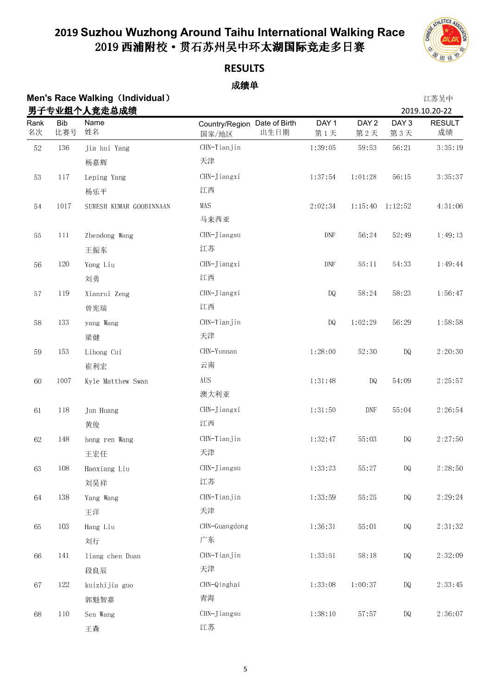

**RESULTS**

|             |                   | <b>Men's Race Walking (Individual)</b><br>男子专业组个人竞走总成绩 |                                               |                             |                             |                         | 江苏吴中<br>2019.10.20-22 |
|-------------|-------------------|--------------------------------------------------------|-----------------------------------------------|-----------------------------|-----------------------------|-------------------------|-----------------------|
| Rank<br>名次  | <b>Bib</b><br>比赛号 | Name<br>姓名                                             | Country/Region Date of Birth<br>出生日期<br>国家/地区 | DAY 1<br>第1天                | DAY <sub>2</sub><br>第2天     | DAY <sub>3</sub><br>第3天 | <b>RESULT</b><br>成绩   |
| $52\,$      | $136\,$           | jia hui Yang                                           | CHN-Tianjin                                   | 1:39:05                     | 59:53                       | 56:21                   | 3:35:19               |
|             |                   | 杨嘉辉                                                    | 天津                                            |                             |                             |                         |                       |
| $5\sqrt{3}$ | $117\,$           | Leping Yang                                            | CHN-Jiangxi                                   | 1:37:54                     | 1:01:28                     | 56:15                   | 3:35:37               |
|             |                   | 杨乐平                                                    | 江西                                            |                             |                             |                         |                       |
| $5\,4$      | 1017              | SURESH KUMAR GOOBINNAAN                                | MAS                                           | 2:02:34                     | 1:15:40                     | 1:12:52                 | 4:31:06               |
|             |                   |                                                        | 马来西亚                                          |                             |                             |                         |                       |
| $5\sqrt{5}$ | $111\,$           | Zhendong Wang                                          | CHN-Jiangsu                                   | $\ensuremath{\mathrm{DNF}}$ | 56:24                       | 52:49                   | 1:49:13               |
|             |                   | 王振东                                                    | 江苏                                            |                             |                             |                         |                       |
| 56          | $120\,$           | Yong Liu                                               | CHN-Jiangxi                                   | DNF                         | 55:11                       | 54:33                   | 1:49:44               |
|             |                   | 刘勇                                                     | 江西                                            |                             |                             |                         |                       |
| $5\,7$      | 119               | Xianrui Zeng                                           | CHN-Jiangxi                                   | $\mathbf{DQ}$               | 58:24                       | 58:23                   | 1:56:47               |
|             |                   | 曾宪瑞                                                    | 江西                                            |                             |                             |                         |                       |
| $58\,$      | 133               | yang Wang                                              | CHN-Tianjin                                   | <b>DQ</b>                   | 1:02:29                     | 56:29                   | 1:58:58               |
|             |                   | 梁健                                                     | 天津                                            |                             |                             |                         |                       |
| $5\,9$      | 153               | Lihong Cui                                             | CHN-Yunnan                                    | 1:28:00                     | 52:30                       | DQ                      | 2:20:30               |
|             |                   | 崔利宏                                                    | 云南                                            |                             |                             |                         |                       |
| $60\,$      | 1007              | Kyle Matthew Swan                                      | $\rm{AUS}$                                    | 1:31:48                     | DQ                          | 54:09                   | 2:25:57               |
|             |                   |                                                        | 澳大利亚                                          |                             |                             |                         |                       |
| $61\,$      | $118\,$           | Jun Huang                                              | CHN-Jiangxi                                   | 1:31:50                     | $\ensuremath{\mathrm{DNF}}$ | 55:04                   | 2:26:54               |
|             |                   | 黄俊                                                     | 江西                                            |                             |                             |                         |                       |
| 62          | 148               | hong ren Wang                                          | CHN-Tianjin                                   | 1:32:47                     | 55:03                       | <b>DQ</b>               | 2:27:50               |
|             |                   | 王宏任                                                    | 天津                                            |                             |                             |                         |                       |
| 63          | 108               | Haoxiang Liu                                           | CHN-Jiangsu                                   | 1 33 23                     | 55:27                       | DQ                      | 2:28:50               |
|             |                   | 刘昊祥                                                    | 江苏                                            |                             |                             |                         |                       |
| 64          | 138               | Yang Wang                                              | CHN-Tianjin                                   | 1 33 59                     | 55:25                       | DQ                      | 2:29:24               |
|             |                   | 王洋                                                     | 天津                                            |                             |                             |                         |                       |
| 65          | 103               | Hang Liu                                               | CHN-Guangdong                                 | 1:36:31                     | 55:01                       | DQ                      | $2 \cdot 31 \cdot 32$ |
|             |                   | 刘行                                                     | 广东                                            |                             |                             |                         |                       |
| 66          | 141               | liang chen Duan                                        | CHN-Tianjin                                   | 1:33:51                     | 58:18                       | DQ                      | 2:32:09               |
|             |                   | 段良辰                                                    | 天津                                            |                             |                             |                         |                       |
| 67          | $122\,$           | kuizhijia guo                                          | CHN-Qinghai                                   | 1:33:08                     | 1:00:37                     | DQ                      | 2:33:45               |
|             |                   | 郭魁智嘉                                                   | 青海                                            |                             |                             |                         |                       |
| $68\,$      | $110\,$           | Sen Wang                                               | CHN-Jiangsu                                   | 1:38:10                     | 57:57                       | DQ                      | 2:36:07               |
|             |                   | 王森                                                     | 江苏                                            |                             |                             |                         |                       |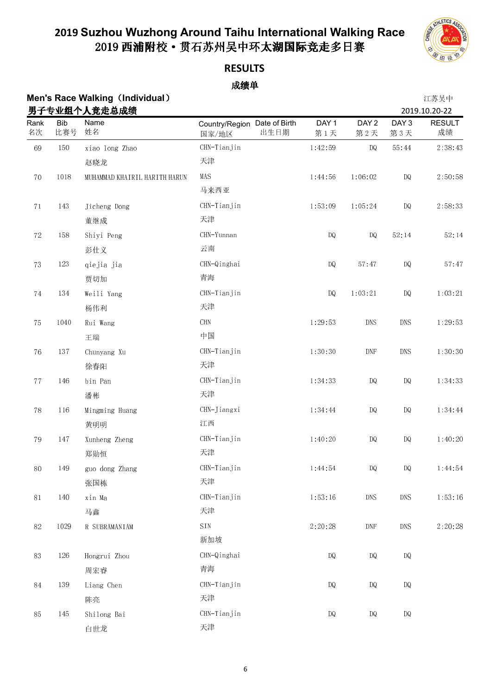

**RESULTS**

|             |                   | <b>Men's Race Walking (Individual)</b><br>男子专业组个人竞走总成绩 |                                               |                         |                             |                         | 江苏吴中<br>2019.10.20-22 |
|-------------|-------------------|--------------------------------------------------------|-----------------------------------------------|-------------------------|-----------------------------|-------------------------|-----------------------|
| Rank<br>名次  | <b>Bib</b><br>比赛号 | Name<br>姓名                                             | Country/Region Date of Birth<br>出生日期<br>国家/地区 | DAY <sub>1</sub><br>第1天 | DAY <sub>2</sub><br>第2天     | DAY <sub>3</sub><br>第3天 | <b>RESULT</b><br>成绩   |
| 69          | $150\,$           | xiao long Zhao                                         | CHN-Tianjin                                   | 1:42:59                 | DQ                          | $55\!:\!44$             | 2:38:43               |
|             |                   | 赵晓龙                                                    | 天津                                            |                         |                             |                         |                       |
| $70\,$      | 1018              | MUHAMMAD KHA IRIL HARITH HARUN                         | MAS                                           | 1:44:56                 | 1:06:02                     | <b>DQ</b>               | 2:50:58               |
|             |                   |                                                        | 马来西亚                                          |                         |                             |                         |                       |
| $7\sqrt{1}$ | 143               | Jicheng Dong                                           | CHN-Tianjin                                   | 1:53:09                 | 1:05:24                     | DQ                      | 2:58:33               |
|             |                   | 董继成                                                    | 天津                                            |                         |                             |                         |                       |
| $72\,$      | $158\,$           | Shiyi Peng                                             | CHN-Yunnan                                    | DQ                      | DQ                          | 52:14                   | 52:14                 |
|             |                   | 彭仕义                                                    | 云南                                            |                         |                             |                         |                       |
| $73\,$      | $123\,$           | qiejia jia                                             | CHN-Qinghai                                   | $\mathbf{DQ}$           | 57:47                       | DQ                      | 57:47                 |
|             |                   | 贾切加                                                    | 青海                                            |                         |                             |                         |                       |
| $74\,$      | 134               | Weili Yang                                             | CHN-Tianjin                                   | $\mathbf{DQ}$           | 1:03:21                     | $\mathbb{D}\mathbb{Q}$  | 1:03:21               |
|             |                   | 杨伟利                                                    | 天津                                            |                         |                             |                         |                       |
| 75          | 1040              | Rui Wang                                               | $\rm CHN$                                     | 1:29:53                 | $\rm DNS$                   | <b>DNS</b>              | 1:29:53               |
|             |                   | 王瑞                                                     | 中国                                            |                         |                             |                         |                       |
| ${\bf 76}$  | $13\,7$           | Chunyang Xu                                            | CHN-Tianjin                                   | 1:30:30                 | $\ensuremath{\mathrm{DNF}}$ | <b>DNS</b>              | 1:30:30               |
|             |                   | 徐春阳                                                    | 天津                                            |                         |                             |                         |                       |
| $7\,7$      | 146               | bin Pan                                                | CHN-Tianjin                                   | 1:34:33                 | $\mathbb{D} \mathbb{Q}$     | DQ                      | 1:34:33               |
|             |                   | 潘彬                                                     | 天津                                            |                         |                             |                         |                       |
| $78\,$      | 116               | Mingming Huang                                         | CHN-Jiangxi                                   | 1:34:44                 | $\mathbb{D} \mathbb{Q}$     | DQ                      | 1:34:44               |
|             |                   | 黄明明                                                    | 江西                                            |                         |                             |                         |                       |
| 79          | 147               | Xunheng Zheng                                          | CHN-Tianjin                                   | 1:40:20                 | DQ                          | DQ                      | 1:40:20               |
|             |                   | 郑勋恒                                                    | 天津                                            |                         |                             |                         |                       |
| $80\,$      | 149               | guo dong Zhang                                         | CHN-Tianjin                                   | 1:44:54                 | DQ                          | $\mathbb{D}\mathbb{Q}$  | 1:44:54               |
|             |                   | 张国栋                                                    | 天津                                            |                         |                             |                         |                       |
| $8\sqrt{1}$ | 140               | xin Ma                                                 | CHN-Tianjin                                   | 1:53:16                 | <b>DNS</b>                  | <b>DNS</b>              | 1:53:16               |
|             |                   | 马鑫                                                     | 天津                                            |                         |                             |                         |                       |
| $82\,$      | 1029              | R SUBRAMANIAM                                          | $\text{S} \text{I} \text{N}$                  | 2:20:28                 | $\ensuremath{\mathrm{DNF}}$ | DNS                     | 2:20:28               |
|             |                   |                                                        | 新加坡                                           |                         |                             |                         |                       |
| 83          | 126               | Hongrui Zhou                                           | CHN-Qinghai                                   | $\mathbf{DQ}$           | $\mathbf{D}\mathbf{Q}$      | $\mathbb{D}\mathbb{Q}$  |                       |
|             |                   | 周宏睿                                                    | 青海                                            |                         |                             |                         |                       |
| $\rm 84$    | 139               | Liang Chen                                             | CHN-Tianjin                                   | DQ                      | $\mathbf{D}\mathbf{Q}$      | $\mathbb{D}\mathbb{Q}$  |                       |
|             |                   | 陈亮                                                     | 天津                                            |                         |                             |                         |                       |
| 85          | 145               | Shilong Bai                                            | CHN-Tianjin                                   | DQ                      | DQ                          | $\mathbb{D}\mathbb{Q}$  |                       |
|             |                   | 白世龙                                                    | 天津                                            |                         |                             |                         |                       |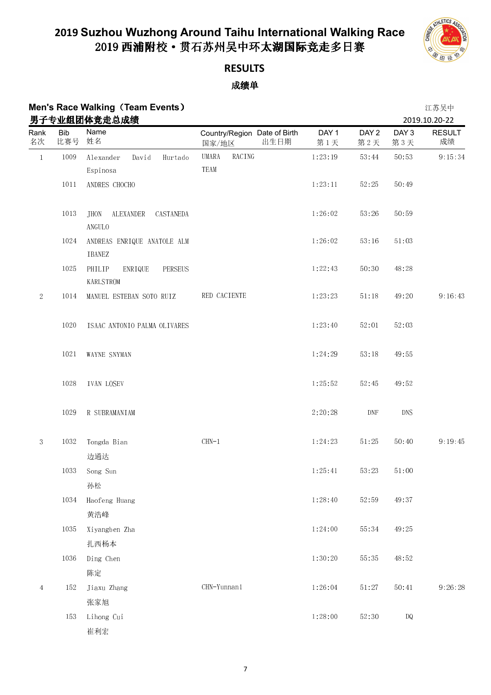

## **RESULTS**

|                |            | <b>Men's Race Walking (Team Events)</b><br>男子专业组团体竞走总成绩 |                                               |                         |                             |              | 江苏吴中<br>2019.10.20-22 |
|----------------|------------|---------------------------------------------------------|-----------------------------------------------|-------------------------|-----------------------------|--------------|-----------------------|
| Rank<br>名次     | Bib<br>比赛号 | Name<br>姓名                                              | Country/Region Date of Birth<br>出生日期<br>国家/地区 | DAY <sub>1</sub><br>第1天 | DAY <sub>2</sub><br>第2天     | DAY 3<br>第3天 | <b>RESULT</b><br>成绩   |
| $\,1\,$        | 1009       | Alexander<br>David<br>Hurtado<br>Espinosa               | RACING<br>UMARA<br>TEAM                       | 1:23:19                 | 53:44                       | 50:53        | 9:15:34               |
|                | $1011\,$   | ANDRES CHOCHO                                           |                                               | 1:23:11                 | 52:25                       | 50:49        |                       |
|                | 1013       | <b>JHON</b><br>ALEXANDER<br>CASTANEDA<br>ANGULO         |                                               | 1:26:02                 | 53:26                       | 50:59        |                       |
|                | 1024       | ANDREAS ENRIQUE ANATOLE ALM<br>IBANEZ                   |                                               | 1:26:02                 | 53:16                       | 51:03        |                       |
|                | 1025       | PHILIP<br>ENRIQUE<br>PERSEUS<br><b>KARLSTROM</b>        |                                               | 1:22:43                 | 50:30                       | 48:28        |                       |
| $\sqrt{2}$     | 1014       | MANUEL ESTEBAN SOTO RUIZ                                | RED CACIENTE                                  | 1:23:23                 | 51:18                       | 49:20        | 9:16:43               |
|                | 1020       | ISAAC ANTONIO PALMA OLIVARES                            |                                               | 1:23:40                 | 52:01                       | 52:03        |                       |
|                | 1021       | WAYNE SNYMAN                                            |                                               | 1:24:29                 | 53:18                       | 49:55        |                       |
|                | 1028       | <b>IVAN LOSEV</b>                                       |                                               | 1 25 52                 | 52:45                       | 49:52        |                       |
|                | 1029       | R SUBRAMANIAM                                           |                                               | 2:20:28                 | $\ensuremath{\mathrm{DNF}}$ | <b>DNS</b>   |                       |
| $\sqrt{3}$     | 1032       | Tongda Bian<br>边通达                                      | $CHN-1$                                       | 1:24:23                 | $51\!\cdot\!25$             | 50:40        | 9:19:45               |
|                |            | 1033 Song Sun<br>孙松                                     |                                               | 1:25:41                 | 53:23                       | 51:00        |                       |
|                | 1034       | Haofeng Huang                                           |                                               | 1.28.40                 | 52:59                       | 49:37        |                       |
|                | 1035       | 黄浩峰<br>Xiyangben Zha                                    |                                               | 1:24:00                 | 55:34                       | 49:25        |                       |
|                |            | 扎西杨本                                                    |                                               |                         |                             |              |                       |
|                | 1036       | Ding Chen<br>陈定                                         |                                               | 1:30:20                 | 55:35                       | 48:52        |                       |
| $\overline{4}$ | 152        | Jiaxu Zhang                                             | $CHN-Yunnan1$                                 | 1:26:04                 | 51:27                       | 50:41        | 9:26:28               |
|                |            | 张家旭                                                     |                                               |                         |                             |              |                       |
|                | 153        | Lihong Cui<br>崔利宏                                       |                                               | 1:28:00                 | 52:30                       | DQ           |                       |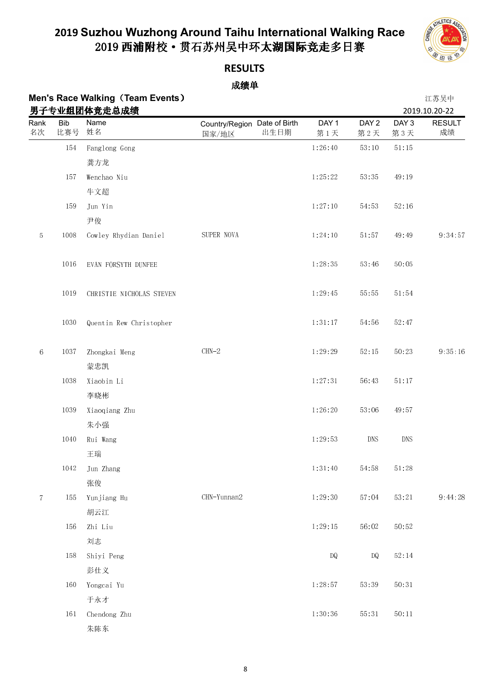

### **RESULTS**

| <b>Men's Race Walking (Team Events)</b> | 江苏吴中          |
|-----------------------------------------|---------------|
| 男子专业组团体竞走总成绩                            | 2019.10.20-22 |

|             |                   | 男子专业组团体竞走总成绩             |                                       |      |                         |                         |                         | 2019.10.20-22       |
|-------------|-------------------|--------------------------|---------------------------------------|------|-------------------------|-------------------------|-------------------------|---------------------|
| Rank<br>名次  | <b>Bib</b><br>比赛号 | Name<br>姓名               | Country/Region Date of Birth<br>国家/地区 | 出生日期 | DAY <sub>1</sub><br>第1天 | DAY <sub>2</sub><br>第2天 | DAY <sub>3</sub><br>第3天 | <b>RESULT</b><br>成绩 |
|             | 154               | Fanglong Gong            |                                       |      | 1:26:40                 | 53:10                   | 51:15                   |                     |
|             |                   | 龚方龙                      |                                       |      |                         |                         |                         |                     |
|             | 157               | Wenchao Niu              |                                       |      | 1:25:22                 | 53.35                   | 49:19                   |                     |
|             |                   | 牛文超                      |                                       |      |                         |                         |                         |                     |
|             | 159               | Jun Yin                  |                                       |      | 1:27:10                 | 54:53                   | 52:16                   |                     |
|             |                   | 尹俊                       |                                       |      |                         |                         |                         |                     |
| $\mathbf 5$ | 1008              | Cowley Rhydian Daniel    | SUPER NOVA                            |      | 1:24:10                 | 51:57                   | 49:49                   | 9:34:57             |
|             | 1016              | EVAN FORSYTH DUNFEE      |                                       |      | 1:28:35                 | 53:46                   | 50:05                   |                     |
|             | 1019              | CHRISTIE NICHOLAS STEVEN |                                       |      | 1:29:45                 | 55:55                   | 51:54                   |                     |
|             | 1030              | Quentin Rew Christopher  |                                       |      | 1:31:17                 | 54:56                   | 52:47                   |                     |
| $\,6\,$     | 1037              | Zhongkai Meng<br>蒙忠凯     | $CHN-2$                               |      | 1:29:29                 | 52:15                   | 50:23                   | 9:35:16             |
|             | 1038              | Xiaobin Li               |                                       |      | 1:27:31                 | 56:43                   | 51:17                   |                     |
|             |                   | 李晓彬                      |                                       |      |                         |                         |                         |                     |
|             | 1039              | Xiaoqiang Zhu            |                                       |      | 1:26:20                 | 53:06                   | 49:57                   |                     |
|             |                   | 朱小强                      |                                       |      |                         |                         |                         |                     |
|             | 1040              | Rui Wang                 |                                       |      | 1:29:53                 | $\mathop{\rm DNS}$      | <b>DNS</b>              |                     |
|             |                   | 王瑞                       |                                       |      |                         |                         |                         |                     |
|             | 1042              | Jun Zhang                |                                       |      | 1:31:40                 | 54:58                   | 51:28                   |                     |
|             |                   | 张俊                       |                                       |      |                         |                         |                         |                     |
| $\tau$      | 155               | Yunjiang Hu              | CHN-Yunnan2                           |      | 1:29:30                 | 57:04                   | 53:21                   | 9:44:28             |
|             |                   | 胡云江                      |                                       |      |                         |                         |                         |                     |
|             | 156               | Zhi Liu                  |                                       |      | 1:29:15                 | 56:02                   | 50:52                   |                     |
|             |                   | 刘志                       |                                       |      |                         |                         |                         |                     |
|             | 158               | Shiyi Peng               |                                       |      | $\mathbf{D}\mathbf{Q}$  | DQ                      | 52:14                   |                     |
|             |                   | 彭仕义                      |                                       |      |                         |                         |                         |                     |
|             | 160               | Yongcai Yu               |                                       |      | 1:28:57                 | 53:39                   | 50:31                   |                     |
|             |                   | 于永才                      |                                       |      |                         |                         |                         |                     |
|             | 161               | Chendong Zhu             |                                       |      | 1:30:36                 | $55\colon 31$           | 50:11                   |                     |
|             |                   | 朱陈东                      |                                       |      |                         |                         |                         |                     |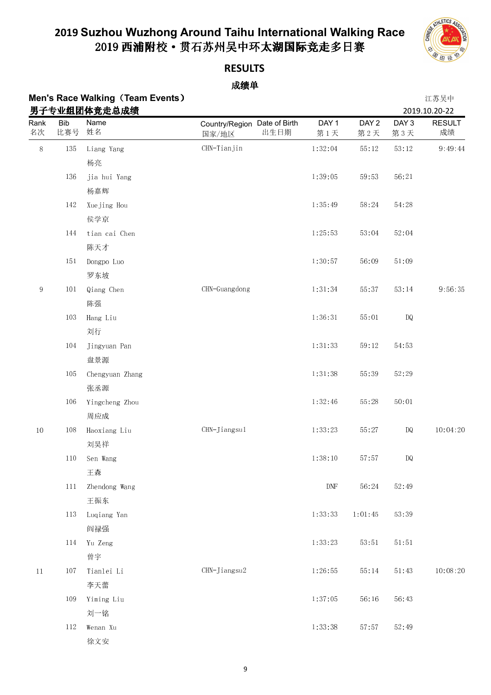

**RESULTS**

| Men's Race Walking (Team Events) | 江苏吴中          |
|----------------------------------|---------------|
| 男子专业组团体竞走总成绩                     | 2019.10.20-22 |

|            |                   | 男子专业组团体竞走总成绩    |                                       |      |                         |                         |                         | 2019.10.20-22       |
|------------|-------------------|-----------------|---------------------------------------|------|-------------------------|-------------------------|-------------------------|---------------------|
| Rank<br>名次 | <b>Bib</b><br>比赛号 | Name<br>姓名      | Country/Region Date of Birth<br>国家/地区 | 出生日期 | DAY <sub>1</sub><br>第1天 | DAY <sub>2</sub><br>第2天 | DAY <sub>3</sub><br>第3天 | <b>RESULT</b><br>成绩 |
| $8\,$      | 135               | Liang Yang      | CHN-Tianjin                           |      | 1:32:04                 | 55:12                   | $53\!:\!12$             | 9:49:44             |
|            |                   | 杨亮              |                                       |      |                         |                         |                         |                     |
|            | 136               | jia hui Yang    |                                       |      | 1:39:05                 | 59:53                   | 56:21                   |                     |
|            |                   | 杨嘉辉             |                                       |      |                         |                         |                         |                     |
|            | 142               | Xuejing Hou     |                                       |      | 1:35:49                 | 58.24                   | 54:28                   |                     |
|            |                   | 侯学京             |                                       |      |                         |                         |                         |                     |
|            | 144               | tian cai Chen   |                                       |      | 1:25:53                 | 53:04                   | 52:04                   |                     |
|            |                   | 陈天才             |                                       |      |                         |                         |                         |                     |
|            | 151               | Dongpo Luo      |                                       |      | 1:30:57                 | 56:09                   | 51:09                   |                     |
|            |                   | 罗东坡             |                                       |      |                         |                         |                         |                     |
| $\,9$      | 101               | Qiang Chen      | CHN-Guangdong                         |      | 1:31:34                 | 55:37                   | $53\colon\!14$          | 9:56:35             |
|            |                   | 陈强              |                                       |      |                         |                         |                         |                     |
|            | 103               | Hang Liu        |                                       |      | 1:36:31                 | 55:01                   | $\mathbf{D}\mathbf{Q}$  |                     |
|            |                   | 刘行              |                                       |      |                         |                         |                         |                     |
|            | 104               | Jingyuan Pan    |                                       |      | 1:31:33                 | 59:12                   | 54:53                   |                     |
|            |                   | 盘景源             |                                       |      |                         |                         |                         |                     |
|            | 105               | Chengyuan Zhang |                                       |      | 1:31:38                 | 55:39                   | 52:29                   |                     |
|            |                   | 张丞源             |                                       |      |                         |                         |                         |                     |
|            | 106               | Yingcheng Zhou  |                                       |      | 1:32:46                 | 55:28                   | $50\!\cdot\!01$         |                     |
|            |                   | 周应成             |                                       |      |                         |                         |                         |                     |
| $10\,$     | 108               | Haoxiang Liu    | CHN-Jiangsul                          |      | 1 33 23                 | 55:27                   | $\mathbb{D} \mathbb{Q}$ | 10:04:20            |
|            |                   | 刘昊祥             |                                       |      |                         |                         |                         |                     |
|            | 110               | Sen Wang        |                                       |      | 1.38.10                 | 57:57                   | $\mathbb{D} \mathbb{Q}$ |                     |
|            |                   | 王森              |                                       |      |                         |                         |                         |                     |
|            | 111               | Zhendong Wang   |                                       |      | $\mathop{\rm DNF}$      | 56.24                   | 52 49                   |                     |
|            |                   | 王振东             |                                       |      |                         |                         |                         |                     |
|            | 113               | Luqiang Yan     |                                       |      | 1:33:33                 | 1:01:45                 | 53:39                   |                     |
|            |                   | 阎禄强             |                                       |      |                         |                         |                         |                     |
|            | 114               | Yu Zeng         |                                       |      | 1 33 23                 | 53:51                   | 51:51                   |                     |
|            |                   | 曾宇              |                                       |      |                         |                         |                         |                     |
| $11\,$     | 107               | Tianlei Li      | CHN-Jiangsu2                          |      | 1:26:55                 | 55:14                   | $51\!\cdot\!43$         | 10:08:20            |
|            |                   | 李天蕾             |                                       |      |                         |                         |                         |                     |
|            | 109               | Yiming Liu      |                                       |      | 1:37:05                 | 56:16                   | 56:43                   |                     |
|            |                   | 刘一铭             |                                       |      |                         |                         |                         |                     |
|            | 112               | Wenan Xu        |                                       |      | 1:33:38                 | 57:57                   | 52:49                   |                     |
|            |                   | 徐文安             |                                       |      |                         |                         |                         |                     |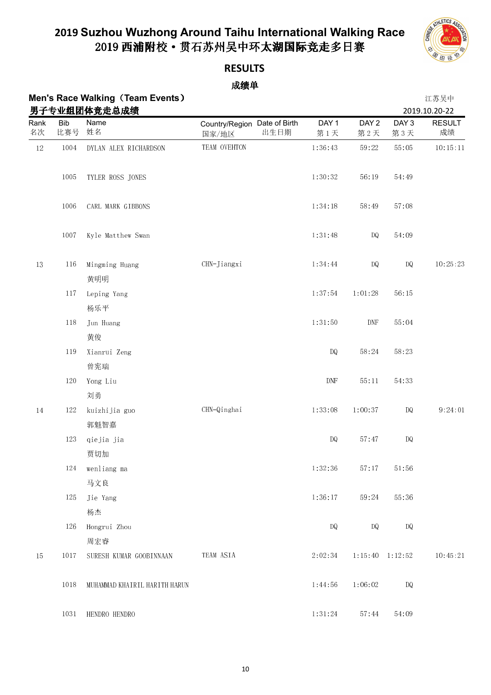

**RESULTS**

|            |                   | <b>Men's Race Walking (Team Events)</b><br>男子专业组团体竞走总成绩 |                                               |                             |                             |                         | 江苏吴中<br>2019.10.20-22 |
|------------|-------------------|---------------------------------------------------------|-----------------------------------------------|-----------------------------|-----------------------------|-------------------------|-----------------------|
| Rank<br>名次 | <b>Bib</b><br>比赛号 | Name<br>姓名                                              | Country/Region Date of Birth<br>出生日期<br>国家/地区 | DAY <sub>1</sub><br>第1天     | DAY <sub>2</sub><br>第2天     | DAY <sub>3</sub><br>第3天 | <b>RESULT</b><br>成绩   |
| $12\,$     | 1004              | DYLAN ALEX RICHARDSON                                   | TEAM OVEHTON                                  | 1:36:43                     | 59:22                       | 55:05                   | 10:15:11              |
|            | 1005              | TYLER ROSS JONES                                        |                                               | 1:30:32                     | 56:19                       | 54:49                   |                       |
|            | 1006              | CARL MARK GIBBONS                                       |                                               | 1:34:18                     | 58:49                       | 57:08                   |                       |
|            | 1007              | Kyle Matthew Swan                                       |                                               | 1:31:48                     | DQ                          | 54:09                   |                       |
| $13\,$     | 116               | Mingming Huang<br>黄明明                                   | CHN-Jiangxi                                   | 1:34:44                     | $\mathbf{D}\mathbf{Q}$      | DQ                      | 10:25:23              |
|            | 117               | Leping Yang<br>杨乐平                                      |                                               | 1:37:54                     | 1:01:28                     | 56:15                   |                       |
|            | 118               | Jun Huang<br>黄俊                                         |                                               | 1:31:50                     | $\ensuremath{\mathrm{DNF}}$ | 55:04                   |                       |
|            | 119               | Xianrui Zeng<br>曾宪瑞                                     |                                               | $\mathbf{D}\mathbf{Q}$      | 58:24                       | 58:23                   |                       |
|            | 120               | Yong Liu<br>刘勇                                          |                                               | $\ensuremath{\mathrm{DNF}}$ | 55:11                       | 54:33                   |                       |
| $14\,$     | 122               | kuizhijia guo<br>郭魁智嘉                                   | CHN-Qinghai                                   | 1:33:08                     | 1:00:37                     | $\mathbb{D} \mathbb{Q}$ | 9:24:01               |
|            | 123               | qiejia jia<br>贾切加                                       |                                               | DQ                          | 57:47                       | DQ                      |                       |
|            | 124               | wenliang ma<br>马文良                                      |                                               | 1:32:36                     | 57:17                       | 51:56                   |                       |
|            | 125               | Jie Yang<br>杨杰                                          |                                               | 1:36:17                     | 59:24                       | 55:36                   |                       |
|            | 126               | Hongrui Zhou<br>周宏睿                                     |                                               | <b>DQ</b>                   | <b>DQ</b>                   | DQ                      |                       |
| $15\,$     | 1017              | SURESH KUMAR GOOBINNAAN                                 | TEAM ASIA                                     | 2:02:34                     |                             | $1:15:40$ $1:12:52$     | 10:45:21              |
|            | 1018              | MUHAMMAD KHAIRIL HARITH HARUN                           |                                               | 1:44:56                     | 1:06:02                     | <b>DQ</b>               |                       |
|            | 1031              | HENDRO HENDRO                                           |                                               | 1:31:24                     | $57\!\cdot\!44$             | 54:09                   |                       |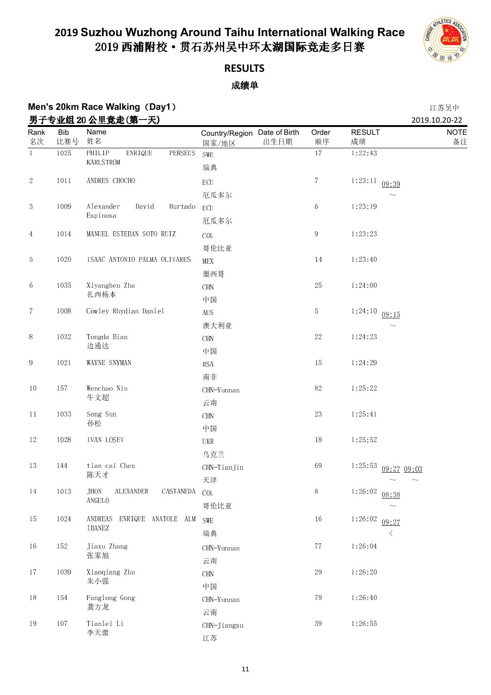

## **RESULTS**

### 成绩单

### **Men's 20km Race Walking**(**Day1**) 江苏吴中 **男子专业组 20 公里竞走(第一天)** 2019.10.20-22

| ᅎ<br>Rank      | <b>Bib</b> | マ业组 40 公主兄疋(分<br>ハノ<br>Name               | Country/Region Date of Birth | Order            | <b>RESULT</b>          | ZUIY.IU.ZU-ZZ<br><b>NOTE</b> |
|----------------|------------|-------------------------------------------|------------------------------|------------------|------------------------|------------------------------|
| 名次             | 比赛号        | 姓名                                        | 出生日期<br>国家/地区                | 顺序               | 成绩                     | 备注                           |
| $\overline{1}$ | $1025\,$   | PHILIP<br>ENRIQUE<br>PERSEUS<br>KARLSTROM | SWE                          | $17\,$           | 1:22:43                |                              |
|                |            |                                           | 瑞典                           |                  |                        |                              |
| $\mathbf{2}$   | 1011       | ANDRES CHOCHO                             | $\operatorname{ECU}$         | $\sqrt{7}$       | $1:23:11$ 09:39        |                              |
|                |            |                                           | 厄瓜多尔                         |                  |                        |                              |
| $\sqrt{3}$     | 1009       | Alexander<br>David<br>Hurtado<br>Espinosa | <b>ECU</b>                   | $\,6\,$          | 1:23:19                |                              |
|                |            |                                           | 厄瓜多尔                         |                  |                        |                              |
| 4              | 1014       | MANUEL ESTEBAN SOTO RUIZ                  | $\rm COL$                    | $\boldsymbol{9}$ | 1:23:23                |                              |
|                |            |                                           | 哥伦比亚                         |                  |                        |                              |
| 5              | $1020\,$   | ISAAC ANTONIO PALMA OLIVARES              | MEX                          | 14               | 1:23:40                |                              |
|                |            |                                           | 墨西哥                          |                  |                        |                              |
| $\,6\,$        | 1035       | Xiyangben Zha                             | CHN                          | $25\,$           | 1:24:00                |                              |
|                |            | 扎西杨本                                      | 中国                           |                  |                        |                              |
| $\tau$         | 1008       | Cowley Rhydian Daniel                     | <b>AUS</b>                   | $\mathbf 5$      | 1:24:10<br>09:15       |                              |
|                |            |                                           | 澳大利亚                         |                  |                        |                              |
| 1032<br>$\, 8$ |            | Tongda Bian                               | CHN                          | $22\,$           | 1:24:23                |                              |
|                |            | 边通达                                       | 中国                           |                  |                        |                              |
| 9              | 1021       | WAYNE SNYMAN                              | <b>RSA</b>                   | $15\,$           | 1:24:29                |                              |
|                |            |                                           | 南非                           |                  |                        |                              |
| $10\,$         | $15\,7$    | Wenchao Niu                               | CHN-Yunnan                   | $82\,$           | 1:25:22                |                              |
|                |            | 牛文超                                       | 云南                           |                  |                        |                              |
| 11             | 1033       | Song Sun                                  | <b>CHN</b>                   | $23\,$           | 1:25:41                |                              |
|                |            | 孙松                                        | 中国                           |                  |                        |                              |
| 12             | 1028       | IVAN LOSEV                                | UKR                          | $18\,$           | 1:25:52                |                              |
|                |            |                                           | 乌克兰                          |                  |                        |                              |
| $13\,$         | 144        | tian cai Chen                             | CHN-Tianjin                  | 69               | 1.25.53<br>09:27 09:03 |                              |
|                |            | 陈天才                                       | 天津                           |                  |                        |                              |
| 14             | $10\,13$   | JHON ALEXANDER CASTANEDA COL              |                              | 8                | 1:26:02<br>08:38       |                              |
|                |            | ANGULO                                    | 哥伦比亚                         |                  |                        |                              |
| 15             | $1024\,$   | ANDREAS ENRIQUE ANATOLE ALM               | SWE                          | $16\,$           | 1:26:02<br>09:27       |                              |
|                |            | IBANEZ                                    | 瑞典                           |                  | $\langle$              |                              |
| 16             | 152        | Jiaxu Zhang                               | CHN-Yunnan                   | $7\,7$           | 1:26:04                |                              |
|                |            | 张家旭                                       | 云南                           |                  |                        |                              |
| $17\,$         | 1039       | Xiaoqiang Zhu                             | $\rm CHN$                    | $29\,$           | 1:26:20                |                              |
|                |            | 朱小强                                       | 中国                           |                  |                        |                              |
| $18\,$         | 154        | Fanglong Gong                             | CHN-Yunnan                   | 79               | 1:26:40                |                              |
|                |            | 龚方龙                                       | 云南                           |                  |                        |                              |
| 19             | $107\,$    | Tianlei Li                                | CHN-Jiangsu                  | $3\sqrt{9}$      | 1:26:55                |                              |
|                |            | 李天蕾                                       | 江苏                           |                  |                        |                              |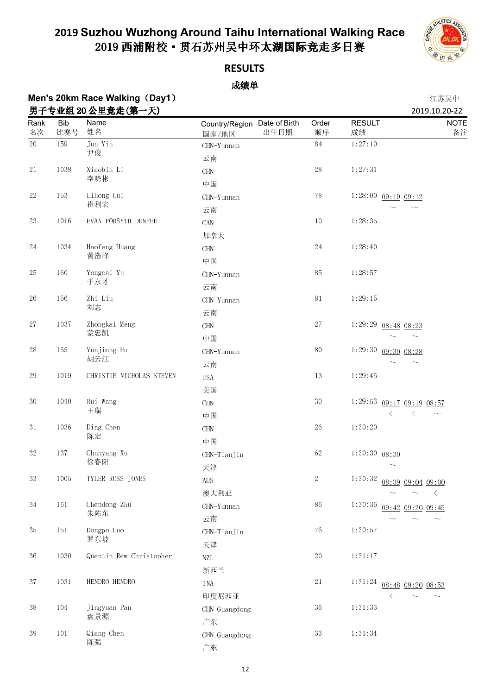

### **RESULTS**

### 成绩单

# **Men's 20km Race Walking**(**Day1**) 江苏吴中

| 男子专业组 20 公里竞走(第一天) |                   |                          |                                               |             |                     | 2019.10.20-22                                         |
|--------------------|-------------------|--------------------------|-----------------------------------------------|-------------|---------------------|-------------------------------------------------------|
| Rank<br>名次         | <b>Bib</b><br>比赛号 | Name<br>姓名               | Country/Region Date of Birth<br>出生日期<br>国家/地区 | Order<br>顺序 | <b>RESULT</b><br>成绩 | <b>NOTE</b><br>备注                                     |
| $20\,$             | 159               | Jun Yin<br>尹俊            | CHN-Yunnan<br>云南                              | 84          | 1:27:10             |                                                       |
| $2\sqrt{1}$        | 1038              | Xiaobin Li<br>李晓彬        | <b>CHN</b><br>中国                              | 28          | 1:27:31             |                                                       |
| $22\,$             | 153               | Lihong Cui<br>崔利宏        | CHN-Yunnan<br>云南                              | $78\,$      |                     | $1:28:00$ 09:19 09:12                                 |
| $23\,$             | 1016              | EVAN FORSYTH DUNFEE      | CAN<br>加拿大                                    | $10\,$      | 1 28 35             |                                                       |
| $24\,$             | 1034              | Haofeng Huang<br>黄浩峰     | <b>CHN</b><br>中国                              | $24\,$      | 1:28:40             |                                                       |
| 25                 | 160               | Yongcai Yu<br>于永才        | CHN-Yunnan<br>云南                              | 85          | 1 28 57             |                                                       |
| $26\,$             | 156               | Zhi Liu<br>刘志            | CHN-Yunnan<br>云南                              | $8\sqrt{1}$ | 1:29:15             |                                                       |
| $27\,$             | 1037              | Zhongkai Meng<br>蒙忠凯     | $\rm CHN$<br>中国                               | $2\,7$      |                     | $1:29:29$ 08:48 08:23<br>$\sim$                       |
| $28\,$             | 155               | Yunjiang Hu<br>胡云江       | CHN-Yunnan<br>云南                              | $80\,$      | 1:29:30             | 09:30 08:28                                           |
| $\rm 29$           | 1019              | CHRISTIE NICHOLAS STEVEN | <b>USA</b><br>美国                              | $13\,$      | 1:29:45             |                                                       |
| 30                 | 1040              | Rui Wang<br>王瑞           | <b>CHN</b><br>中国                              | $3\,0$      | 1:29:53             | 09:17 09:19 08:57<br>$\langle$<br>$\langle$<br>$\sim$ |
| $3\,1$             | 1036              | Ding Chen<br>陈定          | $\rm CHN$<br>中国                               | 26          | 1:30:20             |                                                       |
| $3\sqrt{2}$        | $13\,7$           | Chunyang Xu<br>徐春阳       | CHN-Tianjin<br>天津                             | 62          | $1:30:30$ 08:30     |                                                       |
| 33                 | 1005              | TYLER ROSS JONES         | $\rm{AUS}$<br>澳大利亚                            | 2           | 1:30:32             | 08:39 09:04 09:00<br>ぐ                                |
| 34                 | $161\,$           | Chendong Zhu<br>朱陈东      | CHN-Yunnan<br>云南                              | 86          | 1:30:36             | 09:42 09:20 09:45<br>$\widetilde{\phantom{m}}$        |
| 35                 | $151\,$           | Dongpo Luo<br>罗东坡        | CHN-Tianjin<br>天津                             | 76          | 1:30:57             |                                                       |
| 36                 | 1030              | Quentin Rew Christopher  | $\ensuremath{\text{NZL}}$<br>新西兰              | $20\,$      | 1:31:17             |                                                       |
| $3\,7$             | $103\,1$          | HENDRO HENDRO            | INA<br>印度尼西亚                                  | $2\sqrt{1}$ | 1 3 1 2 4           | 08:48 09:20 08:53                                     |
| $3\,8$             | 104               | Jingyuan Pan<br>盘景源      | CHN-Guangdong<br>广东                           | 36          | 1 3 1 3 3           |                                                       |
| $3\sqrt{9}$        | 101               | Qiang Chen<br>陈强         | CHN-Guangdong<br>广东                           | 33          | 1:31:34             |                                                       |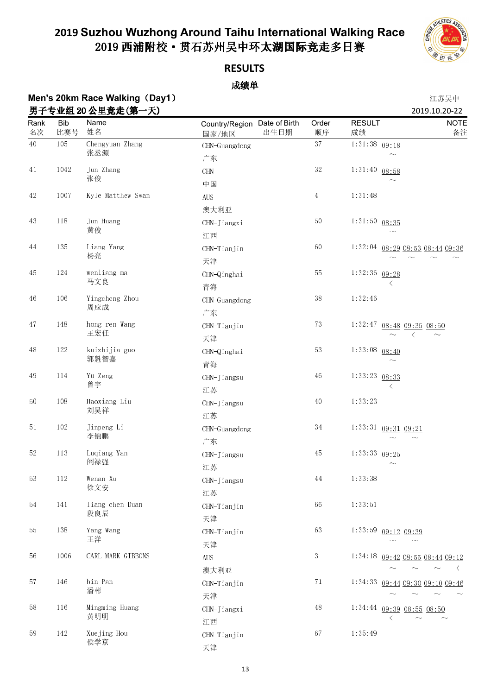

### **RESULTS**

### 成绩单

## **Men's 20km Race Walking**(**Day1**) 江苏吴中

|             |                   | 男子专业组 20 公里竞走(第一天)     |                                               |                |                     | 2019.10.20-22                                |
|-------------|-------------------|------------------------|-----------------------------------------------|----------------|---------------------|----------------------------------------------|
| Rank<br>名次  | <b>Bib</b><br>比赛号 | Name<br>姓名             | Country/Region Date of Birth<br>出生日期<br>国家/地区 | Order<br>顺序    | <b>RESULT</b><br>成绩 | <b>NOTE</b><br>备注                            |
| $40\,$      | 105               | Chengyuan Zhang<br>张丞源 | CHN-Guangdong<br>广东                           | 37             | $1:31:38$ 09:18     |                                              |
| $41\,$      | 1042              | Jun Zhang<br>张俊        | $\rm CHN$<br>中国                               | $3\sqrt{2}$    | 1:31:40             | 08:58                                        |
| $42\,$      | 1007              | Kyle Matthew Swan      | <b>AUS</b><br>澳大利亚                            | $\overline{4}$ | 1:31:48             |                                              |
| $43\,$      | 118               | Jun Huang<br>黄俊        | CHN-Jiangxi<br>江西                             | $50\,$         | $1:31:50$ 08:35     |                                              |
| 44          | 135               | Liang Yang<br>杨亮       | CHN-Tianjin<br>天津                             | 60             |                     | 1:32:04 08:29 08:53 08:44 09:36              |
| 45          | 124               | wenliang ma<br>马文良     | CHN-Qinghai<br>青海                             | $5\sqrt{5}$    | 1:32:36 09:28       | ぐ                                            |
| $\sqrt{46}$ | 106               | Yingcheng Zhou<br>周应成  | CHN-Guangdong<br>广东                           | $3\,8$         | 1:32:46             |                                              |
| 47          | 148               | hong ren Wang<br>王宏任   | CHN-Tianjin<br>天津                             | 73             | 1:32:47             | $08:48$ $09:35$ $08:50$<br>⟨                 |
| $48\,$      | 122               | kuizhijia guo<br>郭魁智嘉  | CHN-Qinghai<br>青海                             | $5\sqrt{3}$    | 1 33 08             | 08:40                                        |
| 49          | 114               | Yu Zeng<br>曾宇          | CHN-Jiangsu<br>江苏                             | $\sqrt{46}$    | 1:33:23             | 08:33<br>ぐ                                   |
| $50\,$      | $108\,$           | Haoxiang Liu<br>刘昊祥    | CHN-Jiangsu<br>江苏                             | $40\,$         | 1:33:23             |                                              |
| 51          | $102\,$           | Jinpeng Li<br>李锦鹏      | CHN-Guangdong<br>广东                           | $3\,4$         |                     | $1:33:31$ 09:31 09:21                        |
| $52\,$      | 113               | Luqiang Yan<br>阎禄强     | CHN-Jiangsu<br>江苏                             | $45\,$         | 1:33:33             | 09:25                                        |
| $5\sqrt{3}$ | $112\,$           | Wenan Xu<br>徐文安        | CHN-Jiangsu<br>江苏                             | $\rm 44$       | 1:33:38             |                                              |
| 54          | 141               | liang chen Duan<br>段良辰 | CHN-Tianjin<br>天津                             | 66             | 1:33:51             |                                              |
| 55          | 138               | Yang Wang<br>王洋        | CHN-Tianjin<br>天津                             | 63             |                     | 1:33:59 09:12 09:39                          |
| 56          | 1006              | CARL MARK GIBBONS      | ${\rm AUS}$<br>澳大利亚                           | $\sqrt{3}$     |                     | 1:34:18 09:42 08:55 08:44 09:12<br>$\langle$ |
| 57          | 146               | bin Pan<br>潘彬          | CHN-Tianjin<br>天津                             | 71             | 1 34 33             | 09:44 09:30 09:10 09:46                      |
| 58          | 116               | Mingming Huang<br>黄明明  | CHN-Jiangxi<br>江西                             | $48\,$         |                     | $1:34:44$ 09:39 08:55 08:50<br>ぐ             |
| 59          | 142               | Xuejing Hou<br>侯学京     | CHN-Tianjin<br>天津                             | 67             | 1:35:49             |                                              |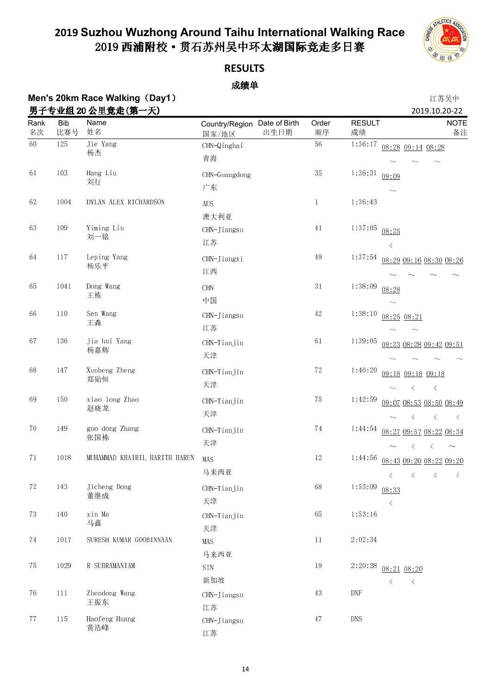

### **RESULTS**

#### 成绩单

### **Men's 20km Race Walking**(**Day1**) 江苏吴中 <u>男子专业组 20 公里竞走(第一天)</u> 2019.10.20-22

黄浩峰

| <u>~-</u>   | <b>Y 34.24 AV</b> | <u> 스エ</u> JUNU (기<br>ノヘノ     |                                               |              |                         | 4919.10.20 <i>LL</i>                                   |
|-------------|-------------------|-------------------------------|-----------------------------------------------|--------------|-------------------------|--------------------------------------------------------|
| Rank<br>名次  | <b>Bib</b><br>比赛号 | Name<br>姓名                    | Country/Region Date of Birth<br>出生日期<br>国家/地区 | Order<br>顺序  | <b>RESULT</b><br>成绩     | <b>NOTE</b><br>备注                                      |
| $60\,$      | 125               | Jie Yang<br>杨杰                | CHN-Qinghai<br>青海                             | $56\,$       | 1:36:17                 | 08:28 09:14 08:28                                      |
|             |                   |                               |                                               |              |                         |                                                        |
| 61          | 103               | Hang Liu<br>刘行                | CHN-Guangdong                                 | $3\sqrt{5}$  | 1:36:31<br>09:09        |                                                        |
|             |                   |                               | 广东                                            |              |                         |                                                        |
| 62          | 1004              | DYLAN ALEX RICHARDSON         | <b>AUS</b>                                    | $\mathbf{1}$ | 1:36:43                 |                                                        |
| 63          | 109               | Yiming Liu                    | 澳大利亚                                          | 41           | 1:37:05                 |                                                        |
|             |                   | 刘一铭                           | CHN-Jiangsu<br>江苏                             |              | 08:25<br>$\langle$      |                                                        |
| 64          | 117               | Leping Yang                   | CHN-Jiangxi                                   | $49\,$       | 1 37 54                 | 08:29 09:16 08:30 08:26                                |
|             |                   | 杨乐平                           | 江西                                            |              |                         |                                                        |
| 65          | 1041              | Dong Wang                     | CHN                                           | $3\,1$       | 1 38 09<br>08:28        |                                                        |
|             |                   | 王栋                            | 中国                                            |              |                         |                                                        |
| 66          | $110\,$           | Sen Wang                      | CHN-Jiangsu                                   | $42\,$       | 1:38:10                 | 08:25 08:21                                            |
|             |                   | 王森                            | 江苏                                            |              |                         |                                                        |
| 67          | 136               | jia hui Yang                  | CHN-Tianjin                                   | $61\,$       | 1:39:05                 | 09:23 08:28 09:42 09:51                                |
|             |                   | 杨嘉辉                           | 天津                                            |              |                         |                                                        |
| 68          | 147               | Xunheng Zheng                 | CHN-Tianjin                                   | 72           | 1:40:20                 | 09:18 09:18 09:18                                      |
|             |                   | 郑勋恒                           | 天津                                            |              |                         | $\langle$<br>$\langle$                                 |
| 69          | 150               | xiao long Zhao                | CHN-Tianjin                                   | $75\,$       | 1:42:59                 | 09:07 08:53 08:50 08:49                                |
|             |                   | 赵晓龙                           | 天津                                            |              |                         | $\lt$<br>$\langle$<br>$\langle$                        |
| 70          | 149               | guo dong Zhang                | CHN-Tianjin                                   | 74           | 1:44:54                 | 08:27 09:57 08:22 08:34                                |
|             |                   | 张国栋                           | 天津                                            |              |                         | $\langle$<br>$\langle$<br>$\sim$                       |
| $7\sqrt{1}$ | 1018              | MUHAMMAD KHAIRIL HARITH HARUN | MAS                                           | $12\,$       | 1:44:56                 | 08:43 09:20 08:22 09:20                                |
|             |                   |                               | 马来西亚                                          |              | $\langle$               | $\langle$<br>$\langle$<br>$\left\langle \right\rangle$ |
| $72\,$      | 143               | Jicheng Dong                  | CHN-Tianjin                                   | 68           | 1:53:09<br>08:33        |                                                        |
|             |                   | 董继成                           | 天津                                            |              | $\langle$               |                                                        |
| 73          | 140               | xin Ma                        | CHN-Tianjin                                   | 65           | 1:53:16                 |                                                        |
|             |                   | 马鑫                            | 天津                                            |              |                         |                                                        |
| $74\,$      | 1017              | SURESH KUMAR GOOBINNAAN       | MAS                                           | $11\,$       | 2:02:34                 |                                                        |
|             |                   |                               | 马来西亚                                          |              |                         |                                                        |
| 75          | 1029              | R SUBRAMANIAM                 | $\text{S} \text{I} \text{N}$                  | 19           | 2:20:28                 | $08:21$ $08:20$                                        |
| 76          | $111$             | Zhendong Wang                 | 新加坡                                           | 43           | $\langle$<br><b>DNF</b> | $\langle$                                              |
|             |                   | 王振东                           | CHN-Jiangsu<br>江苏                             |              |                         |                                                        |
| $7\,7$      | 115               | Haofeng Huang                 | CHN-Jiangsu                                   | $47\,$       | <b>DNS</b>              |                                                        |

江苏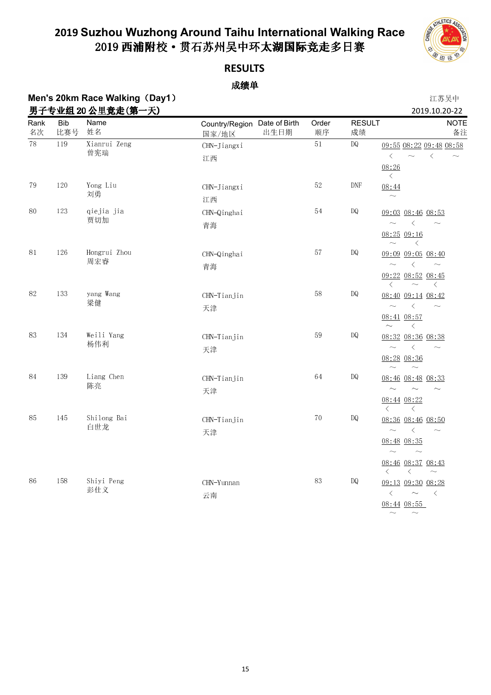

### **RESULTS**

### 成绩单

### **Men's 20km Race Walking**(**Day1**) 江苏吴中 男子专业组 20 男子专业组 20 公里竞走(第一天) 2019.10.20-22

| ガエ<br>Rank            | <b>Bib</b> | ∀业组 40 公主兄疋\另<br>天ノ<br>Name<br>姓名 | Country/Region Date of Birth | Order  | <b>RESULT</b>                                                                               | ZU19.10.ZU-ZZ<br><b>NOTE</b>                                          |
|-----------------------|------------|-----------------------------------|------------------------------|--------|---------------------------------------------------------------------------------------------|-----------------------------------------------------------------------|
| 名次<br>$\overline{78}$ | 比赛号        | Xianrui Zeng                      | 出生日期<br>国家/地区                | 顺序     | 成绩                                                                                          | 备注                                                                    |
|                       | 119        | 曾宪瑞                               | CHN-Jiangxi<br>江西            | 51     | <b>DQ</b>                                                                                   | 09:55 08:22 09:48 08:58<br>$\langle$<br>$\langle$<br>$\sim$<br>$\sim$ |
|                       |            |                                   |                              |        |                                                                                             | 08:26<br>$\langle$                                                    |
| 79                    | 120        | Yong Liu<br>刘勇                    | CHN-Jiangxi                  | 52     | DNF                                                                                         | 08:44                                                                 |
|                       |            |                                   | 江西                           |        |                                                                                             | $\sim$                                                                |
| 80                    | 123        | qiejia jia<br>贾切加                 | CHN-Qinghai                  | $5\,4$ | DQ                                                                                          | 09:03 08:46 08:53                                                     |
|                       |            |                                   | 青海                           |        |                                                                                             | $\sim$<br>$\langle$<br>$\sim$<br>$08.25$ 09:16                        |
|                       |            |                                   |                              |        |                                                                                             | $\langle$<br>$\sim$                                                   |
| 81                    | 126        | Hongrui Zhou<br>周宏睿               | CHN-Qinghai                  | $5\,7$ | <b>DQ</b>                                                                                   | 09:09 09:05 08:40                                                     |
|                       |            |                                   | 青海                           |        |                                                                                             | $\langle$<br>$\sim$<br>$\sim$                                         |
|                       |            |                                   |                              |        | 09:22 08:52 08:45<br>$\left\langle \right\rangle$<br>$\sim$<br>$\left\langle \right\rangle$ |                                                                       |
| 82                    | 133        | yang Wang<br>梁健                   | CHN-Tianjin                  | 58     | DQ                                                                                          | 08:40 09:14 08:42                                                     |
|                       |            |                                   | 天津                           |        |                                                                                             | $\langle$<br>$\sim$<br>$\sim$                                         |
|                       |            |                                   |                              |        |                                                                                             | 08:41 08:57<br>$\sim$<br>$\left\langle \right\rangle$                 |
| 83                    | 134        | Weili Yang<br>杨伟利                 | CHN-Tianjin                  | 59     | DQ                                                                                          | 08:32 08:36 08:38                                                     |
|                       |            |                                   | 天津                           |        |                                                                                             | $\sim$<br>$\langle$<br>$\sim$                                         |
|                       |            |                                   |                              |        |                                                                                             | 08:28 08:36<br>$\sim$<br>$\sim$                                       |
| 84                    | 139        | Liang Chen                        | CHN-Tianjin                  | 64     | DQ                                                                                          | 08:46 08:48 08:33                                                     |
|                       |            | 陈亮                                | 天津                           |        |                                                                                             | $\sim$<br>$\sim$<br>$\sim$                                            |
|                       |            |                                   |                              |        |                                                                                             | 08:44 08:22<br>$\langle$<br>$\langle$                                 |
| 85                    | 145        | Shilong Bai                       | CHN-Tianjin                  | $70\,$ | $\mathbb{D} \mathbb{Q}$                                                                     | 08:36 08:46 08:50                                                     |
|                       |            | 白世龙                               | 天津                           |        |                                                                                             | $\langle$<br>$\sim$<br>$\sim$                                         |
|                       |            |                                   |                              |        |                                                                                             | $08:48$ $08:35$<br>$\sim$<br>$\sim$                                   |
|                       |            |                                   |                              |        |                                                                                             | 08:46 08:37 08:43                                                     |
|                       |            |                                   |                              |        |                                                                                             | $\langle$<br>$\langle$<br>$\sim$                                      |
| 86                    | 158        | Shiyi Peng<br>彭仕义                 | CHN-Yunnan                   | 83     | DQ                                                                                          | 09:13 09:30 08:28<br>$\langle$<br>$\sim$<br>$\langle$                 |
|                       |            |                                   | 云南                           |        |                                                                                             | $08:44$ $08:55$                                                       |
|                       |            |                                   |                              |        |                                                                                             | $\sim$ $-$<br>$\widetilde{\phantom{m}}$                               |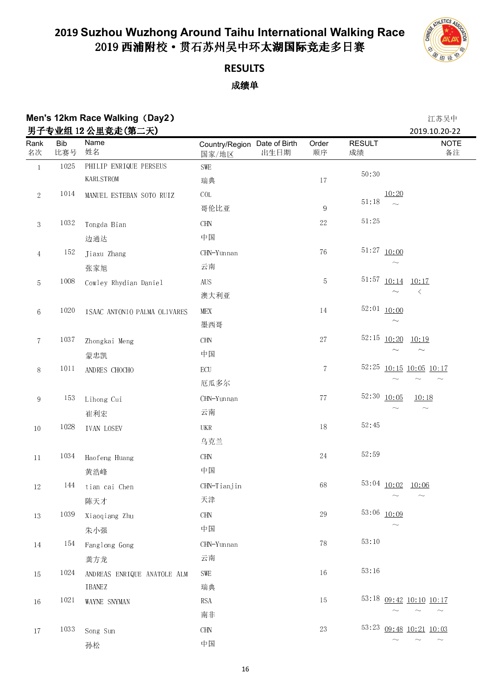

## **RESULTS**

| Men's 12km Race Walking (Day2) |            |                                       |                              |            |                           | 江苏吴中                         |
|--------------------------------|------------|---------------------------------------|------------------------------|------------|---------------------------|------------------------------|
| Rank                           | <b>Bib</b> | 男子专业组 12 公里竞走(第二天)<br>Name            | Country/Region Date of Birth | Order      | <b>RESULT</b>             | 2019.10.20-22<br><b>NOTE</b> |
| 名次                             | 比赛号        | 姓名                                    | 出生日期<br>国家/地区                | 顺序         | 成绩                        | 备注                           |
| $\,1\,$                        | 1025       | PHILIP ENRIQUE PERSEUS                | SWE                          |            | 50:30                     |                              |
|                                |            | KARLSTROM                             | 瑞典                           | $17\,$     |                           |                              |
| $\sqrt{2}$                     | 1014       | MANUEL ESTEBAN SOTO RUIZ              | COL                          |            | 10:20<br>$5\,1\cdot 18$   |                              |
|                                |            |                                       | 哥伦比亚                         | 9          |                           |                              |
| $\sqrt{3}$                     | 1032       | Tongda Bian                           | $\rm CHN$                    | $22\,$     | $51\!\cdot\!25$           |                              |
|                                |            | 边通达                                   | 中国                           |            |                           |                              |
| $\overline{4}$                 | 152        | Jiaxu Zhang                           | CHN-Yunnan                   | ${\bf 76}$ | $51:27$ $10:00$           |                              |
|                                |            | 张家旭                                   | 云南                           |            |                           |                              |
| $\mathbf 5$                    | 1008       | Cowley Rhydian Daniel                 | <b>AUS</b>                   | 5          | 51:57 10:14               | 10:17                        |
|                                |            |                                       | 澳大利亚                         |            |                           | $\langle$                    |
| $\boldsymbol{6}$               | 1020       | ISAAC ANTONIO PALMA OLIVARES          | MEX                          | $14\,$     | $52:01$ $10:00$           |                              |
|                                |            |                                       | 墨西哥                          |            | $\widetilde{\phantom{m}}$ |                              |
| $\overline{7}$                 | $103\,7$   | Zhongkai Meng                         | <b>CHN</b>                   | 27         | $52:15$ $10:20$           | 10:19                        |
|                                |            | 蒙忠凯                                   | 中国                           |            |                           | $\sim$                       |
| 8                              | $1011\,$   | ANDRES CHOCHO                         | ECU                          | $\tau$     | 52:25                     | $10:15$ $10:05$ $10:17$      |
|                                |            |                                       | 厄瓜多尔                         |            |                           | $\sim$                       |
| $\overline{9}$                 | 153        | Lihong Cui                            | CHN-Yunnan                   | $7\,7$     | 52:30 10:05               | 10:18                        |
|                                |            | 崔利宏                                   | 云南                           |            |                           | $\sim$                       |
| $10\,$                         | 1028       | <b>IVAN LOSEV</b>                     | UKR                          | $18\,$     | 52.45                     |                              |
|                                |            |                                       | 乌克兰                          |            |                           |                              |
| $11\,$                         | 1034       | Haofeng Huang                         | $\rm CHN$                    | $24\,$     | 52:59                     |                              |
|                                |            | 黄浩峰                                   | 中国                           |            |                           |                              |
| $12\,$                         | $144\,$    | tian cai Chen                         | CHN-Tianjin                  | 68         | 53:04 10:02 10:06         |                              |
|                                |            | 陈天才                                   | 天津                           |            |                           |                              |
| 13                             | 1039       | Xiaoqiang Zhu                         | $\rm CHN$                    | 29         | 53:06 10:09               |                              |
|                                |            | 朱小强                                   | 中国                           |            |                           |                              |
| $14\phantom{.}$                | 154        | Fanglong Gong                         | CHN-Yunnan                   | $78\,$     | 53:10                     |                              |
|                                |            |                                       | 云南                           |            |                           |                              |
|                                | 1024       | 龚方龙                                   | SWE                          | $16\,$     | 53:16                     |                              |
| 15                             |            | ANDREAS ENRIQUE ANATOLE ALM<br>IBANEZ | 瑞典                           |            |                           |                              |
| $16\,$                         | 1021       | WAYNE SNYMAN                          | <b>RSA</b>                   | $15\,$     |                           | 53:18 09:42 10:10 10:17      |
|                                |            |                                       | 南非                           |            |                           |                              |
|                                | 1033       | Song Sun                              | $\rm CHN$                    | $23\,$     |                           | 53:23 09:48 10:21 10:03      |
| $17\,$                         |            |                                       | 中国                           |            |                           | $\sim$                       |
|                                |            | 孙松                                    |                              |            |                           |                              |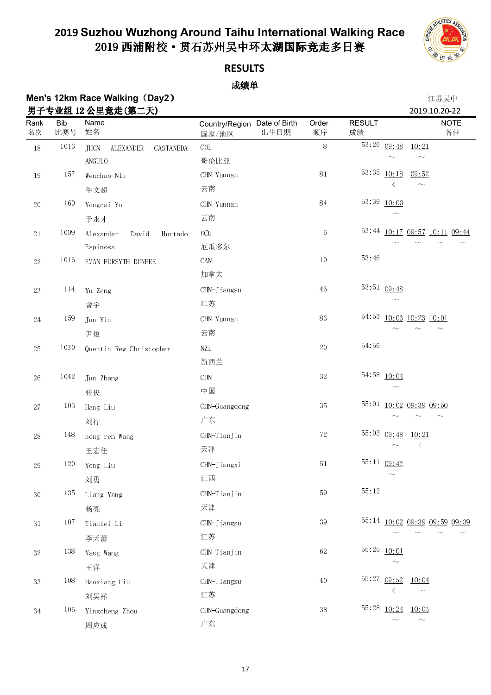

### **RESULTS**

### 成绩单

### **Men's 12km Race Walking**(**Day2**) 江苏吴中 男子专业组 12 男子专业组 12 公里竞走(第二天) 2019.10.20-22

| <u>ガエ</u><br>Rank<br>名次 | <b>Bib</b><br>比赛号 | 々业组 14 公主兄人(界一人)<br>Name<br>姓名        | Country/Region Date of Birth<br>国家/地区 | Order<br>出生日期<br>顺序 | <b>RESULT</b><br>成绩 | <b>NOTE</b><br>备注             |
|-------------------------|-------------------|---------------------------------------|---------------------------------------|---------------------|---------------------|-------------------------------|
| $18\,$                  | 1013              | <b>JHON</b><br>ALEXANDER<br>CASTANEDA | $\rm COL$                             | 8                   | 53:26               | 09:48<br>10:21                |
|                         |                   | ANGULO                                | 哥伦比亚                                  |                     |                     |                               |
| $19\,$                  | 157               | Wenchao Niu                           | CHN-Yunnan                            | $8\sqrt{1}$         | 53.35               | 10:18<br>09:52                |
|                         |                   | 牛文超                                   | 云南                                    |                     |                     | $\sim$                        |
| $20\,$                  | 160               | Yongcai Yu                            | CHN-Yunnan                            | $\bf 84$            | 53:39               | 10:00                         |
|                         |                   | 于永才                                   | 云南                                    |                     |                     |                               |
| $2\sqrt{1}$             | 1009              | Alexander<br>David<br>Hurtado         | ECU                                   | 6                   |                     | 53:44 10:17 09:57 10:11 09:44 |
|                         |                   | Espinosa                              | 厄瓜多尔                                  |                     |                     |                               |
| $22\,$                  | 1016              | EVAN FORSYTH DUNFEE                   | CAN                                   | $10\,$              | 53:46               |                               |
|                         |                   |                                       | 加拿大                                   |                     |                     |                               |
| $23\,$                  | 114               | Yu Zeng                               | CHN-Jiangsu                           | $46\,$              |                     | 53:51 09:48                   |
|                         |                   | 曾宇                                    | 江苏                                    |                     |                     |                               |
| 24                      | 159               | Jun Yin                               | CHN-Yunnan                            | 83                  |                     | 54:53 10:03 10:23 10:01       |
|                         |                   | 尹俊                                    | 云南                                    |                     |                     |                               |
| $25\,$                  | 1030              | Quentin Rew Christopher               | NZL                                   | $20\,$              | 54.56               |                               |
|                         |                   |                                       | 新西兰                                   |                     |                     |                               |
| $26\,$                  | 1042              | Jun Zhang                             | $\mathop{\rm CHN}\nolimits$           | $3\sqrt{2}$         |                     | 54:58 10:04                   |
|                         |                   | 张俊                                    | 中国                                    |                     |                     | $\sim$                        |
| $2\,7$                  | 103               | Hang Liu                              | CHN-Guangdong                         | 35                  |                     | 55:01 10:02 09:39 09:50       |
|                         |                   | 刘行                                    | 广东                                    |                     |                     |                               |
| $28\,$                  | 148               | hong ren Wang                         | CHN-Tianjin                           | $72\,$              |                     | 55:03 09:48<br>10:21          |
|                         |                   | 王宏任                                   | 天津                                    |                     |                     | $\langle$                     |
| 29                      | 120               | Yong Liu                              | CHN-Jiangxi                           | $5\,1$              |                     | $55:11$ 09:42                 |
|                         |                   | 刘勇                                    | 江西                                    |                     |                     | $\widetilde{\phantom{m}}$     |
| 30                      | 135               | Liang Yang                            | CHN-Tianjin                           | 59                  | 55:12               |                               |
|                         |                   | 杨亮                                    | 天津                                    |                     |                     |                               |
| $3\,1$                  | 107               | Tianlei Li                            | CHN-Jiangsu                           | 39                  |                     | 55:14 10:02 09:39 09:59 09:39 |
|                         |                   | 李天蕾                                   | 江苏                                    |                     |                     |                               |
| $3\sqrt{2}$             | 138               | Yang Wang                             | CHN-Tianjin                           | 62                  |                     | $55:25$ $10:01$               |
|                         |                   | 王洋                                    | 天津                                    |                     |                     |                               |
| $3\sqrt{3}$             | 108               | Haoxiang Liu                          | CHN-Jiangsu                           | 40                  |                     | 55:27 09:52 10:04             |
|                         |                   | 刘昊祥                                   | 江苏                                    |                     |                     | $\langle$<br>$\sim$           |
| $3\,4$                  | 106               | Yingcheng Zhou                        | CHN-Guangdong                         | $3\,8$              |                     | 55:28 10:24<br>10:05          |
|                         |                   | 周应成                                   | 广东                                    |                     |                     |                               |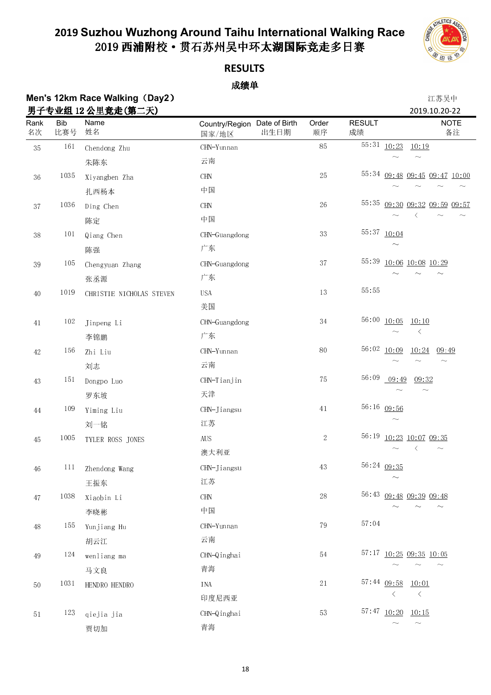

### **RESULTS**

#### 成绩单

### **Men's 12km Race Walking**(**Day2**) 江苏吴中 男子专业组 12 男子专业组 12 公里竞走(第二天) 2019.10.20-22

| <u>ガエ</u><br>Rank<br>名次 | <b>Bib</b><br>比赛号 | 々业组 14 公主兄疋∖界一大ノ<br>Name<br>姓名 | Country/Region Date of Birth<br>国家/地区 | 出生日期 | Order<br>顺序 | <b>RESULT</b><br>成绩 |                                        | ZUIY.IU.ZU-ZZ<br><b>NOTE</b><br>备注 |
|-------------------------|-------------------|--------------------------------|---------------------------------------|------|-------------|---------------------|----------------------------------------|------------------------------------|
| $3\sqrt{5}$             | $161\,$           | Chendong Zhu                   | CHN-Yunnan                            |      | 85          |                     | $\overline{55}:31$ $\underline{10}:23$ | 10:19                              |
|                         |                   | 朱陈东                            | 云南                                    |      |             |                     |                                        |                                    |
| $36\,$                  | 1035              | Xiyangben Zha                  | CHN                                   |      | 25          |                     |                                        | 55:34 09:48 09:45 09:47 10:00      |
|                         |                   | 扎西杨本                           | 中国                                    |      |             |                     |                                        |                                    |
| $3\,7$                  | 1036              | Ding Chen                      | $\rm CHN$                             |      | 26          | 55:35               |                                        | 09:30 09:32 09:59 09:57            |
|                         |                   | 陈定                             | 中国                                    |      |             |                     |                                        |                                    |
| $3\,8$                  | 101               | Qiang Chen                     | CHN-Guangdong                         |      | $3\sqrt{3}$ |                     | 55:37 10:04                            |                                    |
|                         |                   | 陈强                             | 广东                                    |      |             |                     |                                        |                                    |
| $3\sqrt{9}$             | 105               | Chengyuan Zhang                | CHN-Guangdong                         |      | 37          | 55:39               |                                        | 10:06 10:08 10:29                  |
|                         |                   | 张丞源                            | 广东                                    |      |             |                     |                                        |                                    |
| $40\,$                  | 1019              | CHRISTIE NICHOLAS STEVEN       | <b>USA</b>                            |      | $13\,$      | 55:55               |                                        |                                    |
|                         |                   |                                | 美国                                    |      |             |                     |                                        |                                    |
| $41\,$                  | $102\,$           | Jinpeng Li                     | CHN-Guangdong                         |      | $3\,4$      | 56:00               | 10:05                                  | 10:10                              |
|                         |                   | 李锦鹏                            | 广东                                    |      |             |                     |                                        | $\langle$                          |
| $42\,$                  | 156               | Zhi Liu                        | CHN-Yunnan                            |      | 80          | 56:02               | 10:09                                  | 10:24<br>09:49                     |
|                         |                   | 刘志                             | 云南                                    |      |             |                     |                                        |                                    |
| $43\,$                  | 151               | Dongpo Luo                     | CHN-Tianjin                           |      | 75          | 56:09               | 09:49                                  | 09:32                              |
|                         |                   | 罗东坡                            | 天津                                    |      |             |                     |                                        |                                    |
| $\rm 44$                | 109               | Yiming Liu                     | CHN-Jiangsu                           |      | $41\,$      |                     | 56:16 09:56                            |                                    |
|                         |                   | 刘一铭                            | 江苏                                    |      |             |                     |                                        |                                    |
| $45\,$                  | 1005              | TYLER ROSS JONES               | $\rm{AUS}$                            |      | $\sqrt{2}$  |                     |                                        | 56:19 10:23 10:07 09:35            |
|                         |                   |                                | 澳大利亚                                  |      |             |                     |                                        |                                    |
| 46                      | 111               | Zhendong Wang                  | CHN-Jiangsu                           |      | 43          |                     | 56:24 09:35                            |                                    |
|                         |                   | 王振东                            | 江苏                                    |      |             |                     | $\widetilde{\phantom{m}}$              |                                    |
| $47\,$                  | 1038              | Xiaobin Li                     | CHN                                   |      | 28          |                     |                                        | 56:43 09:48 09:39 09:48            |
|                         |                   | 李晓彬                            | 中国                                    |      |             |                     |                                        | $\sim$                             |
| $48\,$                  | 155               | Yunjiang Hu                    | CHN-Yunnan                            |      | 79          | 57.04               |                                        |                                    |
|                         |                   | 胡云江                            | 云南                                    |      |             |                     |                                        |                                    |
| 49                      | 124               | wenliang ma                    | CHN-Qinghai                           |      | $5\,4$      |                     |                                        | 57:17 10:25 09:35 10:05            |
|                         |                   | 马文良                            | 青海                                    |      |             |                     |                                        |                                    |
| $50\,$                  | $103\sqrt{1}$     | HENDRO HENDRO                  | INA                                   |      | $2\sqrt{1}$ |                     | $57:44$ 09:58                          | 10:01                              |
|                         |                   |                                | 印度尼西亚                                 |      |             |                     | $\langle$                              | $\langle$                          |
| $5\,1$                  | 123               | qiejia jia                     | CHN-Qinghai                           |      | $5\sqrt{3}$ |                     | 57:47 10:20 10:15                      |                                    |
|                         |                   | 贾切加                            | 青海                                    |      |             |                     |                                        | $\sim$                             |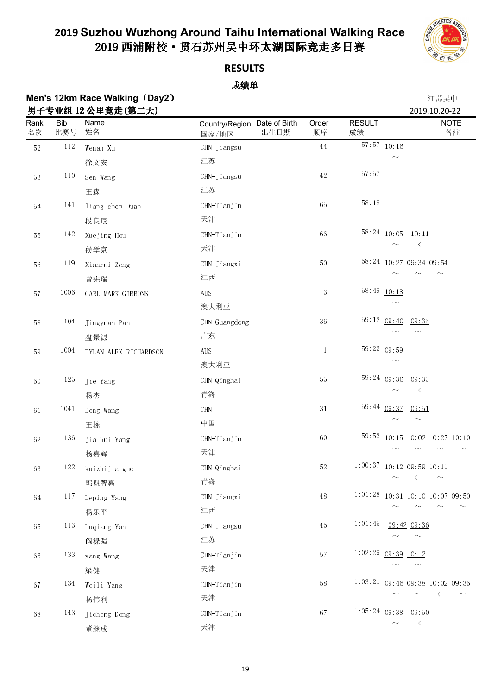

### **RESULTS**

| Men's 12km Race Walking (Day2) | 江苏吴中         |
|--------------------------------|--------------|
| 男子专业组 12 公里竞走(第二天)             | 2019.10.20-2 |

|             |                   | 男子专业组 12 公里竞走(第二天)    |                                       |      |              |                     | 2019.10.20-22                       |
|-------------|-------------------|-----------------------|---------------------------------------|------|--------------|---------------------|-------------------------------------|
| Rank<br>名次  | <b>Bib</b><br>比赛号 | Name<br>姓名            | Country/Region Date of Birth<br>国家/地区 | 出生日期 | Order<br>顺序  | <b>RESULT</b><br>成绩 | <b>NOTE</b><br>备注                   |
| $52\,$      | 112               | Wenan Xu              | CHN-Jiangsu                           |      | $\rm 44$     |                     | $\overline{57}$ : 57 10:16          |
|             |                   | 徐文安                   | 江苏                                    |      |              |                     |                                     |
| $5\sqrt{3}$ | 110               | Sen Wang              | CHN-Jiangsu                           |      | $42\,$       | 57:57               |                                     |
|             |                   | 王森                    | 江苏                                    |      |              |                     |                                     |
| $5\,4$      | 141               | liang chen Duan       | $CHN-Tianjin$                         |      | 65           | 58:18               |                                     |
|             |                   | 段良辰                   | 天津                                    |      |              |                     |                                     |
| 55          | 142               | Xuejing Hou           | CHN-Tianjin                           |      | 66           |                     | $58:24$ $10:05$<br>10:11            |
|             |                   | 侯学京                   | 天津                                    |      |              |                     | $\leq$                              |
| $56\,$      | 119               | Xianrui Zeng          | CHN-Jiangxi                           |      | $50\,$       |                     | 58:24 10:27 09:34 09:54             |
|             |                   | 曾宪瑞                   | 江西                                    |      |              |                     |                                     |
| $5\,7$      | 1006              | CARL MARK GIBBONS     | ${\rm AUS}$                           |      | 3            | 58:49               | 10:18                               |
|             |                   |                       | 澳大利亚                                  |      |              |                     |                                     |
| $5\,8$      | 104               | Jingyuan Pan          | CHN-Guangdong                         |      | 36           |                     | 59:12 09:40<br>09:35                |
|             |                   | 盘景源                   | 广东                                    |      |              |                     | $\sim$<br>$\widetilde{\phantom{m}}$ |
| $5\,9$      | 1004              | DYLAN ALEX RICHARDSON | ${\rm AUS}$                           |      | $\mathbf{1}$ |                     | 59:22 09:59                         |
|             |                   |                       | 澳大利亚                                  |      |              |                     | $\widetilde{\phantom{m}}$           |
| 60          | 125               | Jie Yang              | CHN-Qinghai                           |      | 55           |                     | 59:24 09:36<br>09 35                |
|             |                   | 杨杰                    | 青海                                    |      |              |                     | $\langle$                           |
| 61          | 1041              | Dong Wang             | $\rm CHN$                             |      | 31           |                     | 59:44 09:37<br>09:51                |
|             |                   | 王栋                    | 中国                                    |      |              |                     | $\widetilde{\phantom{m}}$           |
| 62          | 136               | jia hui Yang          | CHN-Tianjin                           |      | 60           | 59:53               | 10:15 10:02 10:27 10:10             |
|             |                   | 杨嘉辉                   | 天津                                    |      |              |                     |                                     |
| 63          | 122               | kuizhijia guo         | CHN-Qinghai                           |      | $52\,$       |                     | $1:00:37$ $10:12$ $09:59$ $10:11$   |
|             |                   | 郭魁智嘉                  | 青海                                    |      |              |                     | $\sim$                              |
| 64          | 117               | Leping Yang           | CHN-Jiangxi                           |      | $48\,$       | 1:01:28             | 10:31 10:10 10:07 09:50             |
|             |                   | 杨乐平                   | 江西                                    |      |              |                     |                                     |
| 65          | 113               | Luqiang Yan           | CHN-Jiangsu                           |      | $45\,$       | 1:01:45             | 09:42 09:36                         |
|             |                   | 阎禄强                   | 江苏                                    |      |              |                     | $\sim$                              |
| 66          | 133               | yang Wang             | CHN-Tianjin                           |      | 57           | 1:02:29             | 09:39 10:12                         |
|             |                   | 梁健                    | 天津                                    |      |              |                     | $\widetilde{\phantom{m}}$           |
| 67          | 134               | Weili Yang            | CHN-Tianjin                           |      | 58           |                     | $1:03:21$ 09:46 09:38 10:02 09:36   |
|             |                   | 杨伟利                   | 天津                                    |      |              |                     | $\langle$                           |
| $68\,$      | 143               | Jicheng Dong          | CHN-Tianjin                           |      | 67           |                     | $1:05:24$ 09:38 09:50               |
|             |                   | 董继成                   | 天津                                    |      |              |                     | $\langle$                           |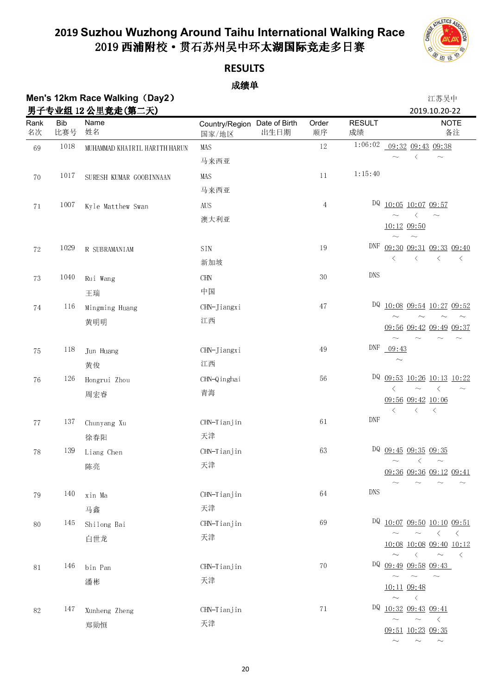

### **RESULTS**

### 成绩单

### **Men's 12km Race Walking**(**Day2**) 江苏吴中 男 - ナル 2019.10.20-22 <del>- スト / 数 - イ</del>ト

| Rank<br>名次  | <b>Bib</b><br>比赛号 | 男士专业组 Ⅰ2 公里克定(弗二大)<br>Name<br>姓名 | Country/Region Date of Birth<br>国家/地区 | 出生日期 | Order<br>顺序    | <b>RESULT</b><br>成绩 | <b>NOTE</b><br>备注                                                                   |
|-------------|-------------------|----------------------------------|---------------------------------------|------|----------------|---------------------|-------------------------------------------------------------------------------------|
| 69          | 1018              | MUHAMMAD KHAIRIL HARITH HARUN    | MAS                                   |      | $12\,$         | 1:06:02             | 09:32 09:43 09:38                                                                   |
|             |                   |                                  | 马来西亚                                  |      |                |                     | $\langle$<br>$\sim$                                                                 |
| 70          | 1017              | SURESH KUMAR GOOBINNAAN          | MAS                                   |      | 11             | 1:15:40             |                                                                                     |
|             |                   |                                  | 马来西亚                                  |      |                |                     |                                                                                     |
| $7\sqrt{1}$ | 1007              | Kyle Matthew Swan                | $\rm{AUS}$                            |      | $\overline{4}$ |                     | DQ 10:05 10:07 09:57                                                                |
|             |                   |                                  | 澳大利亚                                  |      |                |                     | $\langle$<br>$\sim$<br>$\sim$<br>10:12 09:50                                        |
|             |                   |                                  |                                       |      |                |                     | $\sim$                                                                              |
| $72\,$      | 1029              | R SUBRAMANIAM                    | SIN                                   |      | 19             |                     | DNF 09:30 09:31 09:33 09:40                                                         |
|             |                   |                                  | 新加坡                                   |      |                |                     | $\langle$<br>$\langle$<br>$\langle$<br>$\langle$                                    |
| 73          | 1040              | Rui Wang                         | <b>CHN</b>                            |      | 30             | <b>DNS</b>          |                                                                                     |
|             |                   | 王瑞                               | 中国                                    |      |                |                     |                                                                                     |
| $74\,$      | 116               | Mingming Huang                   | CHN-Jiangxi                           |      | 47             |                     | DQ 10:08 09:54 10:27 09:52                                                          |
|             |                   | 黄明明                              | 江西                                    |      |                |                     | 09:56 09:42 09:49 09:37                                                             |
|             |                   |                                  |                                       |      |                |                     |                                                                                     |
| 75          | 118               | Jun Huang                        | CHN-Jiangxi                           |      | $49\,$         | DNF                 | 09:43                                                                               |
|             |                   | 黄俊                               | 江西                                    |      |                |                     | $\widetilde{\phantom{m}}$                                                           |
| 76          | 126               | Hongrui Zhou                     | CHN-Qinghai                           |      | 56             |                     | DQ 09:53 10:26 10:13 10:22                                                          |
|             |                   | 周宏睿                              | 青海                                    |      |                |                     | $\langle$<br>$\sim$<br>$\langle$<br>09:56 09:42 10:06                               |
|             |                   |                                  |                                       |      |                |                     | $\langle$<br>$\langle$<br>$\prec$                                                   |
| 77          | 137               | Chunyang Xu                      | CHN-Tianjin                           |      | 61             | <b>DNF</b>          |                                                                                     |
|             |                   | 徐春阳                              | 天津                                    |      |                |                     |                                                                                     |
| 78          | 139               | Liang Chen                       | CHN-Tianjin                           |      | $63\,$         |                     | DQ 09:45 09:35 09:35                                                                |
|             |                   | 陈亮                               | 天津                                    |      |                |                     | $\langle$<br>$\sim$<br>09:36 09:36 09:12 09:41                                      |
|             |                   |                                  |                                       |      |                |                     |                                                                                     |
| 79          | 140               | xin Ma                           | CHN-Tianjin                           |      | 64             | <b>DNS</b>          |                                                                                     |
|             |                   | 马鑫                               | 天津                                    |      |                |                     |                                                                                     |
| 80          | 145               | Shilong Bai                      | CHN-Tianjin                           |      | 69             |                     | DQ 10:07 09:50 10:10 09:51                                                          |
|             |                   | 白世龙                              | 天津                                    |      |                |                     | $\sim \quad \sim \quad \  \  \, < \quad \  \  <$<br>$10:08$ $10:08$ $09:40$ $10:12$ |
|             |                   |                                  |                                       |      |                |                     | $\sim$ $\sim$<br>$\sim$<br>$\left\langle \right\rangle$                             |
| $8\sqrt{1}$ | 146               | bin Pan                          | CHN-Tianjin                           |      | 70             |                     | DQ 09:49 09:58 09:43                                                                |
|             |                   | 潘彬                               | 天津                                    |      |                |                     | $\sim$<br>$\sim$<br>$\sim$<br>10:11 09:48                                           |
|             |                   |                                  |                                       |      |                |                     | $\sim$ $ <$                                                                         |
| 82          | 147               | Xunheng Zheng                    | CHN-Tianjin                           |      | $7\sqrt{1}$    |                     | $DQ$ $10:32$ $09:43$ $09:41$                                                        |
|             |                   | 郑勋恒                              | 天津                                    |      |                |                     | $\sim$<br>$\sim$ $\leq$<br>$\sim$<br>09:51 10:23 09:35                              |
|             |                   |                                  |                                       |      |                |                     | $\sim$<br>$\sim$<br>$\sim$                                                          |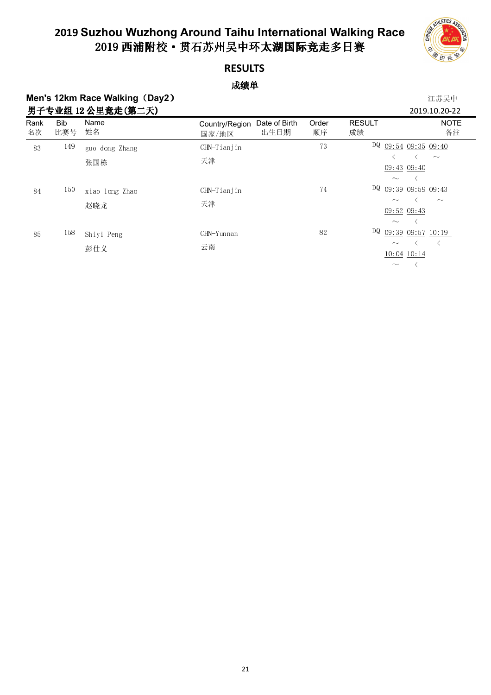

### **RESULTS**

### 成绩单

### **Men's 12km Race Walking (Day2) 2020 2020 2021 2021 2022 2021 2022 2021 2022 2022 2022 2022 2022 2022 2022 2022 202** 田之去业组 19 公田辛夫(第一王) 2010.10.20-22 2010.10.20-22

|            |                   |                |                                                  |             |                                                        | 2019.10.20-22              |
|------------|-------------------|----------------|--------------------------------------------------|-------------|--------------------------------------------------------|----------------------------|
| Rank<br>名次 | <b>Bib</b><br>比赛号 | Name<br>姓名     | Date of Birth<br>Country/Region<br>出生日期<br>国家/地区 | Order<br>顺序 | <b>RESULT</b><br>成绩                                    | <b>NOTE</b><br>备注          |
| 83         | 149               | guo dong Zhang | CHN-Tianjin                                      | 73          |                                                        | $DQ$ 09:54 09:35 09:40     |
|            |                   | 张国栋            | 天津                                               |             | $\widetilde{\phantom{m}}$                              | $\sim$<br>09:43 09:40      |
| 84         | 150               | xiao long Zhao | CHN-Tianjin                                      | 74          |                                                        | DQ $09:39$ $09:59$ $09:43$ |
|            |                   | 赵晓龙            | 天津                                               |             | $\widetilde{\phantom{m}}$<br>$\widetilde{\phantom{m}}$ | $\sim$<br>09:52 09:43      |
| 85         | 158               | Shiyi Peng     | CHN-Yunnan<br>云南                                 | 82          | $\sim$                                                 | DQ $09:39$ $09:57$ $10:19$ |
|            |                   | 彭仕义            |                                                  |             | $\widetilde{\phantom{m}}$                              | 10:04 10:14                |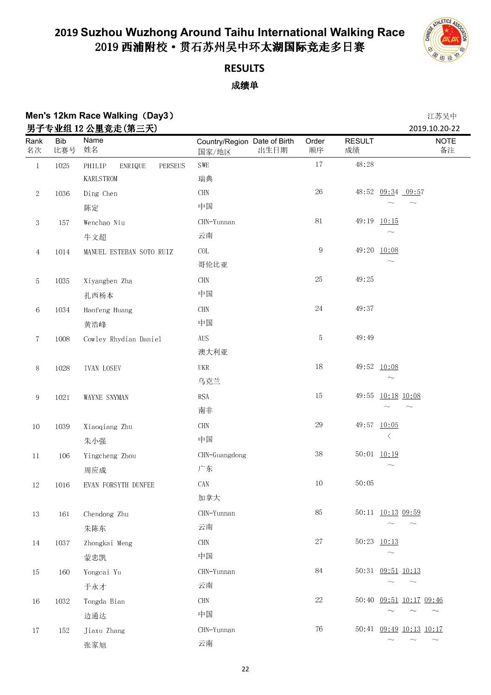

## **RESULTS**

### 成绩单

## **Men's 12km Race Walking (Day3) 2008年 12km Race Walking (Day3)**

|                |                   | 男子专业组 12 公里竞走(第三天)           |                                       |                     |                     | 2019.10.20-22                       |
|----------------|-------------------|------------------------------|---------------------------------------|---------------------|---------------------|-------------------------------------|
| Rank<br>名次     | <b>Bib</b><br>比赛号 | Name<br>姓名                   | Country/Region Date of Birth<br>国家/地区 | Order<br>出生日期<br>顺序 | <b>RESULT</b><br>成绩 | <b>NOTE</b><br>备注                   |
| $\,1\,$        | 1025              | PHILIP<br>PERSEUS<br>ENRIQUE | ${\tt SWE}$                           |                     | $17\,$<br>48:28     |                                     |
|                |                   | KARLSTROM                    | 瑞典                                    |                     |                     |                                     |
| $\sqrt{2}$     | 1036              | Ding Chen                    | $\rm CHN$                             |                     | $26\,$              | 48:52 09:34 09:57                   |
|                |                   | 陈定                           | 中国                                    |                     |                     | $\sim$                              |
| $\sqrt{3}$     | 157               | Wenchao Niu                  | CHN-Yunnan                            |                     | $8\sqrt{1}$         | 49:19 10:15                         |
|                |                   | 牛文超                          | 云南                                    |                     |                     | $\sim$                              |
| $\overline{4}$ | 1014              | MANUEL ESTEBAN SOTO RUIZ     | COL                                   |                     | $\,9$               | 49:20 10:08                         |
|                |                   |                              | 哥伦比亚                                  |                     |                     | $\widetilde{\phantom{m}}$           |
| $\mathbf 5$    | 1035              | Xiyangben Zha                | $\rm CHN$                             |                     | $25\,$<br>49:25     |                                     |
|                |                   | 扎西杨本                         | 中国                                    |                     |                     |                                     |
| $\,6\,$        | 1034              | Haofeng Huang                | $\rm CHN$                             |                     | $24\,$<br>49:37     |                                     |
|                |                   | 黄浩峰                          | 中国                                    |                     |                     |                                     |
| $\tau$         | 1008              | Cowley Rhydian Daniel        | ${\rm AUS}$                           |                     | 5<br>49:49          |                                     |
|                |                   |                              | 澳大利亚                                  |                     |                     |                                     |
| $8\,$          | 1028              | <b>IVAN LOSEV</b>            | $_{\rm{UKR}}$                         |                     | $18\,$              | 49:52 10:08                         |
|                |                   |                              | 乌克兰                                   |                     |                     |                                     |
| $\,9$          | 1021              | WAYNE SNYMAN                 | <b>RSA</b>                            |                     | $15\,$<br>49:55     | 10:18 10:08                         |
|                |                   |                              | 南非                                    |                     |                     | $\widetilde{\phantom{m}}$           |
| $10\,$         | 1039              | Xiaoqiang Zhu                | $\rm CHN$                             |                     | 29                  | 49:57 10:05                         |
|                |                   | 朱小强                          | 中国                                    |                     |                     | $\langle$                           |
| $11\,$         | 106               | Yingcheng Zhou               | CHN-Guangdong                         |                     | $3\,8$              | 50:01 10:19                         |
|                |                   | 周应成                          | 广东                                    |                     |                     | $\widetilde{\phantom{m}}$           |
| $12\,$         | 1016              | EVAN FORSYTH DUNFEE          | CAN                                   |                     | $10\,$<br>50:05     |                                     |
|                |                   |                              | 加拿大                                   |                     |                     |                                     |
| $13\,$         | 161               | Chendong Zhu                 | CHN-Yunnan                            |                     | 85                  | 50:11 10:13 09:59                   |
|                |                   | 朱陈东                          | 云南                                    |                     |                     | $\sim$<br>$\sim$                    |
| 14             | 1037              | Zhongkai Meng                | CHN                                   |                     | $27\,$              | 50:23 10:13                         |
|                |                   | 蒙忠凯                          | 中国                                    |                     |                     | $\sim$                              |
| $15\,$         | 160               | Yongcai Yu                   | CHN-Yunnan                            |                     | $\rm 84$            | 50:31 09:51 10:13                   |
|                |                   | 于永才                          | 云南                                    |                     |                     | $\sim$<br>$\sim$                    |
| $16\,$         | 1032              | Tongda Bian                  | CHN                                   |                     | $22\,$              | 50:40 09:51 10:17 09:46             |
|                |                   | 边通达                          | 中国                                    |                     |                     | $\widetilde{\phantom{m}}$<br>$\sim$ |
| 17             | 152               | Jiaxu Zhang                  | CHN-Yunnan                            |                     | ${\bf 76}$          | 50:41 09:49 10:13 10:17             |
|                |                   | 张家旭                          | 云南                                    |                     |                     | $\sim$                              |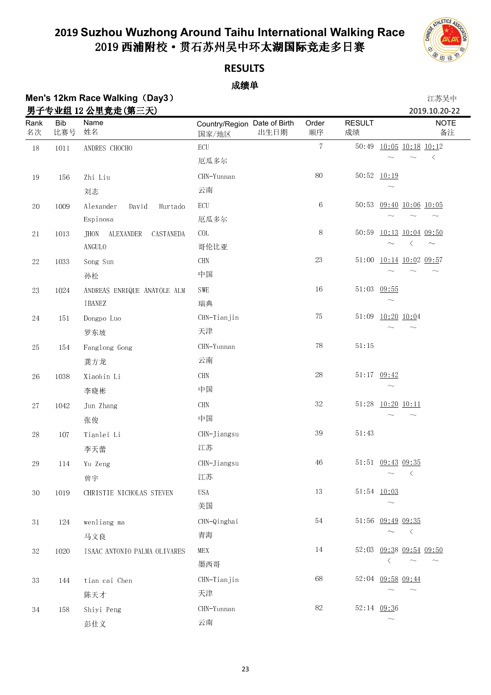

### **RESULTS**

### 成绩单

## **Men's 12km Race Walking**(**Day3**) 江苏吴中

|             |                   | 男子专业组 12 公里竞走(第三天)                    |                                               |                |                     | 2019.10.20-22                  |
|-------------|-------------------|---------------------------------------|-----------------------------------------------|----------------|---------------------|--------------------------------|
| Rank<br>名次  | <b>Bib</b><br>比赛号 | Name<br>姓名                            | Country/Region Date of Birth<br>出生日期<br>国家/地区 | Order<br>顺序    | <b>RESULT</b><br>成绩 | <b>NOTE</b><br>备注              |
| $18\,$      | $1011\,$          | ANDRES CHOCHO                         | $\operatorname{ECU}$                          | $\overline{7}$ |                     | 50:49 10:05 10:18 10:12        |
|             |                   |                                       | 厄瓜多尔                                          |                |                     | $\langle$                      |
| $19\,$      | 156               | Zhi Liu                               | CHN-Yunnan                                    | $80\,$         |                     | 50:52 10:19                    |
|             |                   | 刘志                                    | 云南                                            |                |                     |                                |
| $20\,$      | 1009              | Alexander<br>David<br>Hurtado         | $\operatorname{ECU}$                          | $\,6\,$        | 50:53               | 09:40 10:06 10:05              |
|             |                   | Espinosa                              | 厄瓜多尔                                          |                |                     | $\sim$                         |
| $2\sqrt{1}$ | 1013              | <b>JHON</b><br>ALEXANDER<br>CASTANEDA | $\rm COL$                                     | $8\,$          |                     | 50:59 10:13 10:04 09:50        |
|             |                   | ANGULO                                | 哥伦比亚                                          |                |                     | $\langle$<br>$\sim$            |
| $22\,$      | 1033              | Song Sun                              | $\rm CHN$                                     | 23             |                     | 51:00 10:14 10:02 09:57        |
|             |                   | 孙松                                    | 中国                                            |                |                     |                                |
| $23\,$      | 1024              | ANDREAS ENRIQUE ANATOLE ALM           | SWE                                           | $16\,$         | 51:03               | 09:55                          |
|             |                   | IBANEZ                                | 瑞典                                            |                |                     |                                |
| $24\,$      | $15\,1$           | Dongpo Luo                            | CHN-Tianjin                                   | 75             | 51:09               | 10:20 10:04                    |
|             |                   | 罗东坡                                   | 天津                                            |                |                     |                                |
| $25\,$      | 154               | Fanglong Gong                         | CHN-Yunnan                                    | $78\,$         | $51:15$             |                                |
|             |                   | 龚方龙                                   | 云南                                            |                |                     |                                |
| $26\,$      | 1038              | Xiaobin Li                            | $\rm CHN$                                     | $28\,$         |                     | 51:17 09:42                    |
|             |                   | 李晓彬                                   | 中国                                            |                |                     |                                |
| $2\sqrt{7}$ | 1042              | Jun Zhang                             | <b>CHN</b>                                    | $32\,$         |                     | 51:28 10:20 10:11              |
|             |                   | 张俊                                    | 中国                                            |                |                     |                                |
| $28\,$      | $107\,$           | Tianlei Li                            | $CHN-Jiang su$                                | $3\sqrt{9}$    | 51:43               |                                |
|             |                   | 李天蕾                                   | 江苏                                            |                |                     |                                |
| $\rm 29$    | 114               | Yu Zeng                               | CHN-Jiangsu                                   | 46             |                     | 51:51 09:43 09:35              |
|             |                   | 曾宇                                    | 江苏                                            |                |                     | $\sim$ $\sim$ $\sim$           |
| $3\,0$      | 1019              | CHRISTIE NICHOLAS STEVEN              | <b>USA</b>                                    | 13             |                     | 51:54 10:03                    |
|             |                   |                                       | 美国                                            |                |                     |                                |
| $3\,1$      | 124               | wenliang ma                           | CHN-Qinghai                                   | $5\,4$         |                     | 51:56 09:49 09:35              |
|             |                   | 马文良                                   | 青海                                            |                |                     | $\langle$                      |
| $3\sqrt{2}$ | 1020              | ISAAC ANTONIO PALMA OLIVARES          | MEX                                           | 14             |                     | 52:03 09:38 09:54 09:50        |
|             |                   |                                       | 墨西哥                                           |                |                     | ぐ<br>$\widetilde{\phantom{m}}$ |
| 33          | 144               | tian cai Chen                         | CHN-Tianjin                                   | 68             |                     | 52:04 09:58 09:44              |
|             |                   | 陈天才                                   | 天津                                            |                |                     |                                |
| 34          | 158               | Shiyi Peng                            | CHN-Yunnan                                    | $82\,$         |                     | 52:14 09:36                    |
|             |                   | 彭仕义                                   | 云南                                            |                |                     |                                |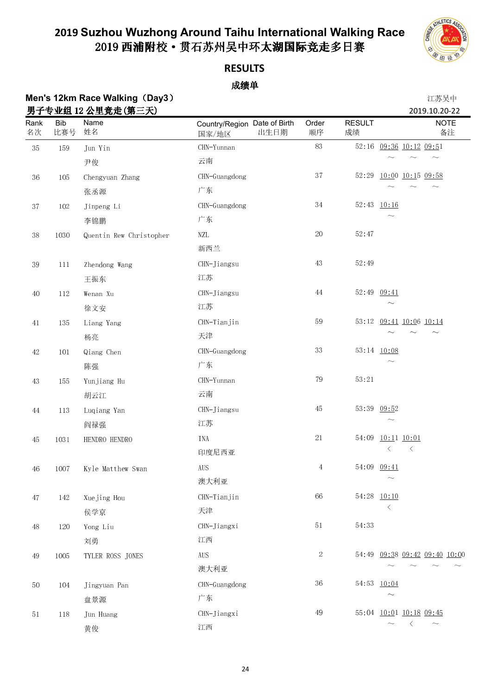

### **RESULTS**

### 成绩单

### **Men's 12km Race Walking (Day3) 2008年7月11日 12:00 12:00 12:00 12:00 12:00 12:00 12:00 12:00 12:00 12:00 12:00 12:00 12:00 12:00 12:00 12:00 12:00 12:00 12:00 12:00 12:00 12:00 12:00 12:00 12:00 12:00 12:00 12:00 12:00 12:0** 田之去业组 19 公田辛夫(第二王) 2010.10.20-22 2010.10.20-22

|             |                   | 为丁 <b>マ业</b> 组 12 公里克疋(界二大) |                                               |                |                     | 2019.10.20-22                 |
|-------------|-------------------|-----------------------------|-----------------------------------------------|----------------|---------------------|-------------------------------|
| Rank<br>名次  | <b>Bib</b><br>比赛号 | Name<br>姓名                  | Country/Region Date of Birth<br>出生日期<br>国家/地区 | Order<br>顺序    | <b>RESULT</b><br>成绩 | <b>NOTE</b><br>备注             |
| $3\sqrt{5}$ | 159               | Jun Yin                     | CHN-Yunnan                                    | $\rm 83$       |                     | 52:16 09:36 10:12 09:51       |
|             |                   | 尹俊                          | 云南                                            |                |                     |                               |
| $36\,$      | 105               | Chengyuan Zhang             | CHN-Guangdong                                 | 37             | 52:29               | 10:00 10:15 09:58             |
|             |                   | 张丞源                         | 广东                                            |                |                     |                               |
| $3\,7$      | 102               | Jinpeng Li                  | CHN-Guangdong                                 | $3\,4$         |                     | 52:43 10:16                   |
|             |                   | 李锦鹏                         | 广东                                            |                |                     |                               |
| $3\,8$      | $1\,03\,0$        | Quentin Rew Christopher     | NZL                                           | $20\,$         | 52:47               |                               |
|             |                   |                             | 新西兰                                           |                |                     |                               |
| $3\sqrt{9}$ | 111               | Zhendong Wang               | CHN-Jiangsu                                   | $43\,$         | 52:49               |                               |
|             |                   | 王振东                         | 江苏                                            |                |                     |                               |
| $40\,$      | $112\,$           | Wenan Xu                    | CHN-Jiangsu                                   | $44\,$         |                     | 52:49 09:41                   |
|             |                   | 徐文安                         | 江苏                                            |                |                     |                               |
| 41          | 135               | Liang Yang                  | CHN-Tianjin                                   | 59             |                     | 53:12 09:41 10:06 10:14       |
|             |                   | 杨亮                          | 天津                                            |                |                     |                               |
| $42\,$      | $10\sqrt{1}$      | Qiang Chen                  | CHN-Guangdong                                 | 33             |                     | 53:14 10:08                   |
|             |                   | 陈强                          | 广东                                            |                |                     |                               |
| 43          | 155               | Yunjiang Hu                 | CHN-Yunnan                                    | $79\,$         | 53:21               |                               |
|             |                   | 胡云江                         | 云南                                            |                |                     |                               |
| $\rm 44$    | $113\,$           | Luqiang Yan                 | CHN-Jiangsu                                   | 45             |                     | 53:39 09:52                   |
|             |                   | 阎禄强                         | 江苏                                            |                |                     |                               |
| $45\,$      | $1\,03\,1$        | HENDRO HENDRO               | INA                                           | $2\sqrt{1}$    |                     | 54:09 10:11 10:01             |
|             |                   |                             | 印度尼西亚                                         |                |                     | ⟨<br>⟨                        |
| $\sqrt{46}$ | 1007              | Kyle Matthew Swan           | $\rm{AUS}$                                    | $\overline{4}$ |                     | 54:09 09:41                   |
|             |                   |                             | 澳大利亚                                          |                |                     |                               |
| $47\,$      | 142               | Xuejing Hou                 | CHN-Tianjin                                   | 66             |                     | 54:28 10:10                   |
|             |                   | 侯学京                         | 天津                                            |                |                     | $\langle$                     |
| $48\,$      | 120               | Yong Liu                    | CHN-Jiangxi                                   | $5\,1$         | 54:33               |                               |
|             |                   | 刘勇                          | 江西                                            |                |                     |                               |
| 49          | 1005              | TYLER ROSS JONES            | <b>AUS</b>                                    | $\sqrt{2}$     |                     | 54:49 09:38 09:42 09:40 10:00 |
|             |                   |                             | 澳大利亚                                          |                |                     |                               |
| 50          | 104               | Jingyuan Pan                | CHN-Guangdong                                 | 36             |                     | 54:53 10:04                   |
|             |                   | 盘景源                         | 广东                                            |                |                     |                               |
| 51          | 118               | Jun Huang                   | CHN-Jiangxi                                   | 49             |                     | 55:04 10:01 10:18 09:45       |
|             |                   | 黄俊                          | 江西                                            |                |                     | $\langle$<br>$\sim$           |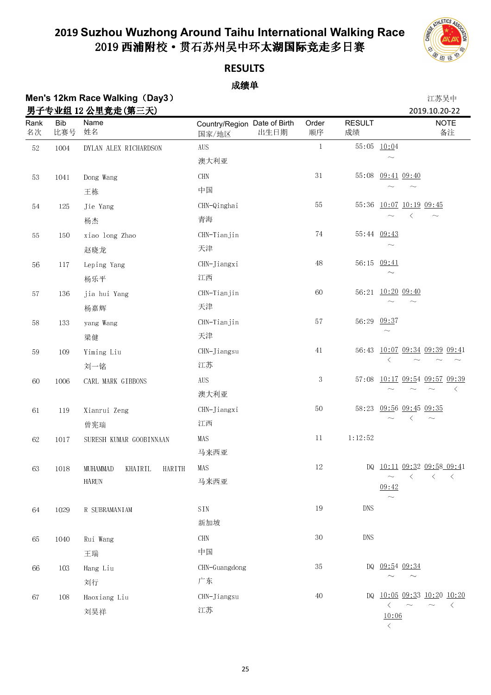

### **RESULTS**

### 成绩单

Rank 名次

65 1040 Rui Wang

66 103 Hang Liu

67 108 Haoxiang Liu

王瑞

刘行

刘昊祥

|             |                   | Men's 12km Race Walking (Day3)   |                                               |              |                     | 江苏吴中                                                            |
|-------------|-------------------|----------------------------------|-----------------------------------------------|--------------|---------------------|-----------------------------------------------------------------|
| Rank<br>名次  | <b>Bib</b><br>比赛号 | 男子专业组 12 公里竞走(第三天)<br>Name<br>姓名 | Country/Region Date of Birth<br>出生日期<br>国家/地区 | Order<br>顺序  | <b>RESULT</b><br>成绩 | 2019.10.20-22<br><b>NOTE</b><br>备注                              |
| $52\,$      | 1004              | DYLAN ALEX RICHARDSON            | <b>AUS</b>                                    | $\mathbf{1}$ |                     | 55:05 10:04                                                     |
|             |                   |                                  | 澳大利亚                                          |              |                     |                                                                 |
| $5\sqrt{3}$ | 1041              | Dong Wang                        | $\rm CHN$                                     | $3\,1$       | 55:08               | 09:41 09:40                                                     |
|             |                   | 王栋                               | 中国                                            |              |                     |                                                                 |
| 54          | 125               | Jie Yang                         | CHN-Qinghai                                   | $55\,$       | 55.36               | $10:07$ $10:19$ $09:45$                                         |
|             |                   | 杨杰                               | 青海                                            |              |                     | ⟨                                                               |
| $55\,$      | 150               | xiao long Zhao                   | CHN-Tianjin                                   | 74           |                     | 55:44 09:43                                                     |
|             |                   | 赵晓龙                              | 天津                                            |              |                     |                                                                 |
| 56          | 117               | Leping Yang                      | CHN-Jiangxi                                   | $48\,$       |                     | 56:15 09:41                                                     |
|             |                   | 杨乐平                              | 江西                                            |              |                     |                                                                 |
| $5\,7$      | 136               | jia hui Yang                     | CHN-Tianjin                                   | 60           |                     | 56:21 10:20 09:40                                               |
|             |                   | 杨嘉辉                              | 天津                                            |              |                     |                                                                 |
| $58\,$      | 133               | yang Wang                        | CHN-Tianjin                                   | $5\,7$       | 56.29               | 09:37                                                           |
|             |                   | 梁健                               | 天津                                            |              |                     | $\sim$                                                          |
| 59          | 109               | Yiming Liu                       | CHN-Jiangsu                                   | 41           | 56:43               | 10:07 09:34 09:39 09:41                                         |
|             |                   | 刘一铭                              | 江苏                                            |              |                     | $\langle$                                                       |
| 60          | 1006              | CARL MARK GIBBONS                | $\rm{AUS}$                                    | $\sqrt{3}$   |                     | 57:08 10:17 09:54 09:57 09:39                                   |
|             |                   |                                  | 澳大利亚                                          |              |                     | $\langle$                                                       |
| $6\sqrt{1}$ | 119               | Xianrui Zeng                     | CHN-Jiangxi                                   | 50           | 58:23               | 09:56 09:45 09:35                                               |
|             |                   | 曾宪瑞                              | 江西                                            |              |                     | ぐ<br>$\sim$                                                     |
| 62          | 1017              | SURESH KUMAR GOOBINNAAN          | MAS                                           | $11\,$       | 1:12:52             |                                                                 |
|             |                   |                                  | 马来西亚                                          |              |                     |                                                                 |
| 63          | 1018              | MUHAMMAD<br>KHAIRIL<br>HARITH    | MAS                                           | $12\,$       |                     | DQ 10:11 09:32 09:58 09:41                                      |
|             |                   | HARUN                            | 马来西亚                                          |              |                     | $\left\langle \right\rangle$<br>$\langle$<br>$\langle$<br>09:42 |
| 64          | 1029              | R SUBRAMANIAM                    | SIN                                           | 19           | <b>DNS</b>          |                                                                 |
|             |                   |                                  | 新加坡                                           |              |                     |                                                                 |

| DQ 09:54 09:34<br>∼        |  |  |
|----------------------------|--|--|
| DQ 10:05 09:33 10:20 10:20 |  |  |

10:06  $\langle$ 

30 DNS

 $35$ 

 $40$ 

CHN 中国

广东

江苏

CHN-Guangdong

CHN-Jiangsu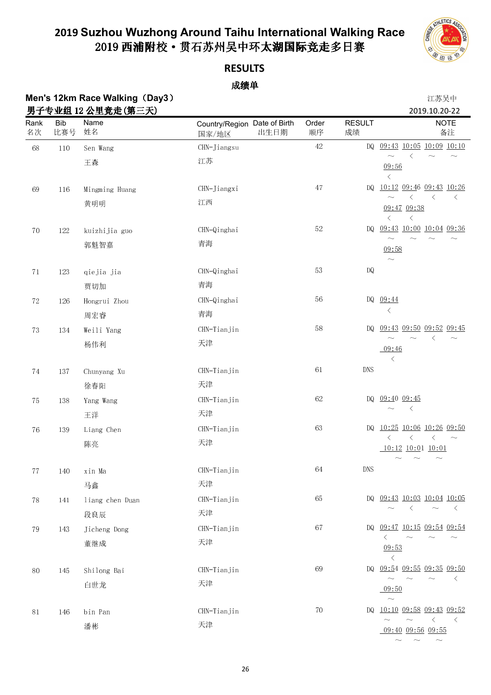

### **RESULTS**

### 成绩单

# **Men's 12km Race Walking (Day3)**

|           |  |        | 江苏吴中          |    |
|-----------|--|--------|---------------|----|
| $\ddotsc$ |  | $\sim$ | $\sim$ $\sim$ | -- |

|             |                   | 男子专业组 12 公里竞走(第三天) |                                               |             |                        | 2019.10.20-22                                                                          |
|-------------|-------------------|--------------------|-----------------------------------------------|-------------|------------------------|----------------------------------------------------------------------------------------|
| Rank<br>名次  | <b>Bib</b><br>比赛号 | Name<br>姓名         | Country/Region Date of Birth<br>出生日期<br>国家/地区 | Order<br>顺序 | <b>RESULT</b><br>成绩    | <b>NOTE</b><br>备注                                                                      |
| 68          | 110               | Sen Wang           | CHN-Jiangsu                                   | $42\,$      | DQ.                    | $09:43$ $10:05$ $10:09$ $10:10$                                                        |
|             |                   | 王森                 | 江苏                                            |             |                        | $\langle$<br>09:56<br>$\langle$                                                        |
| 69          | 116               | Mingming Huang     | CHN-Jiangxi                                   | $47\,$      | DQ                     | 10:12 09:46 09:43 10:26                                                                |
|             |                   | 黄明明                | 江西                                            |             |                        | $\langle$<br>$\langle$<br>$\langle$<br>$\sim$<br>09:47 09:38<br>$\langle$<br>$\langle$ |
| $70\,$      | 122               | kuizhijia guo      | CHN-Qinghai                                   | $52\,$      | DQ                     | 09:43 10:00 10:04 09:36                                                                |
|             |                   | 郭魁智嘉               | 青海                                            |             |                        | $\sim$<br>09:58<br>$\widetilde{\phantom{m}}$                                           |
| $7\sqrt{1}$ | 123               | qiejia jia         | CHN-Qinghai                                   | 53          | $\mathbf{D}\mathbf{Q}$ |                                                                                        |
|             |                   | 贾切加                | 青海                                            |             |                        |                                                                                        |
| $72\,$      | 126               | Hongrui Zhou       | CHN-Qinghai                                   | 56          |                        | DQ 09:44                                                                               |
|             |                   | 周宏睿                | 青海                                            |             |                        | $\langle$                                                                              |
| $73\,$      | 134               | Weili Yang         | CHN-Tianjin                                   | $58\,$      | DQ                     | 09:43 09:50 09:52 09:45                                                                |
|             |                   | 杨伟利                | 天津                                            |             |                        | ⟨<br>$\sim$<br>09:46<br>$\langle$                                                      |
| $74\,$      | 137               | Chunyang Xu        | CHN-Tianjin                                   | $6\sqrt{1}$ | <b>DNS</b>             |                                                                                        |
|             |                   | 徐春阳                | 天津                                            |             |                        |                                                                                        |
| $75\,$      | 138               | Yang Wang          | CHN-Tianjin                                   | 62          | DQ                     | 09.40 09:45                                                                            |
|             |                   | 王洋                 | 天津                                            |             |                        | $\langle$                                                                              |
| $76\,$      | 139               | Liang Chen         | CHN-Tianjin                                   | 63          | DQ                     | 10:25 10:06 10:26 09:50                                                                |
|             |                   | 陈亮                 | 天津                                            |             |                        | $\langle$<br>$\langle$<br>$\langle$<br>$\sim$<br>$10:12$ $10:01$ $10:01$               |
| 77          | 140               | xin Ma             | CHN-Tianjin                                   | 64          | DNS                    |                                                                                        |
|             |                   | 马鑫                 | 天津                                            |             |                        |                                                                                        |
| $78\,$      | 141               | liang chen Duan    | CHN-Tianjin                                   | 65          |                        | DQ 09:43 10:03 10:04 10:05                                                             |
|             |                   | 段良辰                | 天津                                            |             |                        | $\langle$<br>$\langle$<br>$\sim$                                                       |
| $79\,$      | 143               | Jicheng Dong       | CHN-Tianjin                                   | 67          | DQ.                    | $09:47$ $10:15$ $09:54$ $09:54$                                                        |
|             |                   | 董继成                | 天津                                            |             |                        | $\langle$<br>09.53<br>$\langle$                                                        |
| 80          | 145               | Shilong Bai        | CHN-Tianjin                                   | 69          | DQ                     | 09:54 09:55 09:35 09:50                                                                |
|             |                   | 白世龙                | 天津                                            |             |                        | $\sim$<br>ぐ<br>09:50<br>$\sim$                                                         |
| 81          | 146               | bin Pan            | CHN-Tianjin                                   | 70          | DQ.                    | 10:10 09:58 09:43 09:52                                                                |
|             |                   | 潘彬                 | 天津                                            |             |                        | $\langle$<br>$\langle$<br>09:40 09:56 09:55                                            |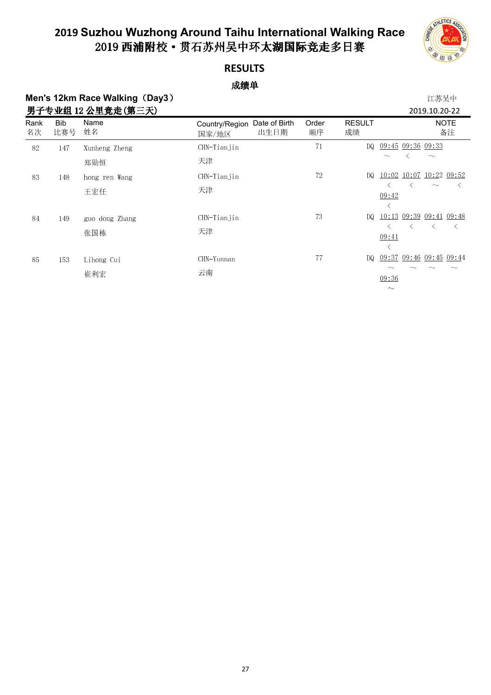

 $\sim$ 

### **RESULTS**

### 成绩单

## **Men's 12km Race Walking (Day3) 2008年7月11日 12:00 12:00 12:00 12:00 12:00 12:00 12:00 12:00 12:00 12:00 12:00 12:00 12:00 12:00 12:00 12:00 12:00 12:00 12:00 12:00 12:00 12:00 12:00 12:00 12:00 12:00 12:00 12:00 12:00 12:0**

|            |                   | 男子专业组 12 公里竞走(第三天)    |                                                  |             |                     | 2019.10.20-22                                                                 |
|------------|-------------------|-----------------------|--------------------------------------------------|-------------|---------------------|-------------------------------------------------------------------------------|
| Rank<br>名次 | <b>Bib</b><br>比赛号 | Name<br>姓名            | Date of Birth<br>Country/Region<br>出生日期<br>国家/地区 | Order<br>顺序 | <b>RESULT</b><br>成绩 | <b>NOTE</b><br>备注                                                             |
| 82         | 147               | Xunheng Zheng<br>郑勋恒  | CHN-Tianjin<br>天津                                | 71          | DQ.                 | $09.45$ $09.36$ $09.33$<br>$\sim$                                             |
| 83         | 148               | hong ren Wang<br>王宏任  | CHN-Tianjin<br>天津                                | 72          | DQ.                 | 10:02 10:07 10:22 09:52<br>$\widetilde{\phantom{m}}$<br>09:42                 |
| 84         | 149               | guo dong Zhang<br>张国栋 | CHN-Tianjin<br>天津                                | 73          | DQ.                 | 10:13 09:39 09:41 09:48<br>$\left\langle \right\rangle$<br>$\langle$<br>09:41 |
| 85         | 153               | Lihong Cui<br>崔利宏     | CHN-Yunnan<br>云南                                 | 77          |                     | DQ 09:37 09:46 09:45 09:44<br>09.36                                           |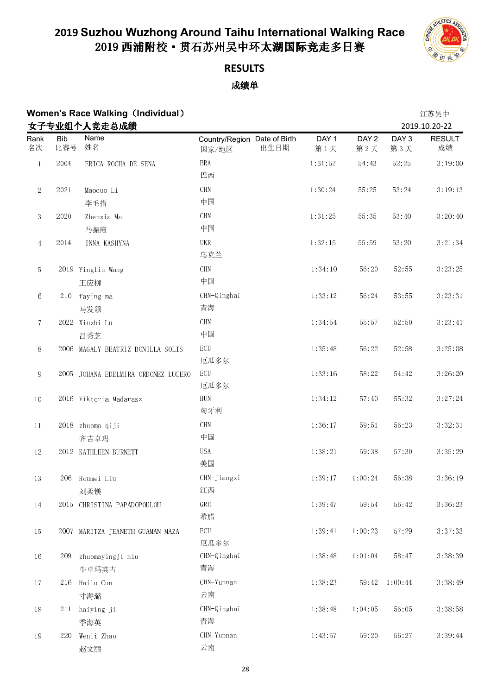

### **RESULTS** 成绩单

## **Women's Race Walking**(**Individual**) 江苏吴中

|                  |                   | 女子专业组个人竞走总成绩                        |                                               |              |                         |                         | 2019.10.20-22       |
|------------------|-------------------|-------------------------------------|-----------------------------------------------|--------------|-------------------------|-------------------------|---------------------|
| Rank<br>名次       | <b>Bib</b><br>比赛号 | Name<br>姓名                          | Country/Region Date of Birth<br>出生日期<br>国家/地区 | DAY 1<br>第1天 | DAY <sub>2</sub><br>第2天 | DAY <sub>3</sub><br>第3天 | <b>RESULT</b><br>成绩 |
| $\,1$            | 2004              | ERICA ROCHA DE SENA                 | <b>BRA</b>                                    | 1:31:52      | 54:43                   | 52:25                   | 3:19:00             |
|                  |                   |                                     | 巴西                                            |              |                         |                         |                     |
| $\sqrt{2}$       | 2021              | Maocuo Li                           | <b>CHN</b>                                    | 1:30:24      | 55:25                   | 53:24                   | 3:19:13             |
|                  |                   | 李毛措                                 | 中国                                            |              |                         |                         |                     |
| $\boldsymbol{3}$ | 2020              | Zhenxia Ma                          | CHN                                           | 1:31:25      | 55:35                   | 53:40                   | 3:20:40             |
|                  |                   | 马振霞                                 | 中国                                            |              |                         |                         |                     |
| $\overline{4}$   | 2014              | INNA KASHYNA                        | UKR<br>乌克兰                                    | 1:32:15      | 55:59                   | 53:20                   | 3:21:34             |
| 5                |                   | 2019 Yingliu Wang                   | CHN                                           | 1:34:10      | 56:20                   | 52:55                   | 3:23:25             |
|                  |                   | 王应柳                                 | 中国                                            |              |                         |                         |                     |
| 6                |                   | 210 faying ma                       | CHN-Qinghai                                   | 1:33:12      | 56:24                   | 53:55                   | 3:23:31             |
|                  |                   | 马发颖                                 | 青海                                            |              |                         |                         |                     |
| $\tau$           |                   | 2022 Xiuzhi Lu                      | <b>CHN</b>                                    | 1:34:54      | 55:57                   | 52:50                   | 3:23:41             |
|                  |                   | 吕秀芝                                 | 中国                                            |              |                         |                         |                     |
| $8\,$            |                   | 2006 MAGALY BEATRIZ BONILLA SOLIS   | $\operatorname{ECU}$<br>厄瓜多尔                  | 1:35:48      | 56:22                   | 52:58                   | 3:25:08             |
| $\,9$            |                   | 2005 JOHANA EDELMIRA ORDONEZ LUCERO | $\operatorname{ECU}$<br>厄瓜多尔                  | 1:33:16      | 58:22                   | 54:42                   | 3:26:20             |
| $10\,$           |                   | 2016 Viktoria Madarasz              | ${\rm HUN}$<br>匈牙利                            | 1:34:12      | 57:40                   | 55:32                   | 3:27:24             |
| $11\,$           |                   | 2018 zhuoma qiji                    | CHN                                           | 1:36:17      | 59:51                   | 56:23                   | 3:32:31             |
|                  |                   | 齐吉卓玛                                | 中国                                            |              |                         |                         |                     |
| $12\,$           |                   | 2012 KATHLEEN BURNETT               | <b>USA</b><br>美国                              | 1:38:21      | 59:38                   | 57:30                   | 3:35:29             |
| 13               |                   | 206 Roumei Liu                      | CHN-Jiangxi                                   | 1:39:17      | 1:00:24                 | 56:38                   | 3:36:19             |
|                  |                   | 刘柔镁                                 | 江西                                            |              |                         |                         |                     |
| $14\,$           |                   | 2015 CHRISTINA PAPADOPOULOU         | ${\tt GRE}$<br>希腊                             | 1:39:47      | 59:54                   | 56:42                   | 3:36:23             |
| $15\,$           |                   | 2007 MARITZA JEANETH GUAMAN MAZA    | $\operatorname{ECU}$                          | 1:39:41      | 1:00:23                 | 57:29                   | 3:37:33             |
|                  |                   |                                     | 厄瓜多尔                                          |              |                         |                         |                     |
| 16               | 209               | zhuomayingji niu                    | CHN-Qinghai                                   | 1:38:48      | 1:01:04                 | 58.47                   | 3:38:39             |
|                  |                   | 牛卓玛英吉                               | 青海                                            |              |                         |                         |                     |
| $17\,$           | 216               | Hailu Cun                           | CHN-Yunnan                                    | 1:38:23      |                         | 59:42  1:00:44          | 3:38:49             |
|                  |                   | 寸海璐                                 | 云南                                            |              |                         |                         |                     |
| $18\,$           |                   | 211 haiying ji                      | CHN-Qinghai                                   | 1:38:48      | 1:04:05                 | 56:05                   | 3:38:58             |
|                  |                   | 季海英                                 | 青海                                            |              |                         |                         |                     |
| 19               | 220               | Wenli Zhao                          | CHN-Yunnan                                    | 1:43:57      | 59:20                   | 56:27                   | 3:39:44             |
|                  |                   | 赵文丽                                 | 云南                                            |              |                         |                         |                     |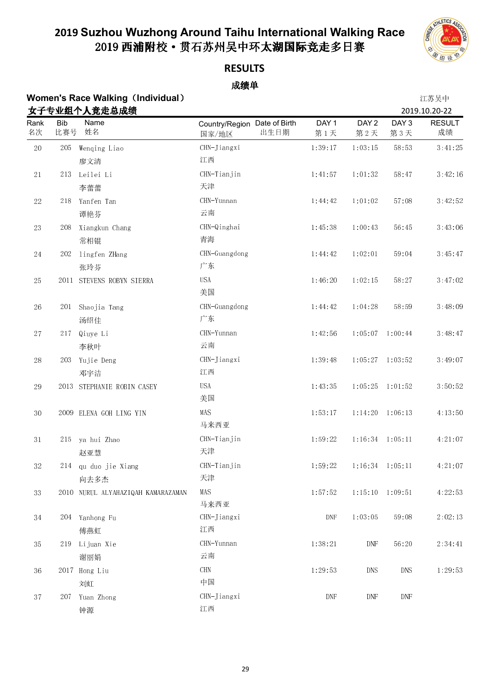

### **RESULTS**

| <b>Women's Race Walking (Individual)</b> | 江苏吴中          |
|------------------------------------------|---------------|
| 女子专业组个人竞走总成绩                             | 2019.10.20-22 |

|             |                   | 女子专业组个人竞走总成绩                       |                                               |                             |                         |                         | 2019.10.20-22           |
|-------------|-------------------|------------------------------------|-----------------------------------------------|-----------------------------|-------------------------|-------------------------|-------------------------|
| Rank<br>名次  | <b>Bib</b><br>比赛号 | Name<br>姓名                         | Country/Region Date of Birth<br>出生日期<br>国家/地区 | DAY 1<br>第1天                | DAY <sub>2</sub><br>第2天 | DAY <sub>3</sub><br>第3天 | <b>RESULT</b><br>成绩     |
| $20\,$      | 205               | Wenqing Liao                       | CHN-Jiangxi                                   | 1:39:17                     | 1:03:15                 | 58:53                   | $3 \tcdot 41 \tcdot 25$ |
|             |                   | 廖文清                                | 江西                                            |                             |                         |                         |                         |
| $2\sqrt{1}$ | 213               | Leilei Li                          | CHN-Tianjin                                   | 1:41:57                     | 1:01:32                 | 58:47                   | 3:42:16                 |
|             |                   | 李蕾蕾                                | 天津                                            |                             |                         |                         |                         |
| $22\,$      | 218               | Yanfen Tan                         | CHN-Yunnan                                    | 1:44:42                     | 1:01:02                 | 57:08                   | 3:42:52                 |
|             |                   | 谭艳芬                                | 云南                                            |                             |                         |                         |                         |
| $23\,$      | 208               | Xiangkun Chang                     | CHN-Qinghai                                   | 1:45:38                     | 1:00:43                 | 56.45                   | 3:43:06                 |
|             |                   | 常相锟                                | 青海                                            |                             |                         |                         |                         |
| 24          | 202               | lingfen ZHang                      | CHN-Guangdong                                 | 1:44:42                     | 1:02:01                 | 59:04                   | 3:45:47                 |
|             |                   | 张玲芬                                | 广东                                            |                             |                         |                         |                         |
| $25\,$      |                   | 2011 STEVENS ROBYN SIERRA          | <b>USA</b>                                    | 1:46:20                     | 1:02:15                 | 58:27                   | 3:47:02                 |
|             |                   |                                    | 美国                                            |                             |                         |                         |                         |
| 26          |                   | 201 Shaojia Tang                   | CHN-Guangdong                                 | 1:44:42                     | 1:04:28                 | 58:59                   | 3:48:09                 |
|             |                   | 汤绍佳                                | 广东                                            |                             |                         |                         |                         |
| $27\,$      | 217               | Qiuye Li                           | CHN-Yunnan                                    | 1:42:56                     |                         | $1:05:07$ 1:00:44       | 3:48:47                 |
|             |                   | 李秋叶                                | 云南                                            |                             |                         |                         |                         |
| $28\,$      | 203               | Yujie Deng                         | CHN-Jiangxi                                   | 1:39:48                     |                         | $1:05:27$ 1:03:52       | 3:49:07                 |
|             |                   | 邓宇洁                                | 江西                                            |                             |                         |                         |                         |
| $\rm 29$    |                   | 2013 STEPHANIE ROBIN CASEY         | <b>USA</b>                                    | 1:43:35                     |                         | $1:05:25$ $1:01:52$     | 3:50:52                 |
|             |                   |                                    | 美国                                            |                             |                         |                         |                         |
| $30\,$      |                   | 2009 ELENA GOH LING YIN            | MAS<br>马来西亚                                   | 1.53.17                     | 1:14:20                 | 1:06:13                 | 4:13:50                 |
| $3\,1$      | 215               | ya hui Zhao                        | CHN-Tianjin                                   | 1:59:22                     |                         | $1:16:34$ $1:05:11$     | 4:21:07                 |
|             |                   | 赵亚慧                                | 天津                                            |                             |                         |                         |                         |
| $3\sqrt{2}$ |                   | 214 qu duo jie Xiang               | CHN-Tianjin                                   | 1:59:22                     |                         | $1:16:34$ $1:05:11$     | 4:21:07                 |
|             |                   | 向去多杰                               | 天津                                            |                             |                         |                         |                         |
| 33          |                   | 2010 NURUL ALYAHAZIQAH KAMARAZAMAN | MAS                                           | 1:57:52                     | 1:15:10                 | 1:09:51                 | 4:22:53                 |
|             |                   |                                    | 马来西亚                                          |                             |                         |                         |                         |
| 34          |                   | 204 Yanhong Fu                     | CHN-Jiangxi                                   | $\ensuremath{\mathrm{DNF}}$ | 1:03:05                 | 59:08                   | 2:02:13                 |
|             |                   | 傅燕虹                                | 江西                                            |                             |                         |                         |                         |
| 35          | 219               | Lijuan Xie                         | CHN-Yunnan                                    | 1 38 21                     | DNF                     | 56:20                   | 2:34:41                 |
|             |                   | 谢丽娟                                | 云南                                            |                             |                         |                         |                         |
| 36          |                   | 2017 Hong Liu                      | $\rm CHN$                                     | 1:29:53                     | DNS                     | $\mathop{\rm DNS}$      | 1:29:53                 |
|             |                   | 刘虹                                 | 中国                                            |                             |                         |                         |                         |
| $3\,7$      | 207               | Yuan Zhong                         | CHN-Jiangxi                                   | $\ensuremath{\mathrm{DNF}}$ | DNF                     | DNF                     |                         |
|             |                   | 钟源                                 | 江西                                            |                             |                         |                         |                         |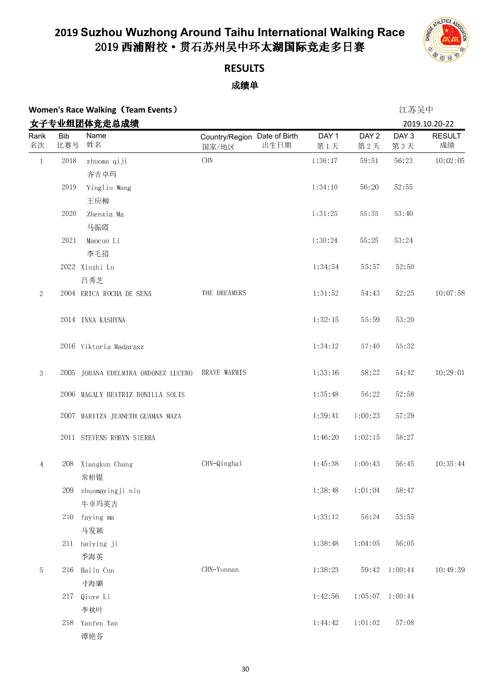

## **RESULTS**

|                |                   | <b>Women's Race Walking (Team Events)</b> |                                               |                         |                         | 江苏吴中                    |                     |
|----------------|-------------------|-------------------------------------------|-----------------------------------------------|-------------------------|-------------------------|-------------------------|---------------------|
|                |                   | 女子专业组团体竞走总成绩                              |                                               |                         |                         |                         | 2019.10.20-22       |
| Rank<br>名次     | <b>Bib</b><br>比赛号 | Name<br>姓名                                | Country/Region Date of Birth<br>出生日期<br>国家/地区 | DAY <sub>1</sub><br>第1天 | DAY <sub>2</sub><br>第2天 | DAY <sub>3</sub><br>第3天 | <b>RESULT</b><br>成绩 |
| $\mathbf{1}$   | $20\sqrt{18}$     | zhuoma qiji<br>齐吉卓玛                       | $\rm CHN$                                     | 1:36:17                 | 59:51                   | 56:23                   | 10:02:05            |
|                | 2019              | Yingliu Wang<br>王应柳                       |                                               | 1:34:10                 | 56:20                   | 52:55                   |                     |
|                | 2020              | Zhenxia Ma<br>马振霞                         |                                               | 1:31:25                 | 55:35                   | 53:40                   |                     |
|                | 2021              | Maocuo Li<br>李毛措                          |                                               | 1:30:24                 | 55:25                   | 53:24                   |                     |
|                |                   | 2022 Xiuzhi Lu<br>吕秀芝                     |                                               | 1:34:54                 | 55:57                   | 52:50                   |                     |
| $\sqrt{2}$     |                   | 2004 ERICA ROCHA DE SENA                  | THE DREAMERS                                  | 1:31:52                 | 54:43                   | 52:25                   | 10:07:58            |
|                |                   | 2014 INNA KASHYNA                         |                                               | 1:32:15                 | 55:59                   | 53:20                   |                     |
|                |                   | 2016 Viktoria Madarasz                    |                                               | 1:34:12                 | 57:40                   | 55:32                   |                     |
| 3              |                   | 2005 JOHANA EDELMIRA ORDONEZ LUCERO       | BRAVE WARMIS                                  | 1:33:16                 | 58:22                   | 54:42                   | 10:29:01            |
|                |                   | 2006 MAGALY BEATRIZ BONILLA SOLIS         |                                               | 1:35:48                 | 56:22                   | 52:58                   |                     |
|                |                   | 2007 MARITZA JEANETH GUAMAN MAZA          |                                               | 1:39:41                 | 1:00:23                 | 57:29                   |                     |
|                |                   | 2011 STEVENS ROBYN SIERRA                 |                                               | 1:46:20                 | 1:02:15                 | 58:27                   |                     |
| $\overline{4}$ |                   | 208 Xiangkun Chang<br>常相锟                 | CHN-Qinghai                                   | 1 45 38                 | 1:00:43                 | 56:45                   | 10:35:44            |
|                | 209               | zhuomayingji niu<br>牛卓玛英吉                 |                                               | 1 38 48                 | 1:01:04                 | 58:47                   |                     |
|                | 210               | faying ma<br>马发颖                          |                                               | 1:33:12                 | 56:24                   | 53:55                   |                     |
|                |                   | 211 haiying ji<br>季海英                     |                                               | 1:38:48                 | 1 04 05                 | 56:05                   |                     |
| 5              | 216               | Hailu Cun<br>寸海璐                          | CHN-Yunnan                                    | 1:38:23                 |                         | 59:42 1:00:44           | 10:49:39            |
|                | 217               | Qiuye Li                                  |                                               | 1:42:56                 |                         | $1:05:07$ 1:00:44       |                     |
|                | 218               | 李秋叶<br>Yanfen Tan<br>谭艳芬                  |                                               | 1:44:42                 | 1:01:02                 | 57:08                   |                     |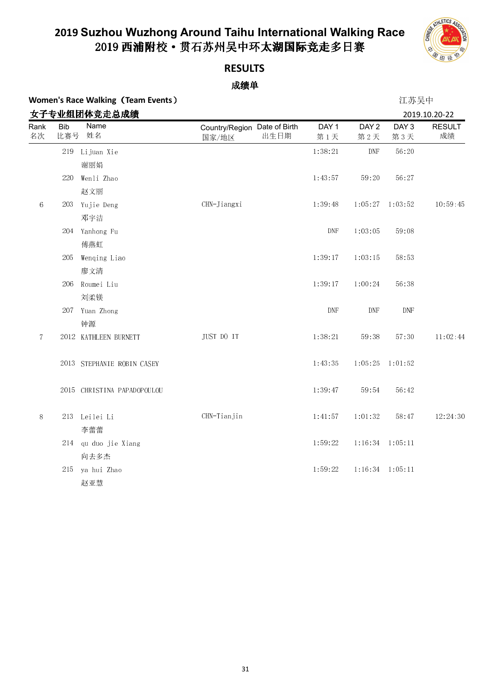

### **RESULTS**

| <b>Women's Race Walking (Team Events)</b> |  | 江苏吴中 |
|-------------------------------------------|--|------|
|                                           |  |      |

|                |                   | 女子专业组团体竞走总成绩                |                                               |                             |                             |                         | 2019.10.20-22       |
|----------------|-------------------|-----------------------------|-----------------------------------------------|-----------------------------|-----------------------------|-------------------------|---------------------|
| Rank<br>名次     | <b>Bib</b><br>比赛号 | Name<br>姓名                  | Country/Region Date of Birth<br>出生日期<br>国家/地区 | DAY <sub>1</sub><br>第1天     | DAY <sub>2</sub><br>第2天     | DAY <sub>3</sub><br>第3天 | <b>RESULT</b><br>成绩 |
|                | 219               | Lijuan Xie                  |                                               | 1:38:21                     | DNF                         | 56:20                   |                     |
|                |                   | 谢丽娟                         |                                               |                             |                             |                         |                     |
|                | 220               | Wenli Zhao                  |                                               | 1:43:57                     | 59:20                       | 56:27                   |                     |
|                |                   | 赵文丽                         |                                               |                             |                             |                         |                     |
| $\,6\,$        | 203               | Yujie Deng                  | CHN-Jiangxi                                   | 1:39:48                     |                             | $1:05:27$ $1:03:52$     | 10:59:45            |
|                |                   | 邓宇洁                         |                                               |                             |                             |                         |                     |
|                |                   | 204 Yanhong Fu              |                                               | $\ensuremath{\mathrm{DNF}}$ | 1:03:05                     | 59:08                   |                     |
|                |                   | 傅燕虹                         |                                               |                             |                             |                         |                     |
|                | 205               | Wenqing Liao                |                                               | 1:39:17                     | 1:03:15                     | 58:53                   |                     |
|                |                   | 廖文清                         |                                               |                             |                             |                         |                     |
|                | 206               | Roumei Liu                  |                                               | 1:39:17                     | 1:00:24                     | 56:38                   |                     |
|                |                   | 刘柔镁                         |                                               |                             |                             |                         |                     |
|                | 207               | Yuan Zhong                  |                                               | $\ensuremath{\mathrm{DNF}}$ | $\ensuremath{\mathrm{DNF}}$ | <b>DNF</b>              |                     |
|                |                   | 钟源                          |                                               |                             |                             |                         |                     |
| $\overline{7}$ |                   | 2012 KATHLEEN BURNETT       | JUST DO IT                                    | 1:38:21                     | 59:38                       | 57:30                   | 11:02:44            |
|                |                   | 2013 STEPHANIE ROBIN CASEY  |                                               | 1:43:35                     | 1:05:25                     | 1:01:52                 |                     |
|                |                   | 2015 CHRISTINA PAPADOPOULOU |                                               | 1:39:47                     | 59:54                       | 56:42                   |                     |
| $8\,$          |                   | 213 Leilei Li               | CHN-Tianjin                                   | 1:41:57                     | 1:01:32                     | 58:47                   | 12:24:30            |
|                |                   | 李蕾蕾                         |                                               |                             |                             |                         |                     |
|                |                   | 214 qu duo jie Xiang        |                                               | 1:59:22                     |                             | $1:16:34$ $1:05:11$     |                     |
|                |                   | 向去多杰                        |                                               |                             |                             |                         |                     |
|                | 215               | ya hui Zhao                 |                                               | 1:59:22                     |                             | $1:16:34$ $1:05:11$     |                     |
|                |                   | 赵亚慧                         |                                               |                             |                             |                         |                     |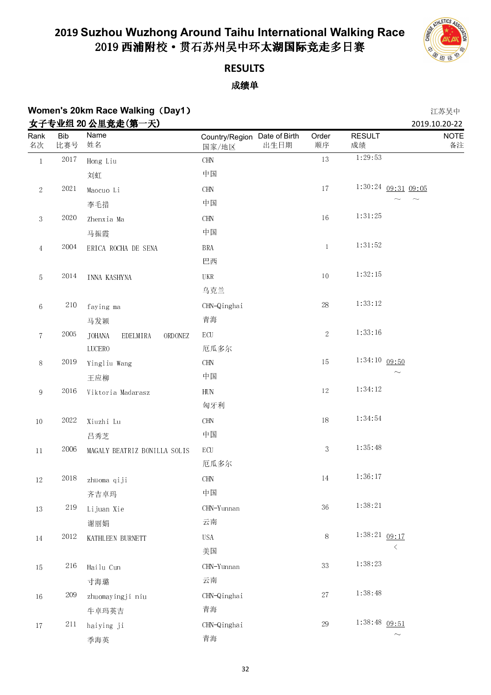

### **RESULTS** 成绩单

#### **Women's 20km Race Walking**(**Day1**) 江苏吴中 **ナスキル組 90 公里辛夫(第一天) 2019.10.20-22 2019.10.20-22 2019.10.20-22 2019.10.20-22 2019.10.20-22**

|                  |                   | 女士专业组 20 公里克定(弟一大)                   |                                               |                |                     | 2019.10.20-22             |
|------------------|-------------------|--------------------------------------|-----------------------------------------------|----------------|---------------------|---------------------------|
| Rank<br>名次       | <b>Bib</b><br>比赛号 | Name<br>姓名                           | Country/Region Date of Birth<br>出生日期<br>国家/地区 | Order<br>顺序    | <b>RESULT</b><br>成绩 | <b>NOTE</b><br>备注         |
| $\,1\,$          | 2017              | Hong Liu                             | $\rm CHN$                                     | $13\,$         | 1:29:53             |                           |
|                  |                   | 刘虹                                   | 中国                                            |                |                     |                           |
| $\sqrt{2}$       | 2021              | Maocuo Li                            | $\rm CHN$                                     | 17             |                     | $1:30:24$ 09:31 09:05     |
|                  |                   | 李毛措                                  | 中国                                            |                |                     |                           |
| $\boldsymbol{3}$ | 2020              | Zhenxia Ma                           | <b>CHN</b>                                    | $16\,$         | 1:31:25             |                           |
|                  |                   | 马振霞                                  | 中国                                            |                |                     |                           |
| $\overline{4}$   | 2004              | ERICA ROCHA DE SENA                  | <b>BRA</b>                                    | $\mathbf{1}$   | 1:31:52             |                           |
|                  |                   |                                      | 巴西                                            |                |                     |                           |
| $\sqrt{5}$       | $2014\,$          | INNA KASHYNA                         | UKR                                           | $10\,$         | 1:32:15             |                           |
|                  |                   |                                      | 乌克兰                                           |                |                     |                           |
| $\,6\,$          | $2\sqrt{10}$      | faying ma                            | CHN-Qinghai                                   | $28\,$         | 1:33:12             |                           |
|                  |                   | 马发颖                                  | 青海                                            |                |                     |                           |
| $\,7$            | $2005\,$          | <b>JOHANA</b><br>EDELMIRA<br>ORDONEZ | $\operatorname{ECU}$                          | $\overline{2}$ | 1:33:16             |                           |
|                  |                   | <b>LUCERO</b>                        | 厄瓜多尔                                          |                | $1:34:10$ 09:50     |                           |
| $8\,$            | 2019              | Yingliu Wang                         | $\rm CHN$                                     | 15             |                     | $\widetilde{\phantom{m}}$ |
|                  |                   | 王应柳                                  | 中国                                            |                | 1:34:12             |                           |
| $\,9$            | 2016              | Viktoria Madarasz                    | ${\rm HUN}$                                   | $12\,$         |                     |                           |
|                  |                   |                                      | 匈牙利                                           |                | 1:34:54             |                           |
| $10\,$           | 2022              | Xiuzhi Lu                            | $\rm CHN$                                     | $18\,$         |                     |                           |
|                  |                   | 吕秀芝                                  | 中国                                            |                | 1:35:48             |                           |
| $11\,$           | 2006              | MAGALY BEATRIZ BONILLA SOLIS         | $\operatorname{ECU}$                          | $\overline{3}$ |                     |                           |
|                  |                   |                                      | 厄瓜多尔                                          |                | 1:36:17             |                           |
| $12\,$           | 2018              | zhuoma qiji                          | $\rm CHN$                                     | $14\,$         |                     |                           |
|                  |                   | 齐吉卓玛                                 | 中国                                            |                | 1.38.21             |                           |
| $13\,$           | 219               | Lijuan Xie                           | CHN-Yunnan                                    | $36\,$         |                     |                           |
|                  |                   | 谢丽娟                                  | 云南                                            |                |                     |                           |
| 14               | $2012\,$          | KATHLEEN BURNETT                     | <b>USA</b>                                    | $8\,$          | $1:38:21$ 09:17     | $\langle$                 |
|                  |                   |                                      | 美国                                            |                | 1:38:23             |                           |
| $15\,$           | 216               | Hailu Cun                            | CHN-Yunnan                                    | $3\sqrt{3}$    |                     |                           |
|                  |                   | 寸海璐                                  | 云南                                            |                |                     |                           |
| $16\,$           | 209               | zhuomayingji niu                     | CHN-Qinghai                                   | $27\,$         | 1:38:48             |                           |
|                  |                   | 牛卓玛英吉                                | 青海                                            |                |                     |                           |
| $17\,$           | 211               | haiying ji                           | CHN-Qinghai                                   | $29\,$         | $1:38:48$ 09:51     | $\widetilde{\phantom{m}}$ |
|                  |                   | 季海英                                  | 青海                                            |                |                     |                           |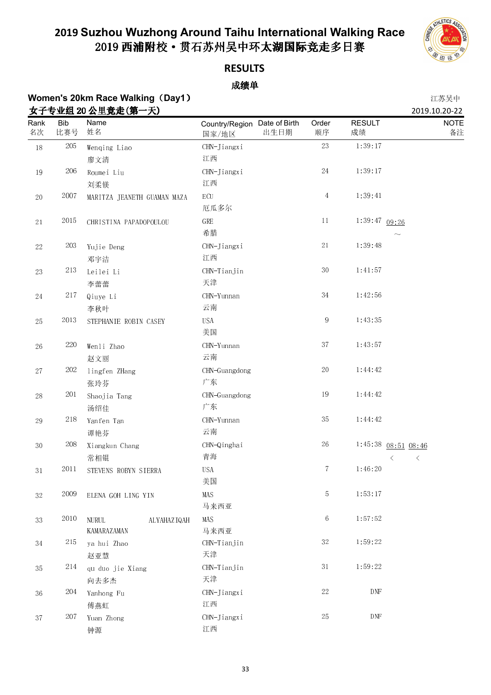

### **RESULTS**

### 成绩单

## **Women's 20km Race Walking (Day1)** 20. 2012年2012年20日 11:45年11月20日 12:45年11月20日 12:45年11月20日 12:45年11月20日 12:45年11月20日 12:45年11月20日 12:45年11月20日 12:45年11月20日 12:45年11月20日 12:45年11月20日 12:45年11月20日 12:45年11月20日 12:45年11月20日

|                   |                   | 女子专业组 20 公里竞走(第一天)                |                                               |             |                     | 2019.10.20-22             |
|-------------------|-------------------|-----------------------------------|-----------------------------------------------|-------------|---------------------|---------------------------|
| Rank<br>名次        | <b>Bib</b><br>比赛号 | Name<br>姓名                        | Country/Region Date of Birth<br>出生日期<br>国家/地区 | Order<br>顺序 | <b>RESULT</b><br>成绩 | <b>NOTE</b><br>备注         |
| $18\,$            | $205\,$           | Wenqing Liao                      | CHN-Jiangxi                                   | 23          | 1:39:17             |                           |
|                   |                   | 廖文清                               | 江西                                            |             |                     |                           |
| $19\,$            | 206               | Roumei Liu                        | CHN-Jiangxi                                   | 24          | 1:39:17             |                           |
|                   |                   | 刘柔镁                               | 江西                                            |             |                     |                           |
| $20\,$            | 2007              | MARITZA JEANETH GUAMAN MAZA       | $\operatorname{ECU}$                          | $\,4\,$     | 1:39:41             |                           |
|                   |                   |                                   | 厄瓜多尔                                          |             |                     |                           |
| $2\sqrt{1}$       | $20\sqrt{15}$     | CHRISTINA PAPADOPOULOU            | ${\rm GRE}$                                   | 11          | 1:39:47 09:26       |                           |
|                   |                   |                                   | 希腊                                            |             |                     | $\widetilde{\phantom{m}}$ |
| $22\,$            | 203               | Yujie Deng                        | CHN-Jiangxi                                   | $21\,$      | 1:39:48             |                           |
|                   |                   | 邓宇洁                               | 江西                                            |             |                     |                           |
| $23\,$            | $2\sqrt{13}$      | Leilei Li                         | CHN-Tianjin                                   | 30          | 1:41:57             |                           |
|                   |                   | 李蕾蕾                               | 天津                                            |             |                     |                           |
| $24\,$            | $2\sqrt{17}$      | Qiuye Li                          | CHN-Yunnan                                    | $3\,4$      | 1:42:56             |                           |
|                   |                   | 李秋叶                               | 云南                                            |             |                     |                           |
| 25                | 2013              | STEPHANIE ROBIN CASEY             | <b>USA</b>                                    | $\,9$       | 1:43:35             |                           |
|                   |                   |                                   | 美国                                            |             |                     |                           |
| $26\,$            | $220\,$           | Wenli Zhao                        | CHN-Yunnan                                    | 37          | 1:43:57             |                           |
|                   |                   | 赵文丽                               | 云南                                            |             |                     |                           |
| $27\,$            | $202\,$           | lingfen ZHang                     | CHN-Guangdong                                 | $20\,$      | 1:44:42             |                           |
|                   |                   | 张玲芬                               | 广东                                            |             |                     |                           |
| $28\,$            | 201               | Shaojia Tang                      | CHN-Guangdong                                 | 19          | 1:44:42             |                           |
|                   |                   | 汤绍佳                               | 广东                                            |             |                     |                           |
| $\ensuremath{29}$ | 218               | Yanfen Tan                        | CHN-Yunnan                                    | 35          | 1:44:42             |                           |
|                   |                   | 谭艳芬                               | 云南                                            |             |                     |                           |
| $3\,0$            | 208               | Xiangkun Chang                    | CHN-Qinghai                                   | $26\,$      |                     | $1:45:38$ 08:51 08:46     |
|                   |                   | 常相锟                               | 青海                                            |             |                     | $\langle$<br>$\langle$    |
| $3\,1$            | 2011              | STEVENS ROBYN SIERRA              | <b>USA</b>                                    | $\tau$      | 1:46:20             |                           |
|                   |                   |                                   | 美国                                            |             |                     |                           |
| $3\sqrt{2}$       | 2009              | ELENA GOH LING YIN                | MAS                                           | 5           | 1:53:17             |                           |
|                   |                   |                                   | 马来西亚                                          |             |                     |                           |
| 33                | $20\sqrt{10}$     | <b>NURUL</b><br>ALYAHAZIQAH       | MAS<br>马来西亚                                   | $\,6\,$     | 1:57:52             |                           |
| 34                | 215               | <b>KAMARAZAMAN</b><br>ya hui Zhao | CHN-Tianjin                                   | 32          | 1 59 22             |                           |
|                   |                   | 赵亚慧                               | 天津                                            |             |                     |                           |
| $35\,$            | 214               | qu duo jie Xiang                  | $CHN-Tianjin$                                 | 31          | 1:59:22             |                           |
|                   |                   | 向去多杰                              | 天津                                            |             |                     |                           |
| 36                | 204               | Yanhong Fu                        | $CHN-Jiangxi$                                 | $22\,$      | DNF                 |                           |
|                   |                   | 傅燕虹                               | 江西                                            |             |                     |                           |
| $3\,7$            | 207               | Yuan Zhong                        | CHN-Jiangxi                                   | 25          | DNF                 |                           |
|                   |                   | 钟源                                | 江西                                            |             |                     |                           |
|                   |                   |                                   |                                               |             |                     |                           |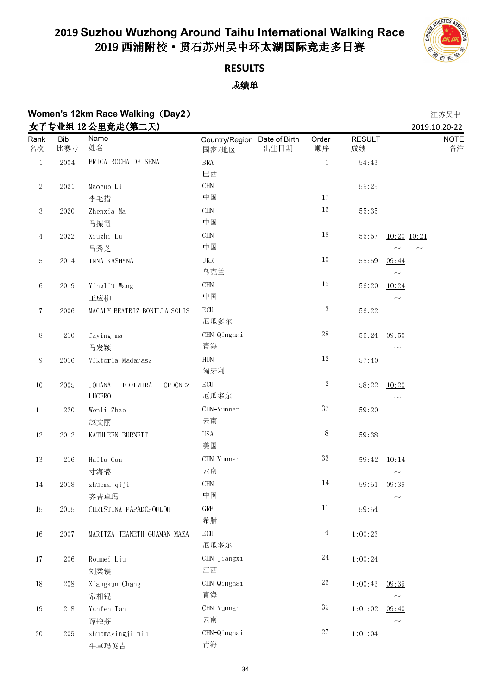

## **RESULTS**

|                  |               | <b>Women's 12km Race Walking (Day2)</b>               |                                               |                |                     | 江苏吴中                               |
|------------------|---------------|-------------------------------------------------------|-----------------------------------------------|----------------|---------------------|------------------------------------|
| Rank<br>名次       | Bib<br>比赛号    | 女子专业组 12 公里竞走(第二天)<br>Name<br>姓名                      | Country/Region Date of Birth<br>出生日期<br>国家/地区 | Order<br>顺序    | <b>RESULT</b><br>成绩 | 2019.10.20-22<br><b>NOTE</b><br>备注 |
| $\,1\,$          | 2004          | ERICA ROCHA DE SENA                                   | <b>BRA</b><br>巴西                              | $\mathbf{1}$   | 54:43               |                                    |
| $\sqrt{2}$       | 2021          | Maocuo Li<br>李毛措                                      | <b>CHN</b><br>中国                              | 17             | 55:25               |                                    |
| $\boldsymbol{3}$ | 2020          | Zhenxia Ma<br>马振霞                                     | $\rm CHN$<br>中国                               | $16\,$         | 55:35               |                                    |
| $\overline{4}$   | 2022          | Xiuzhi Lu<br>吕秀芝                                      | $\rm CHN$<br>中国                               | $18\,$         | 55:57               | 10:20 10:21                        |
| 5                | 2014          | INNA KASHYNA                                          | UKR<br>乌克兰                                    | $10\,$         | 55:59               | 09:44                              |
| $\,6\,$          | 2019          | Yingliu Wang<br>王应柳                                   | $\rm CHN$<br>中国                               | 15             | 56:20               | 10:24<br>$\sim$                    |
| $\tau$           | 2006          | MAGALY BEATRIZ BONILLA SOLIS                          | ECU<br>厄瓜多尔                                   | $\sqrt{3}$     | 56:22               |                                    |
| $8\,$            | 210           | faying ma<br>马发颖                                      | CHN-Qinghai<br>青海                             | $28\,$         | 56:24               | 09:50<br>$\widetilde{\phantom{m}}$ |
| $\,9$            | 2016          | Viktoria Madarasz                                     | <b>HUN</b><br>匈牙利                             | $12\,$         | 57:40               |                                    |
| $10\,$           | 2005          | <b>JOHANA</b><br>EDELMIRA<br>ORDONEZ<br><b>LUCERO</b> | $\operatorname{ECU}$<br>厄瓜多尔                  | $\sqrt{2}$     | 58:22               | 10:20<br>$\widetilde{\phantom{m}}$ |
| $11\,$           | 220           | Wenli Zhao<br>赵文丽                                     | CHN-Yunnan<br>云南                              | $3\,7$         | 59:20               |                                    |
| $12\,$           | 2012          | KATHLEEN BURNETT                                      | <b>USA</b><br>美国                              | 8              | 59:38               |                                    |
| $13\,$           | 216           | Hailu Cun<br>寸海璐                                      | CHN-Yunnan<br>云南                              | $3\sqrt{3}$    | 59:42               | 10:14<br>$\sim$                    |
| $14\,$           | 2018          | zhuoma qiji<br>齐吉卓玛                                   | $\rm CHN$<br>中国                               | 14             | 59:51               | 09:39                              |
| $15\,$           | $20\sqrt{15}$ | CHRISTINA PAPADOPOULOU                                | GRE<br>希腊                                     | $11\,$         | 59:54               |                                    |
| 16               | 2007          | MARITZA JEANETH GUAMAN MAZA                           | $\operatorname{ECU}$<br>厄瓜多尔                  | $\overline{4}$ | 1:00:23             |                                    |
| 17               | 206           | Roumei Liu<br>刘柔镁                                     | CHN-Jiangxi<br>江西                             | $24\,$         | 1:00:24             |                                    |
| $18\,$           | $208\,$       | Xiangkun Chang<br>常相锟                                 | CHN-Qinghai<br>青海                             | $26\,$         | 1:00:43             | 09.39<br>$\sim$                    |
| 19               | 218           | Yanfen Tan<br>谭艳芬                                     | CHN-Yunnan<br>云南                              | $3\sqrt{5}$    | 1:01:02             | 09:40<br>$\sim$                    |
| $20\,$           | 209           | zhuomayingji niu<br>牛卓玛英吉                             | CHN-Qinghai<br>青海                             | $27\,$         | 1:01:04             |                                    |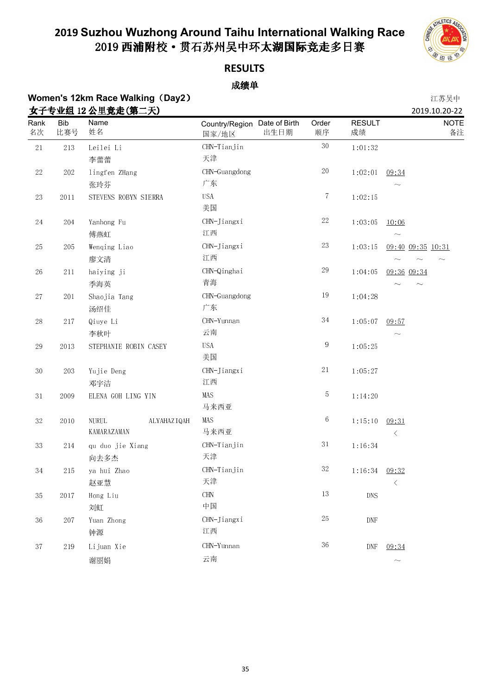

### **RESULTS**

### 成绩单

## **Women's 12km Race Walking**(**Day2**) 江苏吴中

|             |                   | 女子专业组 12 公里竞走(第二天)                         |                                               |             |                     | 2019.10.20-22                      |
|-------------|-------------------|--------------------------------------------|-----------------------------------------------|-------------|---------------------|------------------------------------|
| Rank<br>名次  | <b>Bib</b><br>比赛号 | <b>Name</b><br>姓名                          | Country/Region Date of Birth<br>出生日期<br>国家/地区 | Order<br>顺序 | <b>RESULT</b><br>成绩 | <b>NOTE</b><br>备注                  |
| $2\sqrt{1}$ | $2\sqrt{13}$      | Leilei Li                                  | CHN-Tianjin                                   | $3\,0$      | 1:01:32             |                                    |
|             |                   | 李蕾蕾                                        | 天津                                            |             |                     |                                    |
| $22\,$      | $202\,$           | lingfen ZHang<br>张玲芬                       | CHN-Guangdong<br>广东                           | $20\,$      | 1:02:01             | 09:34<br>$\widetilde{\phantom{m}}$ |
| $23\,$      | 2011              | STEVENS ROBYN SIERRA                       | <b>USA</b><br>美国                              | $\tau$      | 1:02:15             |                                    |
| 24          | 204               | Yanhong Fu<br>傅燕虹                          | CHN-Jiangxi<br>江西                             | $22\,$      | 1:03:05             | 10:06<br>$\sim$                    |
| $25\,$      | $205\,$           | Wenqing Liao<br>廖文清                        | CHN-Jiangxi<br>江西                             | 23          | 1:03:15             | 09:40 09:35 10:31                  |
| $26\,$      | 211               | haiying ji<br>季海英                          | CHN-Qinghai<br>青海                             | $\sqrt{29}$ | 1:04:05             | 09:36 09:34                        |
| $27\,$      | $201\,$           | Shaojia Tang<br>汤绍佳                        | CHN-Guangdong<br>广东                           | 19          | 1:04:28             |                                    |
| $28\,$      | $217\,$           | Qiuye Li<br>李秋叶                            | CHN-Yunnan<br>云南                              | $3\,4$      | 1:05:07             | 09:57<br>$\widetilde{\phantom{m}}$ |
| 29          | 2013              | STEPHANIE ROBIN CASEY                      | <b>USA</b><br>美国                              | 9           | 1:05:25             |                                    |
| $3\,0$      | $203\,$           | Yujie Deng<br>邓宇洁                          | CHN-Jiangxi<br>江西                             | $2\sqrt{1}$ | 1:05:27             |                                    |
| $3\,1$      | 2009              | ELENA GOH LING YIN                         | MAS<br>马来西亚                                   | 5           | 1:14:20             |                                    |
| $3\sqrt{2}$ | $20\sqrt{10}$     | <b>NURUL</b><br>ALYAHAZIQAH<br>KAMARAZAMAN | MAS<br>马来西亚                                   | 6           | 1:15:10             | 09:31<br>$\langle$                 |
| $3\sqrt{3}$ | 214               | qu duo jie Xiang<br>向去多杰                   | CHN-Tianjin<br>天津                             | $3\,1$      | 1:16:34             |                                    |
| $3\,4$      | 215               | ya hui Zhao<br>赵亚慧                         | CHN-Tianjin<br>天津                             | $3\sqrt{2}$ | 1:16:34             | 09:32<br>$\langle$                 |
| $3\sqrt{5}$ | 2017              | Hong Liu<br>刘虹                             | $\rm CHN$<br>中国                               | 13          | <b>DNS</b>          |                                    |
| $36\,$      | $207\,$           | Yuan Zhong<br>钟源                           | CHN-Jiangxi<br>江西                             | $25\,$      | <b>DNF</b>          |                                    |
| 37          | 219               | Lijuan Xie<br>谢丽娟                          | CHN-Yunnan<br>云南                              | $36\,$      | DNF                 | 09:34<br>$\sim$                    |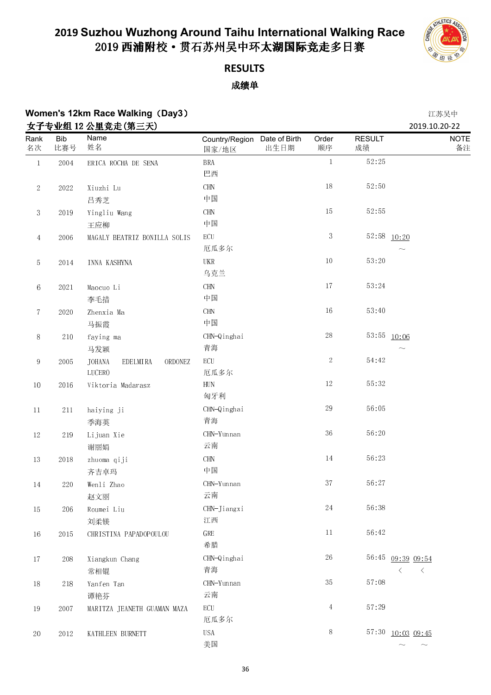

### **RESULTS** 成绩单

## **Women's 12km Race Walking**(**Day3**) 江苏吴中

|                |                   | 女子专业组 12 公里竞走(第三天)                             |                                       |      |                  |                     | 2019.10.20-22                            |
|----------------|-------------------|------------------------------------------------|---------------------------------------|------|------------------|---------------------|------------------------------------------|
| Rank<br>名次     | <b>Bib</b><br>比赛号 | Name<br>姓名                                     | Country/Region Date of Birth<br>国家/地区 | 出生日期 | Order<br>顺序      | <b>RESULT</b><br>成绩 | <b>NOTE</b><br>备注                        |
| $\,1$          | 2004              | ERICA ROCHA DE SENA                            | <b>BRA</b><br>巴西                      |      | $\mathbf{1}$     | 52:25               |                                          |
| $\sqrt{2}$     | 2022              | Xiuzhi Lu                                      | <b>CHN</b>                            |      | 18               | 52:50               |                                          |
|                |                   | 吕秀芝                                            | 中国                                    |      |                  |                     |                                          |
| $\sqrt{3}$     | 2019              | Yingliu Wang                                   | $\rm CHN$                             |      | $15\,$           | 52:55               |                                          |
|                |                   | 王应柳                                            | 中国                                    |      |                  |                     |                                          |
| $\overline{4}$ | 2006              | MAGALY BEATRIZ BONILLA SOLIS                   | $\operatorname{ECU}$<br>厄瓜多尔          |      | $\boldsymbol{3}$ |                     | $52:58$ $\underline{10:20}$<br>$\sim$    |
| 5              | $2014\,$          | INNA KASHYNA                                   | UKR<br>乌克兰                            |      | $10\,$           | 53:20               |                                          |
| $6\,$          | 2021              | Maocuo Li                                      | <b>CHN</b>                            |      | $17\,$           | 53:24               |                                          |
|                |                   | 李毛措                                            | 中国                                    |      |                  |                     |                                          |
| 7              | 2020              | Zhenxia Ma                                     | $\rm CHN$                             |      | $16\,$           | 53:40               |                                          |
|                |                   | 马振霞                                            | 中国                                    |      |                  |                     |                                          |
| $8\,$          | $2\,10$           | faying ma<br>马发颖                               | CHN-Qinghai<br>青海                     |      | $28\,$           |                     | 53:55 10:06<br>$\widetilde{\phantom{m}}$ |
| $\,9$          | 2005              | <b>JOHANA</b><br>EDELMIRA<br>ORDONEZ<br>LUCERO | $\operatorname{ECU}$<br>厄瓜多尔          |      | $\sqrt{2}$       | 54:42               |                                          |
| $10\,$         | 2016              | Viktoria Madarasz                              | ${\rm HUN}$<br>匈牙利                    |      | $12\,$           | 55:32               |                                          |
| $11\,$         | 211               | haiying ji<br>季海英                              | CHN-Qinghai<br>青海                     |      | $29\,$           | 56:05               |                                          |
| $12\,$         | $2\,19$           | Lijuan Xie<br>谢丽娟                              | CHN-Yunnan<br>云南                      |      | 36               | 56:20               |                                          |
| 13             | 2018              | zhuoma qiji<br>齐吉卓玛                            | <b>CHN</b><br>中国                      |      | $14\,$           | 56.23               |                                          |
| 14             | 220               | Wenli Zhao                                     | CHN-Yunnan                            |      | $3\,7$           | 56:27               |                                          |
|                |                   | 赵文丽                                            | 云南                                    |      |                  |                     |                                          |
| $15\,$         | 206               | Roumei Liu                                     | CHN-Jiangxi                           |      | $24\,$           | 56:38               |                                          |
|                |                   | 刘柔镁                                            | 江西                                    |      |                  |                     |                                          |
| $16\,$         | $20\sqrt{15}$     | CHRISTINA PAPADOPOULOU                         | GRE<br>希腊                             |      | 11               | 56:42               |                                          |
| 17             | 208               | Xiangkun Chang                                 | CHN-Qinghai                           |      | $26\,$           |                     | 56:45 09:39 09:54                        |
|                |                   | 常相锟                                            | 青海                                    |      |                  |                     | $\langle$<br>$\sim$ $\sim$ $<$           |
| $18\,$         | 218               | Yanfen Tan                                     | CHN-Yunnan                            |      | 35               | 57:08               |                                          |
|                |                   | 谭艳芬                                            | 云南                                    |      |                  |                     |                                          |
| 19             | 2007              | MARITZA JEANETH GUAMAN MAZA                    | $\operatorname{ECU}$<br>厄瓜多尔          |      | $\overline{4}$   | 57.29               |                                          |
| $20\,$         | 2012              | KATHLEEN BURNETT                               | <b>USA</b>                            |      | $8\,$            |                     | 57:30 10:03 09:45                        |
|                |                   |                                                | 美国                                    |      |                  |                     | $\widetilde{\phantom{m}}$                |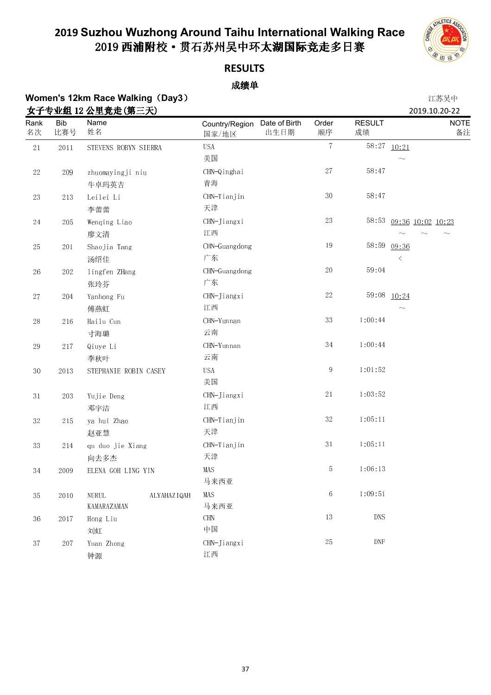

### **RESULTS**

### 成绩单

### **Women's 12km Race Walking (Day3) 2008年7月11日 12:00 12:00 12:00 12:00 12:00 12:00 12:00 12:00 12:00 12:00 12:00 12:00 12:00 12:00 12:00 12:00 12:00 12:00 12:00 12:00 12:00 12:00 12:00 12:00 12:00 12:00 12:00 12:00 12:00 12 女子专业组 12 公里音击(笛二天)** 2019.10.20-22

| <u>yı</u><br>Rank | <b>Bib</b> | ヾ╨҉҈҈҈ӵ <i>▖</i> ዹ╩ <del>҉ѡᄹ∖ᅏ<u></u><i>▃</i>⋏⋏</del><br>Name | Country/Region Date of Birth |      | Order          | <b>RESULT</b> |             | 2013.10.20 <sup>-</sup> 22<br><b>NOTE</b> |
|-------------------|------------|---------------------------------------------------------------|------------------------------|------|----------------|---------------|-------------|-------------------------------------------|
| 名次                | 比赛号        | 姓名                                                            | 国家/地区                        | 出生日期 | 顺序             | 成绩            |             | 备注                                        |
| $2\sqrt{1}$       | 2011       | STEVENS ROBYN SIERRA                                          | <b>USA</b>                   |      | $\overline{7}$ |               | 58:27 10:21 |                                           |
|                   |            |                                                               | 美国                           |      |                |               |             |                                           |
| $22\,$            | 209        | zhuomayingji niu                                              | CHN-Qinghai                  |      | $2\,7$         | 58:47         |             |                                           |
|                   |            | 牛卓玛英吉                                                         | 青海                           |      |                |               |             |                                           |
| $23\,$            | 213        | Leilei Li                                                     | CHN-Tianjin                  |      | $3\,0$         | 58:47         |             |                                           |
|                   |            | 李蕾蕾                                                           | 天津                           |      |                |               |             |                                           |
| $24\,$            | 205        | Wenqing Liao                                                  | CHN-Jiangxi                  |      | $23\,$         | 58:53         |             | 09:36 10:02 10:23                         |
|                   |            | 廖文清                                                           | 江西                           |      |                |               |             |                                           |
| 25                | 201        | Shaojia Tang                                                  | CHN-Guangdong                |      | $19\,$         | 58.59         | 09:36       |                                           |
|                   |            | 汤绍佳                                                           | 广东                           |      |                |               |             |                                           |
| $26\,$            | 202        | lingfen ZHang                                                 | CHN-Guangdong                |      | $20\,$         | 59:04         |             |                                           |
|                   |            | 张玲芬                                                           | 广东                           |      |                |               |             |                                           |
| $2\,7$            | 204        | Yanhong Fu                                                    | CHN-Jiangxi                  |      | $22\,$         |               | 59:08 10:24 |                                           |
|                   |            | 傅燕虹                                                           | 江西                           |      |                |               |             |                                           |
| $28\,$            | 216        | Hailu Cun                                                     | CHN-Yunnan                   |      | $3\sqrt{3}$    | 1:00:44       |             |                                           |
|                   |            | 寸海璐                                                           | 云南                           |      |                |               |             |                                           |
| $\rm 29$          | 217        | Qiuye Li                                                      | CHN-Yunnan                   |      | $3\,4$         | 1:00:44       |             |                                           |
|                   |            | 李秋叶                                                           | 云南                           |      |                |               |             |                                           |
| $30\,$            | 2013       | STEPHANIE ROBIN CASEY                                         | <b>USA</b>                   |      | $\,9$          | 1:01:52       |             |                                           |
|                   |            |                                                               | 美国                           |      |                |               |             |                                           |
| 31                | 203        | Yujie Deng                                                    | CHN-Jiangxi                  |      | $2\sqrt{1}$    | 1:03:52       |             |                                           |
|                   |            | 邓宇洁                                                           | 江西                           |      |                |               |             |                                           |
| $32\,$            | 215        | ya hui Zhao                                                   | CHN-Tianjin                  |      | $3\sqrt{2}$    | 1:05:11       |             |                                           |
|                   |            | 赵亚慧                                                           | 天津                           |      |                |               |             |                                           |
| 33                | 214        | qu duo jie Xiang                                              | CHN-Tianjin                  |      | $3\,1$         | 1:05:11       |             |                                           |
|                   |            | 向去多杰                                                          | 天津                           |      |                |               |             |                                           |
| $3\,4$            | 2009       | ELENA GOH LING YIN                                            | MAS                          |      | 5              | 1:06:13       |             |                                           |
|                   |            |                                                               | 马来西亚                         |      |                |               |             |                                           |
| 35                | $20\,10$   | <b>NURUL</b><br>ALYAHAZIQAH                                   | MAS                          |      | $\,6\,$        | 1:09:51       |             |                                           |
|                   |            | <b>KAMARAZAMAN</b>                                            | 马来西亚                         |      |                |               |             |                                           |
| 36                | 2017       | Hong Liu                                                      | $\rm CHN$                    |      | $13\,$         | $\rm DNS$     |             |                                           |
|                   |            | 刘虹                                                            | 中国                           |      |                |               |             |                                           |
| 37                | $207\,$    | Yuan Zhong                                                    | CHN-Jiangxi                  |      | $25\,$         | DNF           |             |                                           |
|                   |            | 钟源                                                            | 江西                           |      |                |               |             |                                           |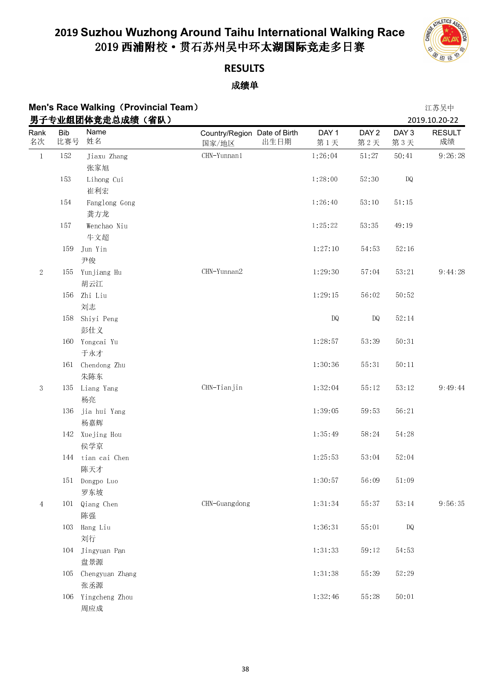

## **RESULTS**

| Men's Race Walking (Provincial Team) | 江苏吴中         |
|--------------------------------------|--------------|
| 男子专业组团体竞走总成绩 (省队)                    | 2019 10 20-2 |

|            |                   | 男子专业组团体竞走总成绩(省队)      |                                               |                         |                         |                        | 2019.10.20-22       |
|------------|-------------------|-----------------------|-----------------------------------------------|-------------------------|-------------------------|------------------------|---------------------|
| Rank<br>名次 | <b>Bib</b><br>比赛号 | Name<br>姓名            | Country/Region Date of Birth<br>出生日期<br>国家/地区 | DAY <sub>1</sub><br>第1天 | DAY <sub>2</sub><br>第2天 | DAY 3<br>第3天           | <b>RESULT</b><br>成绩 |
| $\,1\,$    | 152               | Jiaxu Zhang           | $CHN-Yunnan1$                                 | 1:26:04                 | 51:27                   | 50:41                  | 9:26:28             |
|            |                   | 张家旭                   |                                               |                         |                         |                        |                     |
|            | 153               | Lihong Cui            |                                               | 1:28:00                 | 52:30                   | DQ                     |                     |
|            |                   | 崔利宏                   |                                               |                         |                         |                        |                     |
|            | 154               | Fanglong Gong         |                                               | 1:26:40                 | 53:10                   | 51:15                  |                     |
|            |                   | 龚方龙                   |                                               |                         |                         |                        |                     |
|            | 157               | Wenchao Niu           |                                               | 1 25 22                 | 53:35                   | 49:19                  |                     |
|            |                   | 牛文超                   |                                               |                         |                         |                        |                     |
|            | 159               | Jun Yin               |                                               | 1:27:10                 | 54.53                   | 52:16                  |                     |
|            |                   | 尹俊                    |                                               |                         |                         |                        |                     |
| $\sqrt{2}$ | 155               | Yunjiang Hu<br>胡云江    | CHN-Yunnan2                                   | 1:29:30                 | 57.04                   | 53:21                  | 9:44:28             |
|            | 156               | Zhi Liu               |                                               | 1:29:15                 | 56:02                   | 50:52                  |                     |
|            |                   | 刘志                    |                                               |                         |                         |                        |                     |
|            |                   | 158 Shiyi Peng        |                                               | $\mathbf{D}\mathbf{Q}$  | DQ                      | 52:14                  |                     |
|            |                   | 彭仕义                   |                                               |                         |                         |                        |                     |
|            |                   | 160 Yongcai Yu        |                                               | 1:28:57                 | 53:39                   | 50:31                  |                     |
|            |                   | 于永才                   |                                               |                         |                         |                        |                     |
|            |                   | 161 Chendong Zhu      |                                               | 1:30:36                 | 55:31                   | $5\,0\colon 11$        |                     |
|            |                   | 朱陈东                   |                                               |                         |                         |                        |                     |
| $\sqrt{3}$ | 135               | Liang Yang            | CHN-Tianjin                                   | 1:32:04                 | 55:12                   | 53:12                  | 9:49:44             |
|            |                   | 杨亮                    |                                               |                         |                         |                        |                     |
|            | 136               | jia hui Yang<br>杨嘉辉   |                                               | 1:39:05                 | 59.53                   | 56:21                  |                     |
|            |                   | 142 Xuejing Hou       |                                               | 1 35 49                 | 58:24                   | 54.28                  |                     |
|            |                   | 侯学京                   |                                               |                         |                         |                        |                     |
|            |                   | 144 tian cai Chen     |                                               | 1:25:53                 | 53:04                   | 52:04                  |                     |
|            |                   | 陈天才                   |                                               |                         |                         |                        |                     |
|            |                   | 151 Dongpo Luo<br>罗东坡 |                                               | 1:30:57                 | 56:09                   | 51:09                  |                     |
| 4          | 101               | Qiang Chen            | CHN-Guangdong                                 | 1:31:34                 | 55:37                   | $5\,3\cdot 14$         | 9:56:35             |
|            |                   | 陈强                    |                                               |                         |                         |                        |                     |
|            | 103               | Hang Liu              |                                               | 1:36:31                 | 55:01                   | $\mathbf{D}\mathbf{Q}$ |                     |
|            |                   | 刘行                    |                                               |                         |                         |                        |                     |
|            | 104               | Jingyuan Pan          |                                               | 1 31 33                 | 59:12                   | 54:53                  |                     |
|            |                   | 盘景源                   |                                               |                         |                         |                        |                     |
|            | 105               | Chengyuan Zhang       |                                               | 1:31:38                 | 55:39                   | 52:29                  |                     |
|            |                   | 张丞源                   |                                               |                         |                         |                        |                     |
|            | 106               | Yingcheng Zhou        |                                               | 1:32:46                 | 55.28                   | 50:01                  |                     |
|            |                   | 周应成                   |                                               |                         |                         |                        |                     |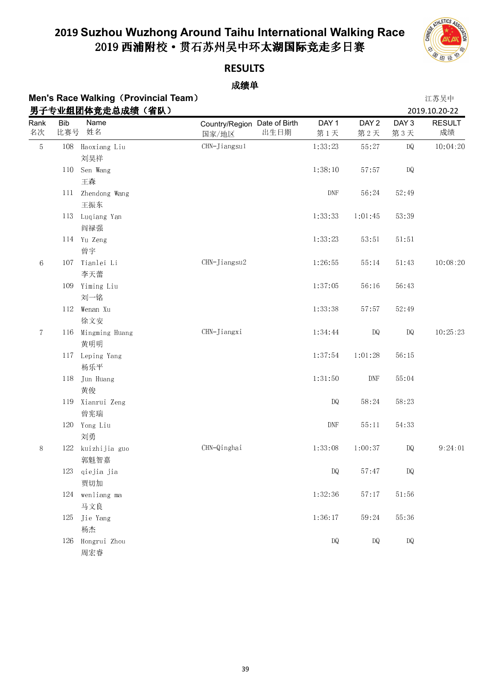

**RESULT** 成绩

DQ 10:04:20

CHN-Jiangsu2 1:26:55 55:14 51:43 10:08:20

DQ 10:25:23

#### **RESULTS**

|            |                   | <b>Men's Race Walking (Provincial Team)</b> |                                       |      |                         |                             |                         | 江苏吴中                     |
|------------|-------------------|---------------------------------------------|---------------------------------------|------|-------------------------|-----------------------------|-------------------------|--------------------------|
|            |                   | 男子专业组团体竞走总成绩(省队)                            |                                       |      |                         |                             |                         | 2019.10.20-22            |
| Rank<br>名次 | <b>Bib</b><br>比赛号 | Name<br>姓名                                  | Country/Region Date of Birth<br>国家/地区 | 出生日期 | DAY <sub>1</sub><br>第1天 | DAY <sub>2</sub><br>第2天     | DAY <sub>3</sub><br>第3天 | RESUL <sup>-</sup><br>成绩 |
| 5          | 108               | Haoxiang Liu<br>刘昊祥                         | CHN-Jiangsul                          |      | 1:33:23                 | 55:27                       | DQ                      | 10:04:                   |
|            | 110               | Sen Wang<br>王森                              |                                       |      | 1:38:10                 | 57:57                       | DQ                      |                          |
|            | 111               | Zhendong Wang<br>王振东                        |                                       |      | <b>DNF</b>              | 56:24                       | 52:49                   |                          |
|            | 113               | Luqiang Yan<br>阎禄强                          |                                       |      | 1 33 33                 | 1:01:45                     | 53.39                   |                          |
|            |                   | 114 Yu Zeng<br>曾宇                           |                                       |      | 1 33 23                 | 53:51                       | 51:51                   |                          |
| 6          | 107               | Tianlei Li<br>李天蕾                           | CHN-Jiangsu2                          |      | 1:26:55                 | 55:14                       | 51:43                   | 10.08:                   |
|            | 109               | Yiming Liu<br>刘一铭                           |                                       |      | 1:37:05                 | 56:16                       | 56 43                   |                          |
|            |                   | 112 Wenan Xu<br>徐文安                         |                                       |      | 1:33:38                 | 57:57                       | 52:49                   |                          |
| $\tau$     | 116               | Mingming Huang<br>黄明明                       | CHN-Jiangxi                           |      | 1:34:44                 | DQ                          | DQ                      | 10.25                    |
|            |                   | 117 Leping Yang<br>杨乐平                      |                                       |      | 1:37:54                 | 1:01:28                     | 56:15                   |                          |
|            | 118               | Jun Huang<br>黄俊                             |                                       |      | 1:31:50                 | $\ensuremath{\mathrm{DNF}}$ | 55:04                   |                          |
|            | 119               | Xianrui Zeng<br>曾宪瑞                         |                                       |      | DQ                      | 58.24                       | 58:23                   |                          |

|   |     | 黄俊            |             |         |         |       |         |
|---|-----|---------------|-------------|---------|---------|-------|---------|
|   | 119 | Xianrui Zeng  |             | DQ      | 58:24   | 58.23 |         |
|   |     | 曾宪瑞           |             |         |         |       |         |
|   | 120 | Yong Liu      |             | DNF     | 55:11   | 54:33 |         |
|   |     | 刘勇            |             |         |         |       |         |
| 8 | 122 | kuizhijia guo | CHN-Qinghai | 1 33 08 | 1.00.37 | DQ    | 9:24:01 |
|   |     | 郭魁智嘉          |             |         |         |       |         |
|   | 123 | qiejia jia    |             | DQ      | 57:47   | DQ    |         |
|   |     | 贾切加           |             |         |         |       |         |
|   | 124 | wenliang ma   |             | 1:32:36 | 57:17   | 51.56 |         |
|   |     | 马文良           |             |         |         |       |         |
|   | 125 | Jie Yang      |             | 1:36:17 | 59.24   | 55:36 |         |
|   |     | 杨杰            |             |         |         |       |         |
|   | 126 | Hongrui Zhou  |             | DQ      | DQ      | DQ    |         |
|   |     | 周宏睿           |             |         |         |       |         |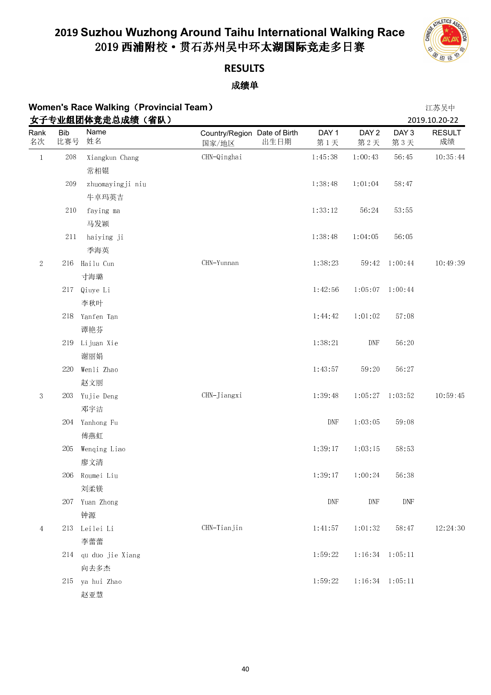

## **RESULTS**

|                |                   | <b>Women's Race Walking (Provincial Team)</b> |                                               |                             |                             |                         | 江苏吴中                                 |
|----------------|-------------------|-----------------------------------------------|-----------------------------------------------|-----------------------------|-----------------------------|-------------------------|--------------------------------------|
| Rank<br>名次     | <b>Bib</b><br>比赛号 | 女子专业组团体竞走总成绩(省队)<br>Name<br>姓名                | Country/Region Date of Birth<br>出生日期<br>国家/地区 | DAY <sub>1</sub><br>第1天     | DAY <sub>2</sub><br>第2天     | DAY <sub>3</sub><br>第3天 | 2019.10.20-22<br><b>RESULT</b><br>成绩 |
| $\,1\,$        | 208               | Xiangkun Chang                                | CHN-Qinghai                                   | 1:45:38                     | 1:00:43                     | 56:45                   | 10:35:44                             |
|                |                   | 常相锟                                           |                                               |                             |                             |                         |                                      |
|                | 209               | zhuomayingji niu                              |                                               | 1:38:48                     | 1:01:04                     | 58:47                   |                                      |
|                |                   | 牛卓玛英吉                                         |                                               |                             |                             |                         |                                      |
|                | 210               | faying ma                                     |                                               | 1:33:12                     | 56:24                       | 53:55                   |                                      |
|                |                   | 马发颖                                           |                                               |                             |                             |                         |                                      |
|                | 211               | haiying ji                                    |                                               | 1:38:48                     | 1:04:05                     | 56:05                   |                                      |
|                |                   | 季海英                                           |                                               |                             |                             |                         |                                      |
| $\sqrt{2}$     |                   | 216 Hailu Cun                                 | CHN-Yunnan                                    | 1:38:23                     | 59:42                       | 1:00:44                 | 10:49:39                             |
|                |                   | 寸海璐                                           |                                               |                             |                             |                         |                                      |
|                | 217               | Qiuye Li                                      |                                               | 1:42:56                     |                             | $1:05:07$ 1:00:44       |                                      |
|                |                   | 李秋叶                                           |                                               |                             |                             |                         |                                      |
|                | 218               | Yanfen Tan                                    |                                               | 1:44:42                     | 1:01:02                     | 57:08                   |                                      |
|                |                   | 谭艳芬                                           |                                               |                             |                             |                         |                                      |
|                | 219               | Lijuan Xie                                    |                                               | 1:38:21                     | $\ensuremath{\mathrm{DNF}}$ | 56:20                   |                                      |
|                |                   | 谢丽娟                                           |                                               |                             |                             |                         |                                      |
|                | 220               | Wenli Zhao                                    |                                               | 1:43:57                     | 59.20                       | 56:27                   |                                      |
|                |                   | 赵文丽                                           |                                               |                             |                             |                         |                                      |
| $\sqrt{3}$     | 203               | Yujie Deng                                    | CHN-Jiangxi                                   | 1:39:48                     |                             | $1:05:27$ $1:03:52$     | 10:59:45                             |
|                |                   | 邓宇洁                                           |                                               |                             |                             |                         |                                      |
|                |                   | 204 Yanhong Fu                                |                                               | $\ensuremath{\mathrm{DNF}}$ | 1:03:05                     | 59:08                   |                                      |
|                |                   | 傅燕虹                                           |                                               |                             |                             |                         |                                      |
|                | 205               | Wenqing Liao                                  |                                               | 1:39:17                     | 1:03:15                     | 58:53                   |                                      |
|                |                   | 廖文清                                           |                                               |                             |                             |                         |                                      |
|                | 206               | Roumei Liu                                    |                                               | 1:39:17                     | 1:00:24                     | 56:38                   |                                      |
|                |                   | 刘柔镁                                           |                                               |                             |                             |                         |                                      |
|                | 207               | Yuan Zhong                                    |                                               | $\ensuremath{\mathrm{DNF}}$ | $\ensuremath{\mathsf{DNF}}$ | DNF                     |                                      |
|                |                   | 钟源                                            |                                               |                             |                             |                         |                                      |
| $\overline{4}$ | 213               | Leilei Li                                     | CHN-Tianjin                                   | 1:41:57                     | 1:01:32                     | 58:47                   | 12:24:30                             |
|                |                   | 李蕾蕾                                           |                                               |                             |                             |                         |                                      |
|                | 214               | qu duo jie Xiang                              |                                               | 1 59 22                     |                             | 1:16:34 1:05:11         |                                      |
|                |                   | 向去多杰                                          |                                               |                             |                             |                         |                                      |
|                | 215               | ya hui Zhao                                   |                                               | 1:59:22                     |                             | 1:16:34 1:05:11         |                                      |
|                |                   | 赵亚慧                                           |                                               |                             |                             |                         |                                      |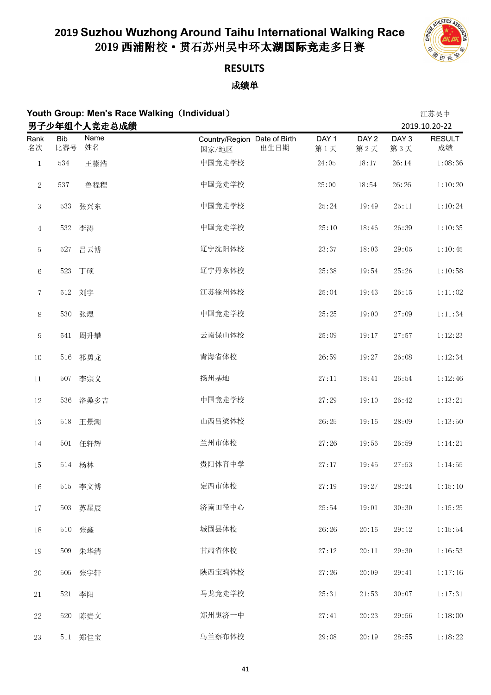

## **RESULTS**

|                |            |                      | Youth Group: Men's Race Walking (Individual) |                  |                  |                  | 江苏吴中                           |
|----------------|------------|----------------------|----------------------------------------------|------------------|------------------|------------------|--------------------------------|
| Rank           | <b>Bib</b> | 男子少年组个人竞走总成绩<br>Name | Country/Region Date of Birth                 | DAY <sub>1</sub> | DAY <sub>2</sub> | DAY <sub>3</sub> | 2019.10.20-22<br><b>RESULT</b> |
| 名次             | 比赛号        | 姓名                   | 出生日期<br>国家/地区                                | 第1天              | 第2天              | 第3天              | 成绩                             |
| $\,1$          | 534        | 王榛浩                  | 中国竞走学校                                       | 24:05            | 18:17            | 26:14            | 1:08:36                        |
| $\sqrt{2}$     | 537        | 鲁程程                  | 中国竞走学校                                       | 25:00            | 18:54            | 26:26            | 1:10:20                        |
| $\mathbf{3}$   | 533        | 张兴东                  | 中国竞走学校                                       | 25:24            | 19:49            | $25\colon11$     | 1:10:24                        |
| $\overline{4}$ | 532        | 李涛                   | 中国竞走学校                                       | 25:10            | 18:46            | 26:39            | 1:10:35                        |
| 5              | 527        | 吕云博                  | 辽宁沈阳体校                                       | 23:37            | 18:03            | 29:05            | 1:10:45                        |
| $\,6\,$        | 523        | 丁硕                   | 辽宁丹东体校                                       | 25:38            | 19:54            | 25:26            | 1:10:58                        |
| $\!\tau$       |            | 512 刘宇               | 江苏徐州体校                                       | 25:04            | 19:43            | 26:15            | 1:11:02                        |
| $8\,$          | 530        | 张煜                   | 中国竞走学校                                       | 25:25            | 19:00            | 27:09            | 1:11:34                        |
| 9              | 541        | 周升攀                  | 云南保山体校                                       | 25:09            | 19:17            | 27:57            | 1:12:23                        |
| $10\,$         | 516        | 祁勇龙                  | 青海省体校                                        | 26:59            | 19:27            | 26:08            | 1:12:34                        |
| $11\,$         | 507        | 李宗义                  | 扬州基地                                         | 27:11            | 18:41            | 26:54            | 1:12:46                        |
| $12\,$         | 536        | 洛桑多吉                 | 中国竞走学校                                       | 27:29            | 19:10            | 26:42            | 1:13:21                        |
| $13\,$         | $5\,18$    | 王景潮                  | 山西吕梁体校                                       | 26:25            | 19:16            | 28:09            | 1:13:50                        |
| $14\,$         |            | 501 任轩辉              | 兰州市体校                                        | 27:26            | 19:56            | 26:59            | 1:14:21                        |
| 15             |            | 514 杨林               | 贵阳体育中学                                       | 27:17            | 19:45            | 27:53            | 1:14:55                        |
| $16\,$         |            | 515 李文博              | 定西市体校                                        | 27:19            | 19:27            | 28:24            | 1:15:10                        |
| $17\,$         | 503        | 苏星辰                  | 济南田径中心                                       | 25:54            | 19:01            | 30:30            | 1:15:25                        |
| $18\,$         |            | 510 张鑫               | 城固县体校                                        | 26:26            | 20:16            | 29:12            | 1:15:54                        |
| $19\,$         | 509        | 朱华清                  | 甘肃省体校                                        | 27:12            | $20\cdot 11$     | 29:30            | 1:16:53                        |
| $20\,$         | 505        | 张宇轩                  | 陕西宝鸡体校                                       | 27:26            | 20:09            | $29\!\cdot\!41$  | 1:17:16                        |
| 21             | 521        | 李阳                   | 马龙竞走学校                                       | 25:31            | 21:53            | 30:07            | 1:17:31                        |
| $22\,$         | 520        | 陈贵文                  | 郑州惠济一中                                       | 27:41            | 20:23            | 29:56            | 1:18:00                        |
| 23             | 511        | 郑佳宝                  | 乌兰察布体校                                       | 29:08            | 20:19            | 28:55            | 1:18:22                        |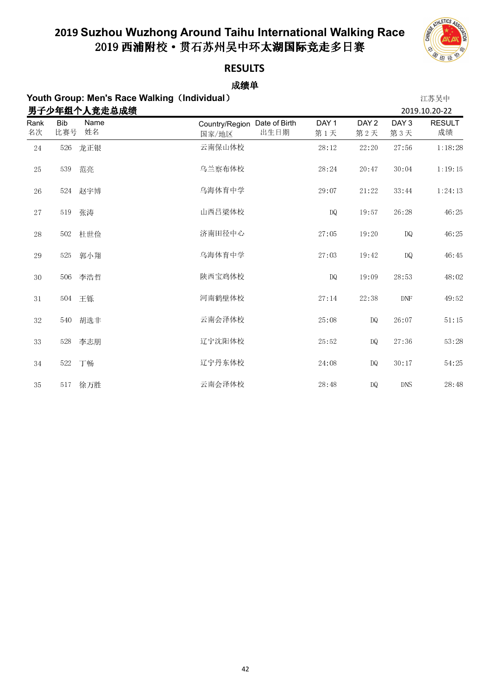

### **RESULTS**

|             | Youth Group: Men's Race Walking (Individual) |              |                                               |                         |                         |                         | 江苏吴中                |
|-------------|----------------------------------------------|--------------|-----------------------------------------------|-------------------------|-------------------------|-------------------------|---------------------|
|             |                                              | 男子少年组个人竞走总成绩 |                                               |                         |                         |                         | 2019.10.20-22       |
| Rank<br>名次  | <b>Bib</b><br>比赛号                            | Name<br>姓名   | Country/Region Date of Birth<br>出生日期<br>国家/地区 | DAY <sub>1</sub><br>第1天 | DAY <sub>2</sub><br>第2天 | DAY <sub>3</sub><br>第3天 | <b>RESULT</b><br>成绩 |
| 24          | 526                                          | 龙正银          | 云南保山体校                                        | 28:12                   | 22:20                   | 27:56                   | 1:18:28             |
| $25\,$      | 539                                          | 范亮           | 乌兰察布体校                                        | 28:24                   | 20:47                   | 30:04                   | 1:19:15             |
| 26          | 524                                          | 赵宇博          | 乌海体育中学                                        | 29:07                   | 21:22                   | 33:44                   | 1:24:13             |
| 27          | 519                                          | 张涛           | 山西吕梁体校                                        | <b>DQ</b>               | 19:57                   | 26:28                   | 46:25               |
| 28          | 502                                          | 杜世俭          | 济南田径中心                                        | 27:05                   | 19:20                   | <b>DQ</b>               | 46:25               |
| 29          | 525                                          | 郭小翔          | 乌海体育中学                                        | 27:03                   | 19:42                   | <b>DQ</b>               | 46:45               |
| $3\,0$      | 506                                          | 李浩哲          | 陕西宝鸡体校                                        | <b>DQ</b>               | 19:09                   | 28:53                   | 48:02               |
| 31          | 504                                          | 王铄           | 河南鹤壁体校                                        | 27:14                   | 22:38                   | DNF                     | 49:52               |
| $3\sqrt{2}$ | 540                                          | 胡选非          | 云南会泽体校                                        | 25:08                   | DQ.                     | 26:07                   | 51:15               |
| 33          | 528                                          | 李志朋          | 辽宁沈阳体校                                        | 25:52                   | DQ.                     | 27 36                   | 53:28               |
| 34          | 522                                          | 丁畅           | 辽宁丹东体校                                        | 24:08                   | DQ                      | 30:17                   | 54:25               |
| 35          | 517                                          | 徐万胜          | 云南会泽体校                                        | 28:48                   | DQ                      | DNS                     | 28:48               |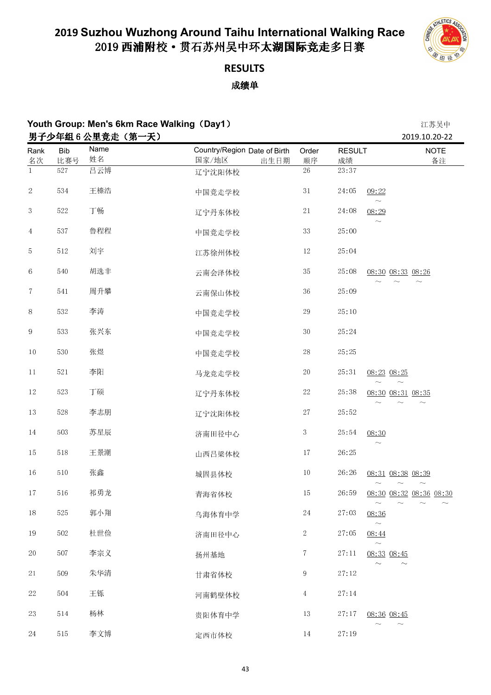

### **RESULTS**

|                 | Youth Group: Men's 6km Race Walking (Day1)<br>男子少年组6公里竞走(第一天) |            |                                               |                 |                     |                                                                                       |  |
|-----------------|---------------------------------------------------------------|------------|-----------------------------------------------|-----------------|---------------------|---------------------------------------------------------------------------------------|--|
| Rank<br>名次      | <b>Bib</b><br>比赛号                                             | Name<br>姓名 | Country/Region Date of Birth<br>国家/地区<br>出生日期 | Order<br>顺序     | <b>RESULT</b><br>成绩 | 2019.10.20-22<br><b>NOTE</b><br>备注                                                    |  |
| $\mathbf{1}$    | 527                                                           | 吕云博        | 辽宁沈阳体校                                        | $\overline{26}$ | 23:37               |                                                                                       |  |
| $\sqrt{2}$      | 534                                                           | 王榛浩        | 中国竞走学校                                        | $3\,1$          | 24:05               | 09:22                                                                                 |  |
| $\sqrt{3}$      | $5\,22$                                                       | 丁畅         | 辽宁丹东体校                                        | $2\sqrt{1}$     | 24:08               | $\sim$<br>08:29                                                                       |  |
| $\overline{4}$  | 537                                                           | 鲁程程        | 中国竞走学校                                        | $3\sqrt{3}$     | 25:00               | $\widetilde{\phantom{m}}$                                                             |  |
| 5               | $5\,12$                                                       | 刘宇         | 江苏徐州体校                                        | $12\,$          | 25:04               |                                                                                       |  |
| $\,6\,$         | 540                                                           | 胡选非        | 云南会泽体校                                        | $3\sqrt{5}$     | 25:08               | 08:30 08:33 08:26                                                                     |  |
| $\,7$           | $5\,41$                                                       | 周升攀        | 云南保山体校                                        | $36\,$          | 25:09               |                                                                                       |  |
| $8\,$           | 532                                                           | 李涛         | 中国竞走学校                                        | $\rm 29$        | 25:10               |                                                                                       |  |
| 9               | 533                                                           | 张兴东        | 中国竞走学校                                        | $3\,0$          | 25:24               |                                                                                       |  |
| $10\,$          | 530                                                           | 张煜         | 中国竞走学校                                        | $28\,$          | 25:25               |                                                                                       |  |
| 11              | 521                                                           | 李阳         | 马龙竞走学校                                        | $20\,$          | 25:31               | 08:23 08:25                                                                           |  |
| $12\,$          | 523                                                           | 丁硕         | 辽宁丹东体校                                        | $22\,$          | 25:38               | 08:30 08:31 08:35                                                                     |  |
| $13\,$          | $5\,28$                                                       | 李志朋        | 辽宁沈阳体校                                        | $27\,$          | 25:52               |                                                                                       |  |
| $14\phantom{.}$ | 503                                                           | 苏星辰        | 济南田径中心                                        | $\mathbf{3}$    | 25:54               | 08:30                                                                                 |  |
| 15              | $5\,18$                                                       | 王景潮        | 山西吕梁体校                                        | $17\,$          | 26:25               |                                                                                       |  |
| 16              | $5\,10$                                                       | 张鑫         | 城固县体校                                         | $10\,$          | 26:26               | 08:31 08:38 08:39<br>$\sim$<br>$\widetilde{\phantom{m}}$<br>$\widetilde{\phantom{m}}$ |  |
| $17\,$          | $5\,16$                                                       | 祁勇龙        | 青海省体校                                         | $15\,$          | 26:59               | 08:30 08:32 08:36 08:30                                                               |  |
| $18\,$          | 525                                                           | 郭小翔        | 乌海体育中学                                        | $24\,$          | 27:03               | 08:36<br>$\sim$                                                                       |  |
| $19\,$          | $5\,02$                                                       | 杜世俭        | 济南田径中心                                        | $\overline{2}$  | 27:05               | 08:44<br>$\sim$                                                                       |  |
| 20              | 507                                                           | 李宗义        | 扬州基地                                          | $\tau$          | 27:11               | 08:33 08:45<br>$\widetilde{\phantom{m}}$<br>$\sim$                                    |  |
| $2\sqrt{1}$     | 509                                                           | 朱华清        | 甘肃省体校                                         | 9               | 27:12               |                                                                                       |  |
| $22\,$          | 504                                                           | 王铄         | 河南鹤壁体校                                        | $\overline{4}$  | 27:14               |                                                                                       |  |
| $23\,$          | $5\,14$                                                       | 杨林         | 贵阳体育中学                                        | $13\,$          | 27:17               | 08:36 08:45                                                                           |  |
| $24\,$          | $5\,15$                                                       | 李文博        | 定西市体校                                         | $14\,$          | 27:19               | $\widetilde{\phantom{m}}$                                                             |  |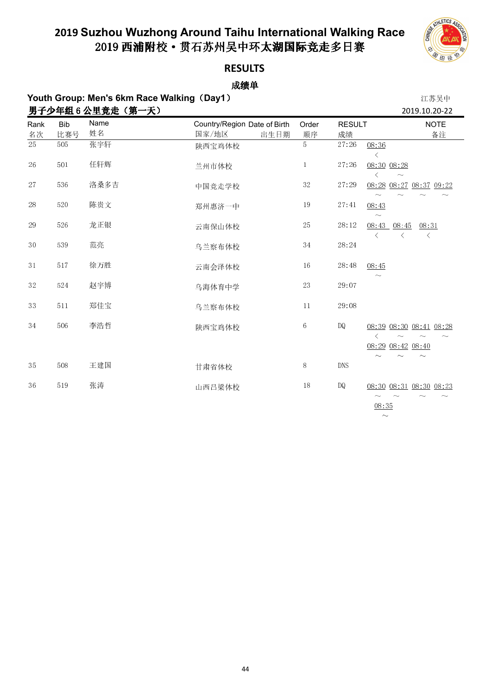

08:35  $\sim$ 

### **RESULTS**

成绩单 **Youth Group: Men's 6km Race Walking**(**Day1**) 江苏吴中

|            | 男子少年组6公里竞走(第一天)<br>2019.10.20-22 |            |                                               |              |                     |                                                                                                                          |  |  |  |
|------------|----------------------------------|------------|-----------------------------------------------|--------------|---------------------|--------------------------------------------------------------------------------------------------------------------------|--|--|--|
| Rank<br>名次 | <b>Bib</b><br>比赛号                | Name<br>姓名 | Country/Region Date of Birth<br>国家/地区<br>出生日期 | Order<br>顺序  | <b>RESULT</b><br>成绩 | <b>NOTE</b><br>备注                                                                                                        |  |  |  |
| 25         | 505                              | 张宇轩        | 陕西宝鸡体校                                        | 5            | 27:26               | 08:36<br>ぐ                                                                                                               |  |  |  |
| 26         | 501                              | 任轩辉        | 兰州市体校                                         | $\mathbf{1}$ | 27:26               | 08:30 08:28                                                                                                              |  |  |  |
| 27         | 536                              | 洛桑多吉       | 中国竞走学校                                        | $3\sqrt{2}$  | 27:29               | 08:28 08:27 08:37 09:22                                                                                                  |  |  |  |
| 28         | $5\,20$                          | 陈贵文        | 郑州惠济一中                                        | $19\,$       | 27:41               | 08:43<br>$\sim$                                                                                                          |  |  |  |
| 29         | 526                              | 龙正银        | 云南保山体校                                        | $25\,$       | 28:12               | 08:45<br>08:31<br>08:43<br>$\langle$<br>$\langle$                                                                        |  |  |  |
| 30         | 539                              | 范亮         | 乌兰察布体校                                        | 34           | 28:24               |                                                                                                                          |  |  |  |
| 31         | 517                              | 徐万胜        | 云南会泽体校                                        | $16\,$       | 28:48               | 08:45                                                                                                                    |  |  |  |
| 32         | 524                              | 赵宇博        | 乌海体育中学                                        | 23           | 29:07               |                                                                                                                          |  |  |  |
| 33         | 511                              | 郑佳宝        | 乌兰察布体校                                        | 11           | 29:08               |                                                                                                                          |  |  |  |
| 34         | 506                              | 李浩哲        | 陕西宝鸡体校                                        | $\,6\,$      | DQ                  | 08:39 08:30 08:41 08:28<br>$\langle$<br>$\sim$                                                                           |  |  |  |
|            |                                  |            |                                               |              |                     | 08:29 08:42 08:40                                                                                                        |  |  |  |
| 35         | 508                              | 王建国        | 甘肃省体校                                         | $8\,$        | <b>DNS</b>          |                                                                                                                          |  |  |  |
| 36         | 519                              | 张涛         | 山西吕梁体校                                        | 18           | DQ                  | 08:30 08:31 08:30 08:23<br>$\widetilde{\phantom{m}}$<br>$\widetilde{\phantom{m}}$<br>$\sim$<br>$\widetilde{\phantom{m}}$ |  |  |  |

44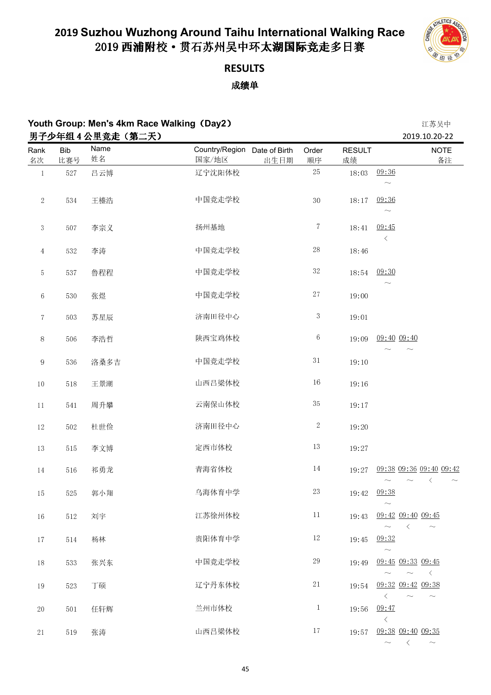

### **RESULTS**

成绩单

|                |            | 男子少年组 4 公里竞走 (第二天) |                                       |      |                 |                     | トーンデントード<br>2019.10.20-22                                             |
|----------------|------------|--------------------|---------------------------------------|------|-----------------|---------------------|-----------------------------------------------------------------------|
| Rank<br>名次     | Bib<br>比赛号 | Name<br>姓名         | Country/Region Date of Birth<br>国家/地区 | 出生日期 | Order<br>顺序     | <b>RESULT</b><br>成绩 | <b>NOTE</b><br>备注                                                     |
| $\mathbf{1}$   | 527        | 吕云博                | 辽宁沈阳体校                                |      | $25\,$          | 18:03               | 09:36<br>$\sim$                                                       |
| $\sqrt{2}$     | 534        | 王榛浩                | 中国竞走学校                                |      | 30              | 18:17               | 09 36<br>$\widetilde{\phantom{m}}$                                    |
| $\sqrt{3}$     | 507        | 李宗义                | 扬州基地                                  |      | $\tau$          | 18:41               | 09:45<br>$\langle$                                                    |
| $\overline{4}$ | 532        | 李涛                 | 中国竞走学校                                |      | $28\,$          | 18:46               |                                                                       |
| 5              | 537        | 鲁程程                | 中国竞走学校                                |      | $3\sqrt{2}$     | 18:54               | 09:30<br>$\sim$                                                       |
| $\,6\,$        | 530        | 张煜                 | 中国竞走学校                                |      | $27\,$          | 19:00               |                                                                       |
| $\tau$         | 503        | 苏星辰                | 济南田径中心                                |      | $\mathbf{3}$    | 19:01               |                                                                       |
| $8\,$          | 506        | 李浩哲                | 陕西宝鸡体校                                |      | $6\phantom{.0}$ | 19:09               | 09:40 09:40<br>$\sim$                                                 |
| $\,9$          | 536        | 洛桑多吉               | 中国竞走学校                                |      | $3\,1$          | 19:10               |                                                                       |
| $10\,$         | $5\,18$    | 王景潮                | 山西吕梁体校                                |      | $16\,$          | 19:16               |                                                                       |
| $11\,$         | 541        | 周升攀                | 云南保山体校                                |      | $3\sqrt{5}$     | 19:17               |                                                                       |
| $12\,$         | 502        | 杜世俭                | 济南田径中心                                |      | $\sqrt{2}$      | 19:20               |                                                                       |
| $13\,$         | $5\,15$    | 李文博                | 定西市体校                                 |      | $13\,$          | 19:27               |                                                                       |
| $14\,$         | 516        | 祁勇龙                | 青海省体校                                 |      | $14\,$          | 19:27               | 09:38 09:36 09:40 09:42                                               |
| 15             | 525        | 郭小翔                | 乌海体育中学                                |      | $23\,$          | 19:42               | 09.38<br>$\sim$                                                       |
| $16\,$         | 512        | 刘宇                 | 江苏徐州体校                                |      | $11\,$          | 19:43               | 09:42 09:40 09:45<br>$\left\langle \right\rangle$<br>$\sim$<br>$\sim$ |
| 17             | 514        | 杨林                 | 贵阳体育中学                                |      | 12              | 19:45               | 09:32<br>$\sim$                                                       |
| 18             | 533        | 张兴东                | 中国竞走学校                                |      | 29              | 19:49               | 09:45 09:33 09:45<br>$\prec$<br>$\sim$                                |
| 19             | 523        | 丁硕                 | 辽宁丹东体校                                |      | 21              | 19:54               | 09:32 09:42 09:38<br>$\langle$<br>$\widetilde{\phantom{m}}$<br>$\sim$ |
| $2\sqrt{0}$    | 501        | 任轩辉                | 兰州市体校                                 |      | $\mathbf{1}$    | 19:56               | 09:47<br>$\langle$                                                    |
| 21             | 519        | 张涛                 | 山西吕梁体校                                |      | 17              | 19:57               | 09:38 09:40 09:35<br>$\sim$ $\sim$ $\sim$                             |

**Youth Group: Men's 4km Race Walking**(**Day2**) 江苏吴中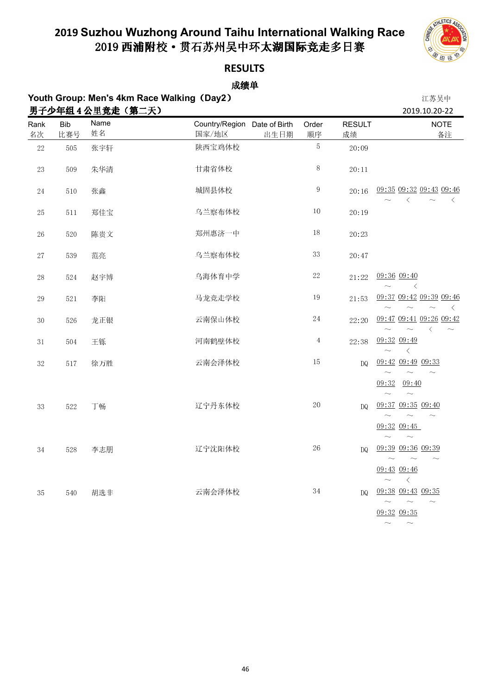

#### **RESULTS**

| Youth Group: Men's 4km Race Walking (Day2) | 江苏吴中       |                   |                                       |      |                |                     |                                                                                       |
|--------------------------------------------|------------|-------------------|---------------------------------------|------|----------------|---------------------|---------------------------------------------------------------------------------------|
|                                            |            | 男子少年组 4 公里竞走(第二天) |                                       |      |                |                     | 2019.10.20-22                                                                         |
| Rank<br>名次                                 | Bib<br>比赛号 | Name<br>姓名        | Country/Region Date of Birth<br>国家/地区 | 出生日期 | Order<br>顺序    | <b>RESULT</b><br>成绩 | <b>NOTE</b><br>备注                                                                     |
| $2\sqrt{2}$                                | $505\,$    | 张宇轩               | 陕西宝鸡体校                                |      | 5              | 20:09               |                                                                                       |
| $2\sqrt{3}$                                | 509        | 朱华清               | 甘肃省体校                                 |      | $8\,$          | 20:11               |                                                                                       |
| $2\sqrt{4}$                                | $5\,10$    | 张鑫                | 城固县体校                                 |      | $\,9$          | 20:16               | 09:35 09:32 09:43 09:46<br>$\langle$<br>$\langle$                                     |
| $25\,$                                     | $5\,11$    | 郑佳宝               | 乌兰察布体校                                |      | $10\,$         | 20:19               |                                                                                       |
| $26\,$                                     | $520\,$    | 陈贵文               | 郑州惠济一中                                |      | $18\,$         | 20:23               |                                                                                       |
| 27                                         | 539        | 范亮                | 乌兰察布体校                                |      | $3\sqrt{3}$    | 20:47               |                                                                                       |
| $2\sqrt{8}$                                | 524        | 赵宇博               | 乌海体育中学                                |      | $22\,$         | 21:22               | 09:36 09:40<br>$\langle$                                                              |
| $2\sqrt{9}$                                | 521        | 李阳                | 马龙竞走学校                                |      | 19             | 21:53               | 09:37 09:42 09:39 09:46<br>ぐ                                                          |
| $3\,0$                                     | 526        | 龙正银               | 云南保山体校                                |      | $24\,$         | 22:20               | 09:47 09:41 09:26 09:42<br>ぐ<br>$\widetilde{\phantom{m}}$                             |
| $3\,1$                                     | 504        | 王铄                | 河南鹤壁体校                                |      | $\overline{4}$ | 22:38               | 09:32 09:49<br>$\langle$                                                              |
| $3\sqrt{2}$                                | $5\,17$    | 徐万胜               | 云南会泽体校                                |      | $15\,$         | <b>DQ</b>           | 09:42 09:49 09:33<br>$\widetilde{\phantom{m}}$                                        |
|                                            |            |                   |                                       |      |                |                     | 09:32<br>09:40<br>$\sim$                                                              |
| 33                                         | 522        | 丁畅                | 辽宁丹东体校                                |      | $20\,$         | <b>DQ</b>           | 09:37 09:35 09:40<br>$\widetilde{\phantom{m}}$                                        |
|                                            |            |                   |                                       |      |                |                     | 09:32 09:45<br>$\sim$<br>$\sim$                                                       |
| $3\,4$                                     | 528        | 李志朋               | 辽宁沈阳体校                                |      | $26\,$         | <b>DQ</b>           | 09:39 09:36 09:39<br>$\widetilde{\phantom{m}}$<br>$\sim$<br>$\widetilde{\phantom{m}}$ |
|                                            |            |                   |                                       |      |                |                     | 09:43 09:46<br>$\sim$ $ <$                                                            |
| 35                                         | 540        | 胡选非               | 云南会泽体校                                |      | $3\,4$         | DQ.                 | 09:38 09:43 09:35<br>$\sim$<br>$\sim$                                                 |
|                                            |            |                   |                                       |      |                |                     | 09:32 09:35                                                                           |
|                                            |            |                   |                                       |      |                |                     | $\sim$                                                                                |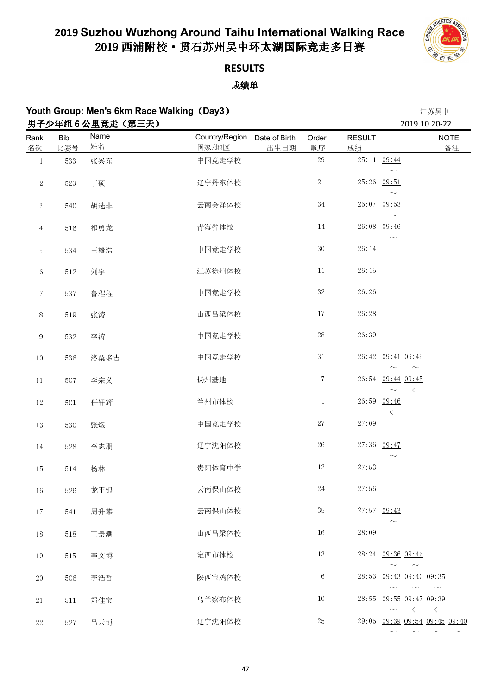

 $\sim$   $\sim$   $\sim$   $\sim$ 

## **RESULTS**

### 成绩单

|                 |            | au oroap, mon o onin naoo naming (Dayo)<br>男子少年组6公里竞走(第三天) |                                               | エンデンマー<br>2019.10.20-22 |                     |                                                                 |
|-----------------|------------|------------------------------------------------------------|-----------------------------------------------|-------------------------|---------------------|-----------------------------------------------------------------|
| Rank<br>名次      | Bib<br>比赛号 | Name<br>姓名                                                 | Country/Region Date of Birth<br>国家/地区<br>出生日期 | Order<br>顺序             | <b>RESULT</b><br>成绩 | <b>NOTE</b><br>备注                                               |
| $\mathbf{1}$    | 533        | 张兴东                                                        | 中国竞走学校                                        | $2\sqrt{9}$             |                     | 25:11 09:44                                                     |
| $\sqrt{2}$      | 523        | 丁硕                                                         | 辽宁丹东体校                                        | $2\sqrt{1}$             |                     | $\sim$<br>25:26 09:51<br>$\sim$                                 |
| $\sqrt{3}$      | 540        | 胡选非                                                        | 云南会泽体校                                        | $3\,4$                  |                     | 26:07 09:53<br>$\widetilde{\phantom{m}}$                        |
| $\overline{4}$  | 516        | 祁勇龙                                                        | 青海省体校                                         | $14\,$                  |                     | 26:08 09:46<br>$\widetilde{\phantom{m}}$                        |
| 5               | 534        | 王榛浩                                                        | 中国竞走学校                                        | $3\,0$                  | 26:14               |                                                                 |
| $\,6\,$         | $5\,12$    | 刘宇                                                         | 江苏徐州体校                                        | $11\,$                  | 26:15               |                                                                 |
| $\tau$          | 537        | 鲁程程                                                        | 中国竞走学校                                        | $3\,2$                  | 26:26               |                                                                 |
| $8\,$           | 519        | 张涛                                                         | 山西吕梁体校                                        | $17\,$                  | 26:28               |                                                                 |
| $\,9$           | 532        | 李涛                                                         | 中国竞走学校                                        | $2\sqrt{8}$             | 26:39               |                                                                 |
| $10\,$          | 536        | 洛桑多吉                                                       | 中国竞走学校                                        | $3\,1$                  |                     | 26:42 09:41 09:45<br>$\sim$                                     |
| $11\,$          | 507        | 李宗义                                                        | 扬州基地                                          | $\,7$                   |                     | 26:54 09:44 09:45<br>$\langle$                                  |
| $12\,$          | $5\,0\,1$  | 任轩辉                                                        | 兰州市体校                                         | $\mathbf{1}$            | 26:59               | 09.46<br>$\langle$                                              |
| $13\,$          | 530        | 张煜                                                         | 中国竞走学校                                        | $2\,7$                  | 27:09               |                                                                 |
| $14\phantom{.}$ | 528        | 李志朋                                                        | 辽宁沈阳体校                                        | $2\sqrt{6}$             |                     | 27:36 09:47                                                     |
| $15\,$          | $5\,14$    | 杨林                                                         | 贵阳体育中学                                        | $12\,$                  | 27:53               |                                                                 |
| $16\,$          | 526        | 龙正银                                                        | 云南保山体校                                        | $2\sqrt{4}$             | 27:56               |                                                                 |
| $17\,$          | 541        | 周升攀                                                        | 云南保山体校                                        | $3\,5$                  |                     | 27:57 09:43                                                     |
| $18\,$          | 518        | 王景潮                                                        | 山西吕梁体校                                        | $16\,$                  | 28:09               |                                                                 |
| $19\,$          | 515        | 李文博                                                        | 定西市体校                                         | $13\,$                  |                     | 28:24 09:36 09:45<br>$\sim$<br>$\sim$                           |
| $20\,$          | 506        | 李浩哲                                                        | 陕西宝鸡体校                                        | $\,6\,$                 |                     | 28:53 09:43 09:40 09:35<br>$\sim$                               |
| $2\sqrt{1}$     | 511        | 郑佳宝                                                        | 乌兰察布体校                                        | $10\,$                  | 28:55               | $\sim$<br>$\sim$<br>09:55 09:47 09:39<br>$\langle$<br>$\langle$ |
| 22              | 527        | 吕云博                                                        | 辽宁沈阳体校                                        | $25\,$                  |                     | 29:05 09:39 09:54 09:45 09:40                                   |

**Youth Group: Men's 6km Race Walking**(**Day3**) 江苏吴中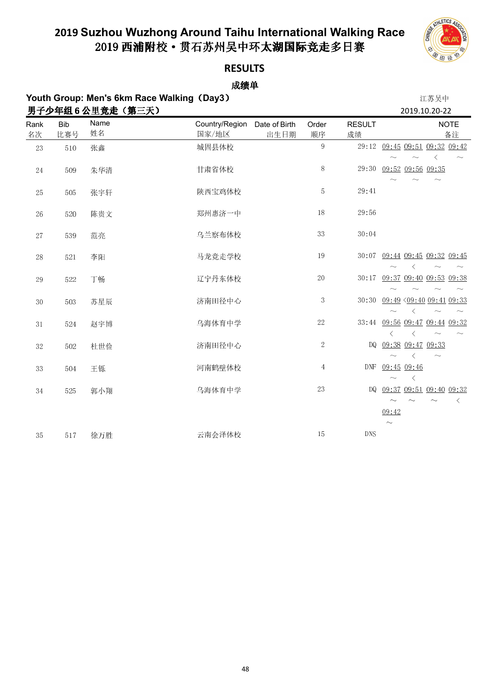

### **RESULTS**

| Youth Group: Men's 6km Race Walking (Day3) |            |                 |                         |                       |                |                     |                                                               | 江苏吴中      |                              |
|--------------------------------------------|------------|-----------------|-------------------------|-----------------------|----------------|---------------------|---------------------------------------------------------------|-----------|------------------------------|
|                                            |            | 男子少年组6公里竞走(第三天) |                         |                       |                |                     | 2019.10.20-22                                                 |           |                              |
| Rank<br>名次                                 | Bib<br>比赛号 | Name<br>姓名      | Country/Region<br>国家/地区 | Date of Birth<br>出生日期 | Order<br>顺序    | <b>RESULT</b><br>成绩 |                                                               |           | <b>NOTE</b><br>备注            |
| 23                                         | 510        | 张鑫              | 城固县体校                   |                       | 9              |                     | 29:12 09:45 09:51 09:32 09:42                                 | $\langle$ |                              |
| 24                                         | 509        | 朱华清             | 甘肃省体校                   |                       | $8\,$          | 29:30               | 09:52 09:56 09:35                                             |           |                              |
| 25                                         | 505        | 张宇轩             | 陕西宝鸡体校                  |                       | 5              | 29:41               |                                                               |           |                              |
| 26                                         | 520        | 陈贵文             | 郑州惠济一中                  |                       | 18             | 29:56               |                                                               |           |                              |
| 27                                         | 539        | 范亮              | 乌兰察布体校                  |                       | 33             | 30:04               |                                                               |           |                              |
| 28                                         | 521        | 李阳              | 马龙竞走学校                  |                       | 19             |                     | 30:07 09:44 09:45 09:32 09:45<br>ぐ                            | $\sim$    |                              |
| 29                                         | 522        | 丁畅              | 辽宁丹东体校                  |                       | $2\sqrt{0}$    | 30:17               | 09:37 09:40 09:53 09:38                                       |           |                              |
| 30                                         | 503        | 苏星辰             | 济南田径中心                  |                       | $\mathbf{3}$   | 30:30               | $09:49$ $09:40$ $09:41$ $09:33$                               |           |                              |
| 31                                         | 524        | 赵宇博             | 乌海体育中学                  |                       | $2\sqrt{2}$    |                     | 33:44 09:56 09:47 09:44 09:32<br>$\langle$<br>$\langle$       | $\sim$    |                              |
| 32                                         | 502        | 杜世俭             | 济南田径中心                  |                       | $\sqrt{2}$     | DQ                  | 09:38 09:47 09:33<br>$\overline{\left\langle \right\rangle }$ | $\sim$    |                              |
| 33                                         | 504        | 王铄              | 河南鹤壁体校                  |                       | $\overline{4}$ | <b>DNF</b>          | $09:45$ 09:46<br>$\langle$                                    |           |                              |
| 34                                         | 525        | 郭小翔             | 乌海体育中学                  |                       | $2\sqrt{3}$    | DQ.                 | 09:37 09:51 09:40 09:32<br>09:42                              |           | $\left\langle \right\rangle$ |
| 35                                         | 517        | 徐万胜             | 云南会泽体校                  |                       | 15             | <b>DNS</b>          | $\sim$                                                        |           |                              |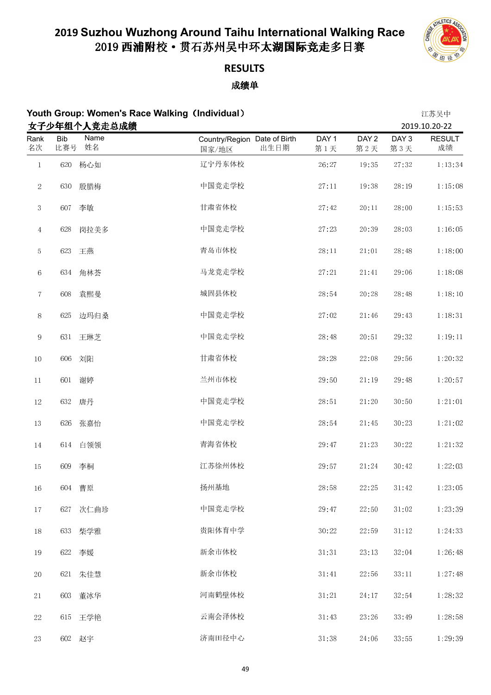

## **RESULTS**

| Youth Group: Women's Race Walking (Individual) |  | 江苏吴中 |
|------------------------------------------------|--|------|
|------------------------------------------------|--|------|

|                 |                   | 女子少年组个人竞走总成绩 |                                               |                         |                         |                         | 2019.10.20-22       |
|-----------------|-------------------|--------------|-----------------------------------------------|-------------------------|-------------------------|-------------------------|---------------------|
| Rank<br>名次      | <b>Bib</b><br>比赛号 | Name<br>姓名   | Country/Region Date of Birth<br>出生日期<br>国家/地区 | DAY <sub>1</sub><br>第1天 | DAY <sub>2</sub><br>第2天 | DAY <sub>3</sub><br>第3天 | <b>RESULT</b><br>成绩 |
| $\mathbf{1}$    | 620               | 杨心如          | 辽宁丹东体校                                        | 26:27                   | 19:35                   | 27:32                   | 1:13:34             |
| $\sqrt{2}$      | 630               | 殷腊梅          | 中国竞走学校                                        | $27\colon\!11$          | 19:38                   | 28:19                   | 1:15:08             |
| $\mathbf{3}$    | 607               | 李敏           | 甘肃省体校                                         | 27:42                   | $20\colon\!11$          | 28:00                   | 1:15:53             |
| $\overline{4}$  | 628               | 岗拉美多         | 中国竞走学校                                        | 27:23                   | 20:39                   | 28:03                   | 1:16:05             |
| $\overline{5}$  | 623               | 王燕           | 青岛市体校                                         | 28:11                   | $21\!\cdot\!01$         | 28:48                   | 1:18:00             |
| 6               | 634               | 角林荟          | 马龙竞走学校                                        | 27:21                   | 21:41                   | 29:06                   | 1:18:08             |
| $\!\tau$        | 608               | 袁熙曼          | 城固县体校                                         | 28:54                   | 20:28                   | 28:48                   | 1:18:10             |
| $8\,$           | 625               | 边玛归桑         | 中国竞走学校                                        | 27:02                   | $21\!\cdot\!46$         | 29:43                   | 1:18:31             |
| 9               | 631               | 王琳芝          | 中国竞走学校                                        | 28:48                   | 20:51                   | 29:32                   | 1:19:11             |
| $10\,$          | 606               | 刘阳           | 甘肃省体校                                         | 28:28                   | 22:08                   | 29:56                   | 1:20:32             |
| $11\,$          | 601               | 谢婷           | 兰州市体校                                         | 29:50                   | 21:19                   | 29:48                   | 1:20:57             |
| $12\,$          |                   | 632 唐丹       | 中国竞走学校                                        | 28:51                   | 21:20                   | 30:50                   | 1:21:01             |
| $13\,$          | 626               | 张嘉怡          | 中国竞走学校                                        | 28:54                   | $21\!\cdot\!45$         | 30:23                   | 1:21:02             |
| $14\phantom{.}$ | 614               | 白领领          | 青海省体校                                         | 29:47                   | 21:23                   | 30:22                   | 1:21:32             |
| 15              | 609               | 李桐           | 江苏徐州体校                                        | 29:57                   | 21:24                   | 30:42                   | 1:22:03             |
| 16              |                   | 604 曹原       | 扬州基地                                          | 28:58                   | 22:25                   | 31:42                   | 1:23:05             |
| $17\,$          | 627               | 次仁曲珍         | 中国竞走学校                                        | 29:47                   | 22:50                   | 31:02                   | 1:23:39             |
| $18\,$          | 633               | 柴学雅          | 贵阳体育中学                                        | 30:22                   | 22:59                   | $3\,1\cdot 12$          | 1:24:33             |
| $19\,$          | 622               | 李媛           | 新余市体校                                         | $3\,1\cdot 3\,1$        | 23:13                   | 32:04                   | 1:26:48             |
| $20\,$          |                   | 621 朱佳慧      | 新余市体校                                         | 31:41                   | 22:56                   | $3\sqrt{3}$ : $11$      | 1:27:48             |
| $2\sqrt{1}$     | 603               | 董冰华          | 河南鹤壁体校                                        | 31:21                   | 24:17                   | 32:54                   | 1:28:32             |
| $22\,$          | 615               | 王学艳          | 云南会泽体校                                        | 31:43                   | 23:26                   | 33:49                   | 1:28:58             |
| $23\,$          |                   | 602 赵宇       | 济南田径中心                                        | 31:38                   | 24:06                   | 33:55                   | 1:29:39             |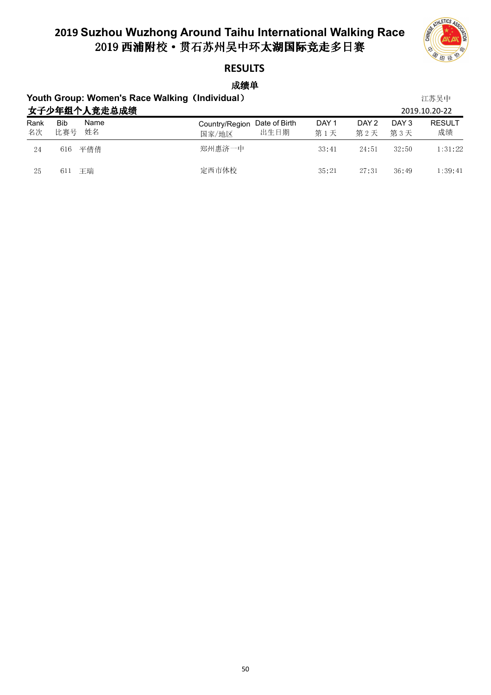

### **RESULTS**

成绩单

### **Youth Group: Women's Race Walking**(**Individual**) 江苏吴中 女子少年组个人竞走总成绩 2019.10.20-22

|            | 女子少年组个人党走总成绩             |                                                                                          |              | 2019.10.20-22       |
|------------|--------------------------|------------------------------------------------------------------------------------------|--------------|---------------------|
| Rank<br>名次 | Name<br>Bib<br>姓名<br>比赛号 | DAY <sub>1</sub><br>DAY 2<br>Country/Region Date of Birth<br>出生日期<br>第1天<br>第2天<br>国家/地区 | DAY 3<br>第3天 | <b>RESULT</b><br>成绩 |
| 24         | 616 平倩倩                  | 郑州惠济一中<br>33.41<br>24:51                                                                 | 32:50        | $1 \t31 \t22$       |
| 25         | 611 王瑞                   | 定西市体校<br>35.21<br>27:31                                                                  | 36.49        | 1:39:41             |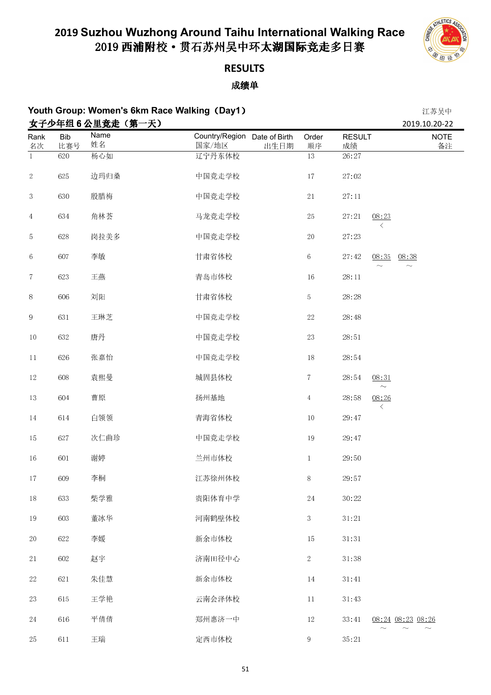

### **RESULTS**

成绩单

#### **Youth Group: Women's 6km Race Walking**(**Day1**) 江苏吴中 ,<br>4 乙小左伸 6 八甲辛土(答—王)

|                  |            |            |                                       |      |                 |                     |                    | 2019.10.20-22     |
|------------------|------------|------------|---------------------------------------|------|-----------------|---------------------|--------------------|-------------------|
| Rank<br>名次       | Bib<br>比赛号 | Name<br>姓名 | Country/Region Date of Birth<br>国家/地区 | 出生日期 | Order<br>顺序     | <b>RESULT</b><br>成绩 |                    | <b>NOTE</b><br>备注 |
| $\overline{1}$   | 620        | 杨心如        | 辽宁丹东体校                                |      | $\overline{13}$ | 26:27               |                    |                   |
| $\sqrt{2}$       | 625        | 边玛归桑       | 中国竞走学校                                |      | $17\,$          | 27:02               |                    |                   |
| $\boldsymbol{3}$ | 630        | 殷腊梅        | 中国竞走学校                                |      | $2\sqrt{1}$     | 27:11               |                    |                   |
| $\overline{4}$   | 634        | 角林荟        | 马龙竞走学校                                |      | $25\,$          | 27:21               | 08:23<br>$\langle$ |                   |
| 5                | 628        | 岗拉美多       | 中国竞走学校                                |      | $20\,$          | 27:23               |                    |                   |
| 6                | 607        | 李敏         | 甘肃省体校                                 |      | $\,6\,$         | 27:42               | 08:35<br>$\sim$    | 08:38<br>$\sim$   |
| $\tau$           | 623        | 王燕         | 青岛市体校                                 |      | 16              | $28\!\cdot\!11$     |                    |                   |
| $8\,$            | 606        | 刘阳         | 甘肃省体校                                 |      | $\overline{5}$  | 28:28               |                    |                   |
| $\overline{9}$   | 631        | 王琳芝        | 中国竞走学校                                |      | $22\,$          | 28:48               |                    |                   |
| $10\,$           | 632        | 唐丹         | 中国竞走学校                                |      | $23\,$          | 28:51               |                    |                   |
| 11               | 626        | 张嘉怡        | 中国竞走学校                                |      | $18\,$          | 28:54               |                    |                   |
| $12\,$           | 608        | 袁熙曼        | 城固县体校                                 |      | $\,7$           | 28:54               | 08:31<br>$\sim$    |                   |
| $13\,$           | 604        | 曹原         | 扬州基地                                  |      | $\overline{4}$  | 28:58               | 08:26<br>ぐ         |                   |
| $14\phantom{.}$  | 614        | 白领领        | 青海省体校                                 |      | $10\,$          | 29:47               |                    |                   |
| $15\,$           | 627        | 次仁曲珍       | 中国竞走学校                                |      | 19              | 29:47               |                    |                   |
| $16\,$           | 601        | 谢婷         | 兰州市体校                                 |      | $\mathbf{1}$    | 29:50               |                    |                   |
| $17\,$           | 609        | 李桐         | 江苏徐州体校                                |      | 8               | 29:57               |                    |                   |
| $18\,$           | 633        | 柴学雅        | 贵阳体育中学                                |      | $24\,$          | 30:22               |                    |                   |
| $19\,$           | 603        | 董冰华        | 河南鹤壁体校                                |      | $\mathbf{3}$    | $3\,1\!:\!2\,1$     |                    |                   |
| $20\,$           | 622        | 李媛         | 新余市体校                                 |      | 15              | $3\,1$ : $3\,1$     |                    |                   |
| $2\sqrt{1}$      | 602        | 赵宇         | 济南田径中心                                |      | $\sqrt{2}$      | 31:38               |                    |                   |
| $22\,$           | 621        | 朱佳慧        | 新余市体校                                 |      | $14\,$          | $3\,1\cdot 4\,1$    |                    |                   |
| $23\,$           | 615        | 王学艳        | 云南会泽体校                                |      | $11\,$          | $3\,1\cdot 43$      |                    |                   |
| $24\,$           | 616        | 平倩倩        | 郑州惠济一中                                |      | $12\,$          | 33:41               |                    | 08:24 08:23 08:26 |
| 25               | 611        | 王瑞         | 定西市体校                                 |      | 9               | 35:21               |                    |                   |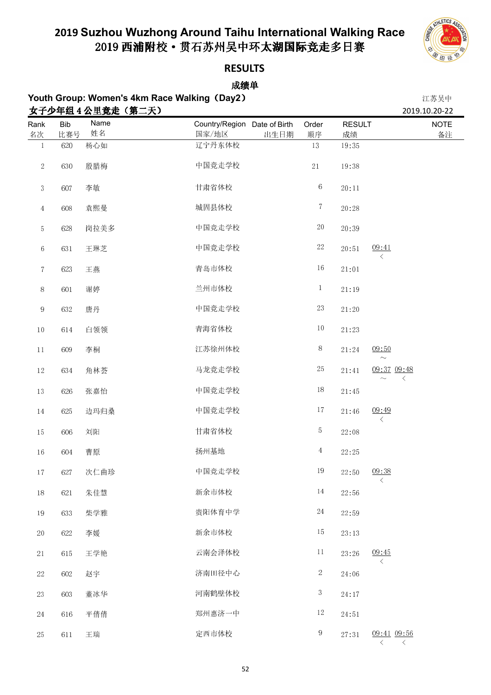

**RESULTS**

| Youth Group: Women's 4km Race Walking (Day2)<br>女子少年组 4 公里竞走 (第二天) |            |            |                                               |                | 江苏吴中                |                                    |
|--------------------------------------------------------------------|------------|------------|-----------------------------------------------|----------------|---------------------|------------------------------------|
| Rank<br>名次                                                         | Bib<br>比赛号 | Name<br>姓名 | Country/Region Date of Birth<br>国家/地区<br>出生日期 | Order<br>顺序    | <b>RESULT</b><br>成绩 | 2019.10.20-22<br><b>NOTE</b><br>备注 |
| $\mathbf{1}$                                                       | 620        | 杨心如        | 辽宁丹东体校                                        | $13\,$         | 19:35               |                                    |
| $\sqrt{2}$                                                         | 630        | 殷腊梅        | 中国竞走学校                                        | $2\sqrt{1}$    | 19:38               |                                    |
| 3                                                                  | 607        | 李敏         | 甘肃省体校                                         | $\,6$          | 20:11               |                                    |
| $\overline{4}$                                                     | 608        | 袁熙曼        | 城固县体校                                         | $\tau$         | 20:28               |                                    |
| 5                                                                  | 628        | 岗拉美多       | 中国竞走学校                                        | $20\,$         | 20:39               |                                    |
| $\,6$                                                              | 631        | 王琳芝        | 中国竞走学校                                        | $22\,$         | 20:51               | 09.41<br>$\langle$                 |
| $\tau$                                                             | 623        | 王燕         | 青岛市体校                                         | $16\,$         | 21:01               |                                    |
| 8                                                                  | 601        | 谢婷         | 兰州市体校                                         | $\mathbf{1}$   | 21:19               |                                    |
| 9                                                                  | 632        | 唐丹         | 中国竞走学校                                        | $23\,$         | 21:20               |                                    |
| $10\,$                                                             | 614        | 白领领        | 青海省体校                                         | $10\,$         | 21:23               |                                    |
| $11\,$                                                             | 609        | 李桐         | 江苏徐州体校                                        | $8\,$          | 21:24               | 09:50<br>$\sim$                    |
| $12\,$                                                             | 634        | 角林荟        | 马龙竞走学校                                        | $25\,$         | 21:41               | 09:37 09:48<br>$\langle$           |
| $13\,$                                                             | 626        | 张嘉怡        | 中国竞走学校                                        | $18\,$         | 21:45               |                                    |
| $14\,$                                                             | 625        | 边玛归桑       | 中国竞走学校                                        | 17             | 21:46               | 09.49<br>ぐ                         |
| $15\,$                                                             | 606        | 刘阳         | 甘肃省体校                                         | 5              | 22:08               |                                    |
| $16\,$                                                             | 604        | 曹原         | 扬州基地                                          | $\overline{4}$ | 22:25               |                                    |
| $17\,$                                                             | 627        | 次仁曲珍       | 中国竞走学校                                        | 19             | 22:50               | 09:38                              |
| $18\,$                                                             | 621        | 朱佳慧        | 新余市体校                                         | 14             | 22:56               |                                    |
| 19                                                                 | 633        | 柴学雅        | 贵阳体育中学                                        | $24\,$         | 22:59               |                                    |
| 20                                                                 | 622        | 李媛         | 新余市体校                                         | 15             | 23:13               |                                    |
| $2\sqrt{1}$                                                        | 615        | 王学艳        | 云南会泽体校                                        | 11             | 23:26               | 09:45<br>$\langle$                 |
| $22\,$                                                             | 602        | 赵宇         | 济南田径中心                                        | $\sqrt{2}$     | 24:06               |                                    |
| $23\,$                                                             | 603        | 董冰华        | 河南鹤壁体校                                        | $\sqrt{3}$     | 24:17               |                                    |
| $24\,$                                                             | 616        | 平倩倩        | 郑州惠济一中                                        | $12\,$         | 24:51               |                                    |
| $25\,$                                                             | $6\,1\,1$  | 王瑞         | 定西市体校                                         | 9              | 27:31               | 09:41 09:56                        |